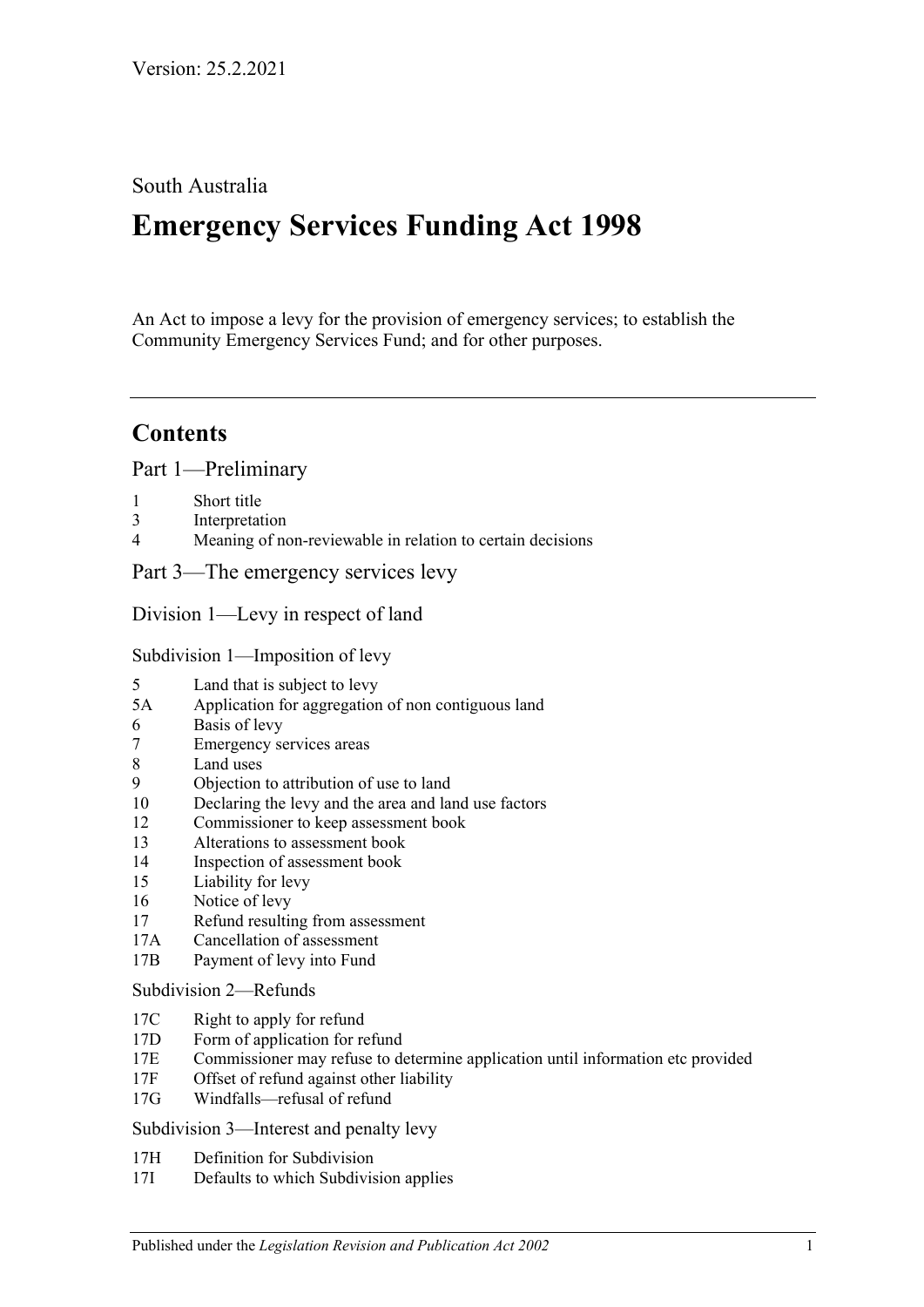# South Australia

# **Emergency Services Funding Act 1998**

An Act to impose a levy for the provision of emergency services; to establish the Community Emergency Services Fund; and for other purposes.

# **Contents**

[Part 1—Preliminary](#page-2-0)

- 1 [Short title](#page-2-1)
- 3 [Interpretation](#page-2-2)
- 4 [Meaning of non-reviewable in relation to certain decisions](#page-4-0)

[Part 3—The emergency services levy](#page-4-1)

[Division 1—Levy in respect of land](#page-4-2)

[Subdivision 1—Imposition of levy](#page-4-3)

- 5 [Land that is subject to levy](#page-4-4)
- 5A [Application for aggregation of non contiguous land](#page-6-0)
- 6 [Basis of levy](#page-6-1)
- 7 [Emergency services areas](#page-7-0)
- 8 [Land uses](#page-7-1)
- 9 [Objection to attribution of use to land](#page-8-0)
- 10 [Declaring the levy and the area and land use factors](#page-9-0)
- 12 [Commissioner to keep assessment book](#page-10-0)
- 13 [Alterations to assessment book](#page-11-0)
- 14 [Inspection of assessment book](#page-11-1)
- 15 [Liability for levy](#page-11-2)
- 16 [Notice of levy](#page-12-0)
- 17 [Refund resulting from assessment](#page-12-1)
- 17A [Cancellation of assessment](#page-13-0)
- 17B [Payment of levy into Fund](#page-13-1)

#### [Subdivision 2—Refunds](#page-13-2)

- 17C [Right to apply for refund](#page-13-3)
- 17D [Form of application for refund](#page-13-4)
- 17E [Commissioner may refuse to determine application until information etc provided](#page-13-5)
- 17F [Offset of refund against other liability](#page-14-0)
- 17G [Windfalls—refusal of refund](#page-14-1)

[Subdivision 3—Interest and penalty levy](#page-14-2)

- 17H [Definition for Subdivision](#page-14-3)
- 17I [Defaults to which Subdivision applies](#page-14-4)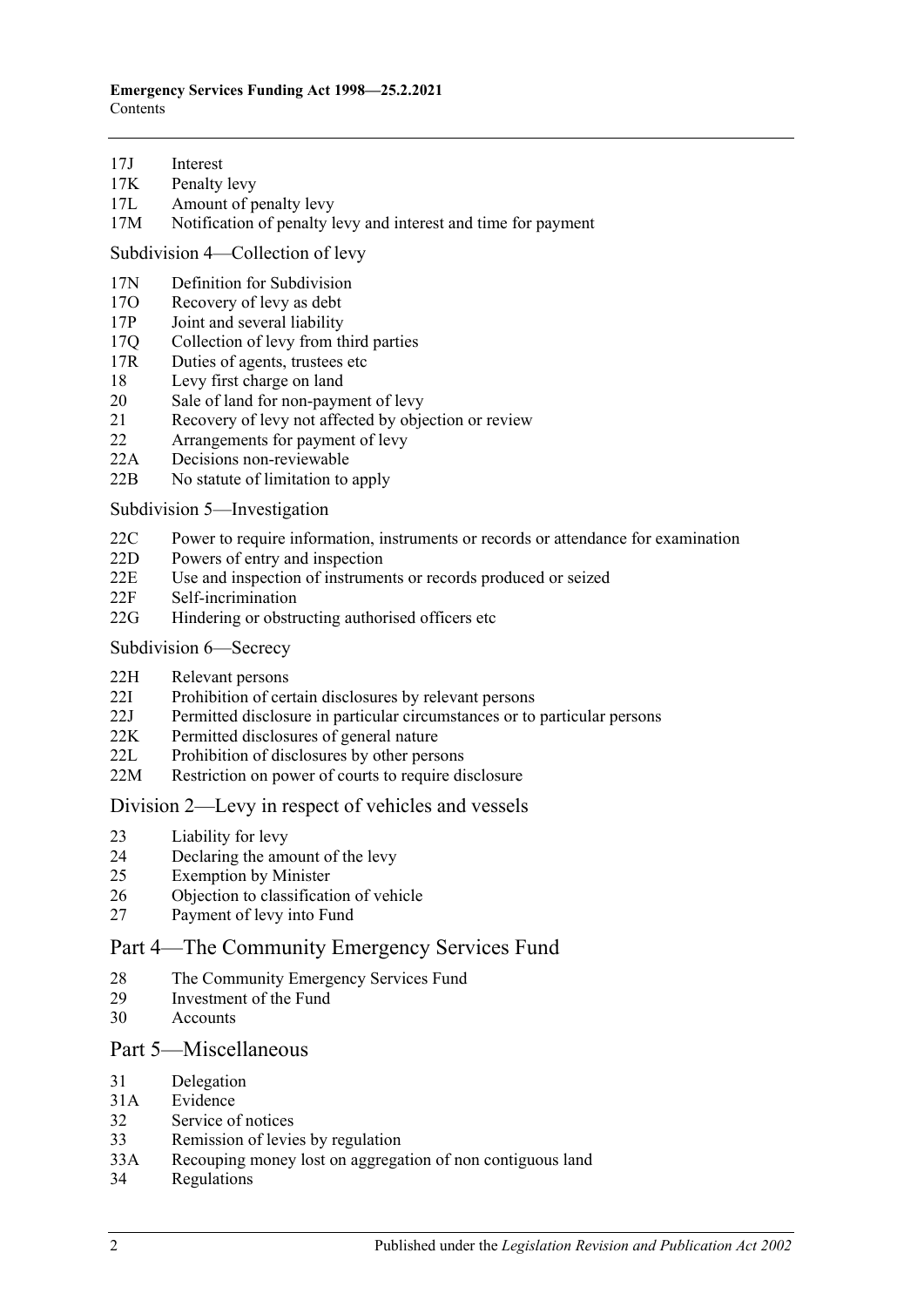- 17J [Interest](#page-14-5)
- 17K [Penalty levy](#page-15-0)
- 17L [Amount of penalty levy](#page-15-1)
- 17M [Notification of penalty levy and interest and time for payment](#page-16-0)

[Subdivision 4—Collection of levy](#page-16-1)

- 17N [Definition for Subdivision](#page-16-2)
- 17O [Recovery of levy as debt](#page-16-3)
- 17P [Joint and several liability](#page-16-4)
- 17Q [Collection of levy from third parties](#page-16-5)
- 17R [Duties of agents, trustees etc](#page-17-0)
- 18 [Levy first charge on land](#page-18-0)
- 20 [Sale of land for non-payment of levy](#page-18-1)
- 21 [Recovery of levy not affected by objection or review](#page-19-0)
- 22 [Arrangements for payment of levy](#page-20-0)
- 22A [Decisions non-reviewable](#page-20-1)
- 22B [No statute of limitation to apply](#page-20-2)

[Subdivision 5—Investigation](#page-20-3)

- 22C [Power to require information, instruments or records or attendance for examination](#page-20-4)
- 22D [Powers of entry and inspection](#page-21-0)
- 22E [Use and inspection of instruments or records produced or seized](#page-22-0)
- 22F [Self-incrimination](#page-22-1)
- 22G [Hindering or obstructing authorised officers etc](#page-22-2)
- [Subdivision 6—Secrecy](#page-23-0)
- 22H [Relevant persons](#page-23-1)
- 22I [Prohibition of certain disclosures by relevant persons](#page-23-2)
- 22J [Permitted disclosure in particular circumstances or to particular persons](#page-23-3)
- 22K [Permitted disclosures of general nature](#page-23-4)
- 22L [Prohibition of disclosures by other persons](#page-23-5)
- 22M [Restriction on power of courts to require disclosure](#page-24-0)

#### [Division 2—Levy in respect of vehicles and vessels](#page-24-1)

- 23 [Liability for levy](#page-24-2)
- 24 [Declaring the amount of the levy](#page-24-3)
- 25 [Exemption by Minister](#page-25-0)
- 26 [Objection to classification of vehicle](#page-25-1)
- 27 [Payment of levy into Fund](#page-26-0)

## [Part 4—The Community Emergency Services Fund](#page-26-1)

- 28 [The Community Emergency Services Fund](#page-26-2)
- 29 [Investment of the Fund](#page-27-0)
- 30 [Accounts](#page-27-1)

## [Part 5—Miscellaneous](#page-27-2)

- 31 [Delegation](#page-27-3)
- 31A [Evidence](#page-28-0)
- 32 [Service of notices](#page-28-1)
- 33 [Remission of levies by regulation](#page-29-0)
- 33A [Recouping money lost on aggregation of non contiguous land](#page-29-1)
- 34 [Regulations](#page-29-2)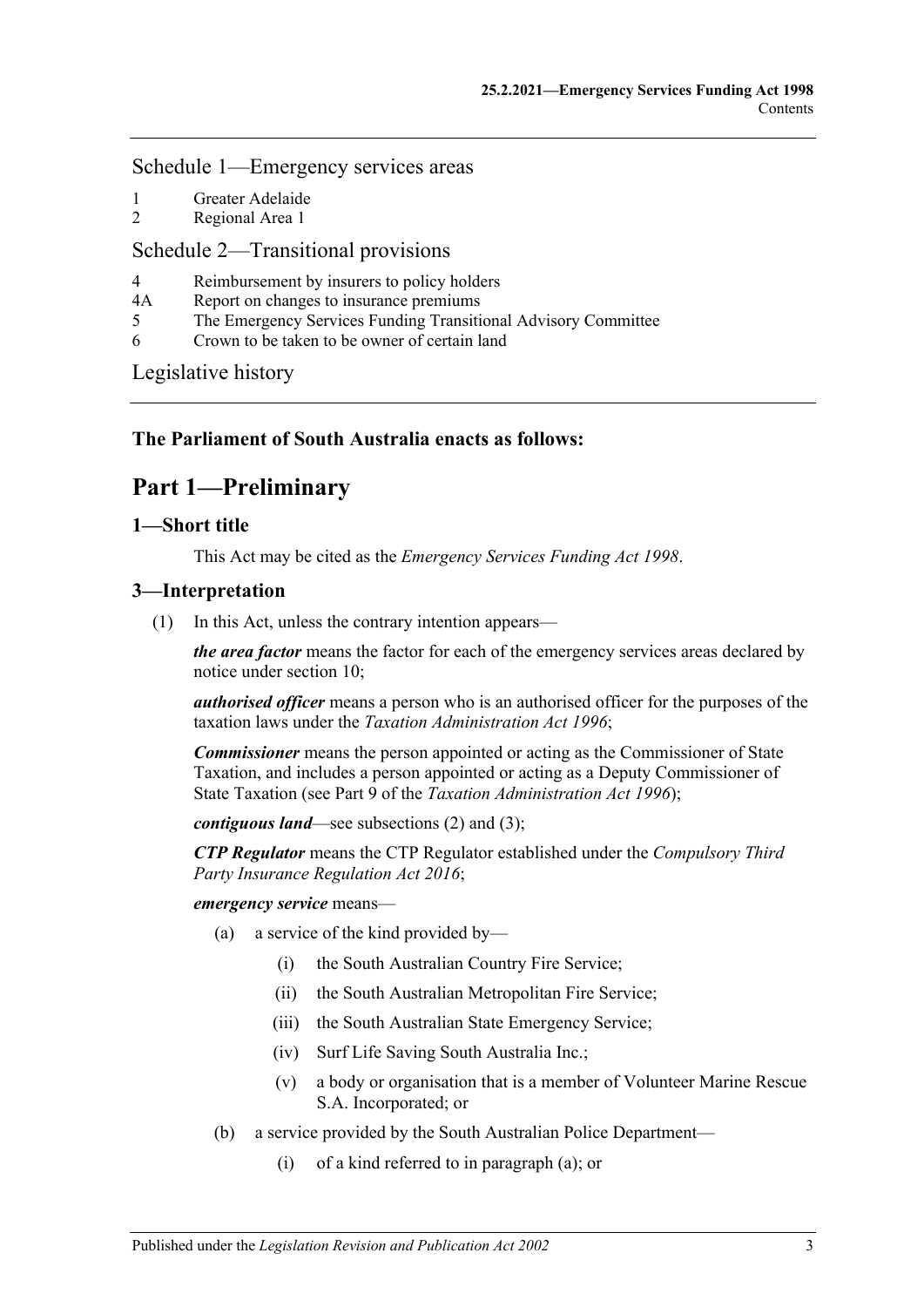## [Schedule 1—Emergency services areas](#page-29-3)

- 1 [Greater Adelaide](#page-29-4)
- 2 [Regional Area 1](#page-30-0)

## [Schedule 2—Transitional provisions](#page-31-0)

- 4 [Reimbursement by insurers to policy holders](#page-31-1)
- 4A [Report on changes to insurance premiums](#page-31-2)
- 5 [The Emergency Services Funding Transitional Advisory Committee](#page-31-3)
- 6 [Crown to be taken to be owner of certain land](#page-32-0)

[Legislative history](#page-34-0)

# <span id="page-2-0"></span>**The Parliament of South Australia enacts as follows:**

# **Part 1—Preliminary**

## <span id="page-2-1"></span>**1—Short title**

This Act may be cited as the *Emergency Services Funding Act 1998*.

## <span id="page-2-5"></span><span id="page-2-2"></span>**3—Interpretation**

(1) In this Act, unless the contrary intention appears—

*the area factor* means the factor for each of the emergency services areas declared by notice under [section](#page-9-0) 10;

*authorised officer* means a person who is an authorised officer for the purposes of the taxation laws under the *[Taxation Administration Act](http://www.legislation.sa.gov.au/index.aspx?action=legref&type=act&legtitle=Taxation%20Administration%20Act%201996) 1996*;

*Commissioner* means the person appointed or acting as the Commissioner of State Taxation, and includes a person appointed or acting as a Deputy Commissioner of State Taxation (see Part 9 of the *[Taxation Administration Act](http://www.legislation.sa.gov.au/index.aspx?action=legref&type=act&legtitle=Taxation%20Administration%20Act%201996) 1996*);

*contiguous land*—see [subsections](#page-4-5) (2) and [\(3\);](#page-4-6)

*CTP Regulator* means the CTP Regulator established under the *[Compulsory Third](http://www.legislation.sa.gov.au/index.aspx?action=legref&type=act&legtitle=Compulsory%20Third%20Party%20Insurance%20Regulation%20Act%202016)  [Party Insurance Regulation Act](http://www.legislation.sa.gov.au/index.aspx?action=legref&type=act&legtitle=Compulsory%20Third%20Party%20Insurance%20Regulation%20Act%202016) 2016*;

<span id="page-2-3"></span>*emergency service* means—

- (a) a service of the kind provided by—
	- (i) the South Australian Country Fire Service;
	- (ii) the South Australian Metropolitan Fire Service;
	- (iii) the South Australian State Emergency Service;
	- (iv) Surf Life Saving South Australia Inc.;
	- (v) a body or organisation that is a member of Volunteer Marine Rescue S.A. Incorporated; or
- <span id="page-2-4"></span>(b) a service provided by the South Australian Police Department—
	- (i) of a kind referred to in [paragraph](#page-2-3) (a); or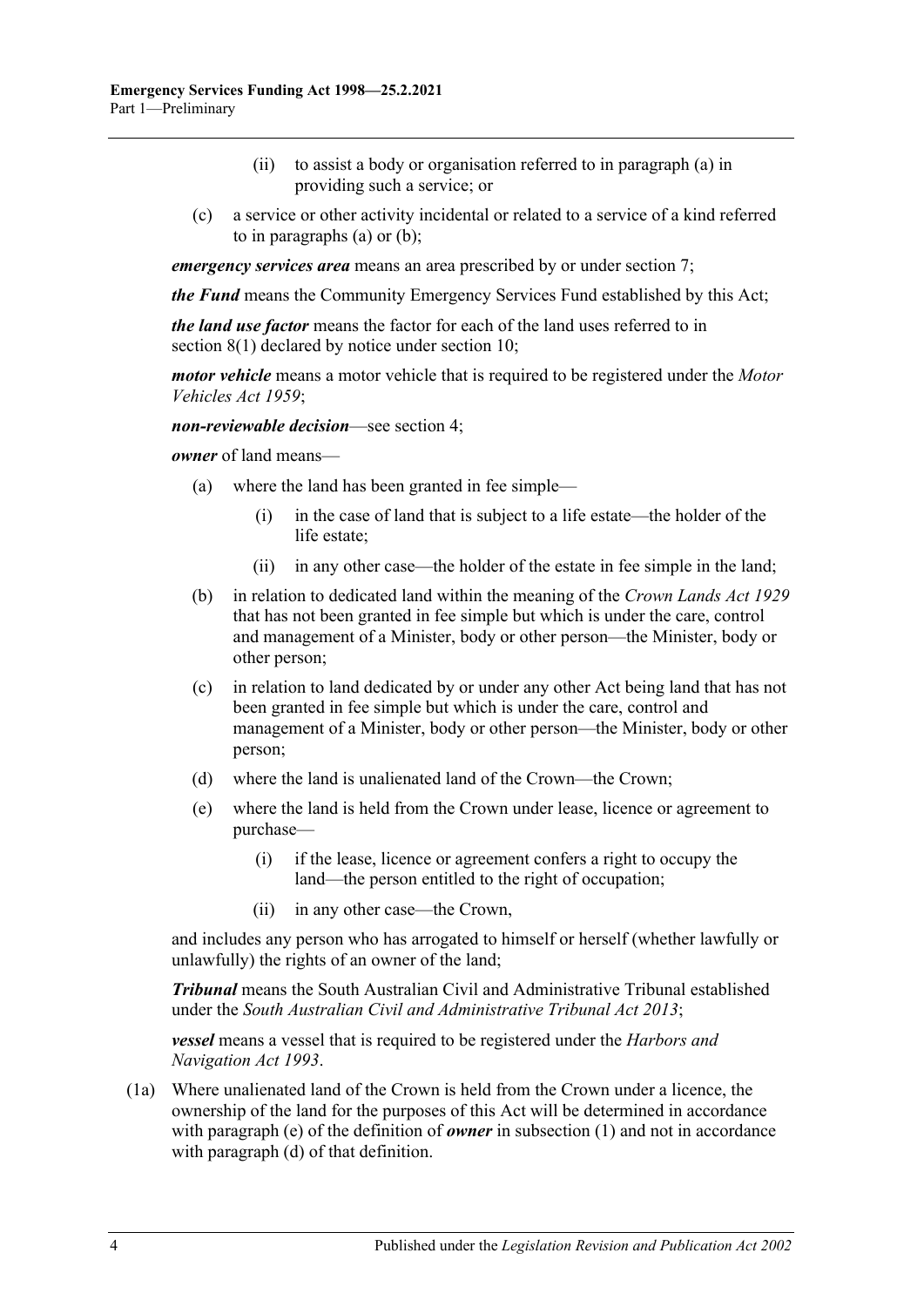- (ii) to assist a body or organisation referred to in [paragraph](#page-2-3) (a) in providing such a service; or
- (c) a service or other activity incidental or related to a service of a kind referred to in [paragraphs](#page-2-3) (a) or [\(b\);](#page-2-4)

*emergency services area* means an area prescribed by or under [section](#page-7-0) 7;

*the Fund* means the Community Emergency Services Fund established by this Act;

*the land use factor* means the factor for each of the land uses referred to in [section](#page-7-2) 8(1) declared by notice under [section](#page-9-0) 10;

*motor vehicle* means a motor vehicle that is required to be registered under the *[Motor](http://www.legislation.sa.gov.au/index.aspx?action=legref&type=act&legtitle=Motor%20Vehicles%20Act%201959)  [Vehicles Act](http://www.legislation.sa.gov.au/index.aspx?action=legref&type=act&legtitle=Motor%20Vehicles%20Act%201959) 1959*;

*non-reviewable decision*—see [section](#page-4-0) 4;

*owner* of land means—

- (a) where the land has been granted in fee simple—
	- (i) in the case of land that is subject to a life estate—the holder of the life estate;
	- (ii) in any other case—the holder of the estate in fee simple in the land;
- (b) in relation to dedicated land within the meaning of the *[Crown Lands Act](http://www.legislation.sa.gov.au/index.aspx?action=legref&type=act&legtitle=Crown%20Lands%20Act%201929) 1929* that has not been granted in fee simple but which is under the care, control and management of a Minister, body or other person—the Minister, body or other person;
- (c) in relation to land dedicated by or under any other Act being land that has not been granted in fee simple but which is under the care, control and management of a Minister, body or other person—the Minister, body or other person;
- <span id="page-3-1"></span>(d) where the land is unalienated land of the Crown—the Crown;
- <span id="page-3-0"></span>(e) where the land is held from the Crown under lease, licence or agreement to purchase—
	- (i) if the lease, licence or agreement confers a right to occupy the land—the person entitled to the right of occupation;
	- (ii) in any other case—the Crown,

and includes any person who has arrogated to himself or herself (whether lawfully or unlawfully) the rights of an owner of the land;

*Tribunal* means the South Australian Civil and Administrative Tribunal established under the *[South Australian Civil and Administrative Tribunal Act](http://www.legislation.sa.gov.au/index.aspx?action=legref&type=act&legtitle=South%20Australian%20Civil%20and%20Administrative%20Tribunal%20Act%202013) 2013*;

*vessel* means a vessel that is required to be registered under the *[Harbors and](http://www.legislation.sa.gov.au/index.aspx?action=legref&type=act&legtitle=Harbors%20and%20Navigation%20Act%201993)  [Navigation Act](http://www.legislation.sa.gov.au/index.aspx?action=legref&type=act&legtitle=Harbors%20and%20Navigation%20Act%201993) 1993*.

(1a) Where unalienated land of the Crown is held from the Crown under a licence, the ownership of the land for the purposes of this Act will be determined in accordance with [paragraph](#page-3-0) (e) of the definition of *owner* in [subsection](#page-2-5) (1) and not in accordance with [paragraph](#page-3-1) (d) of that definition.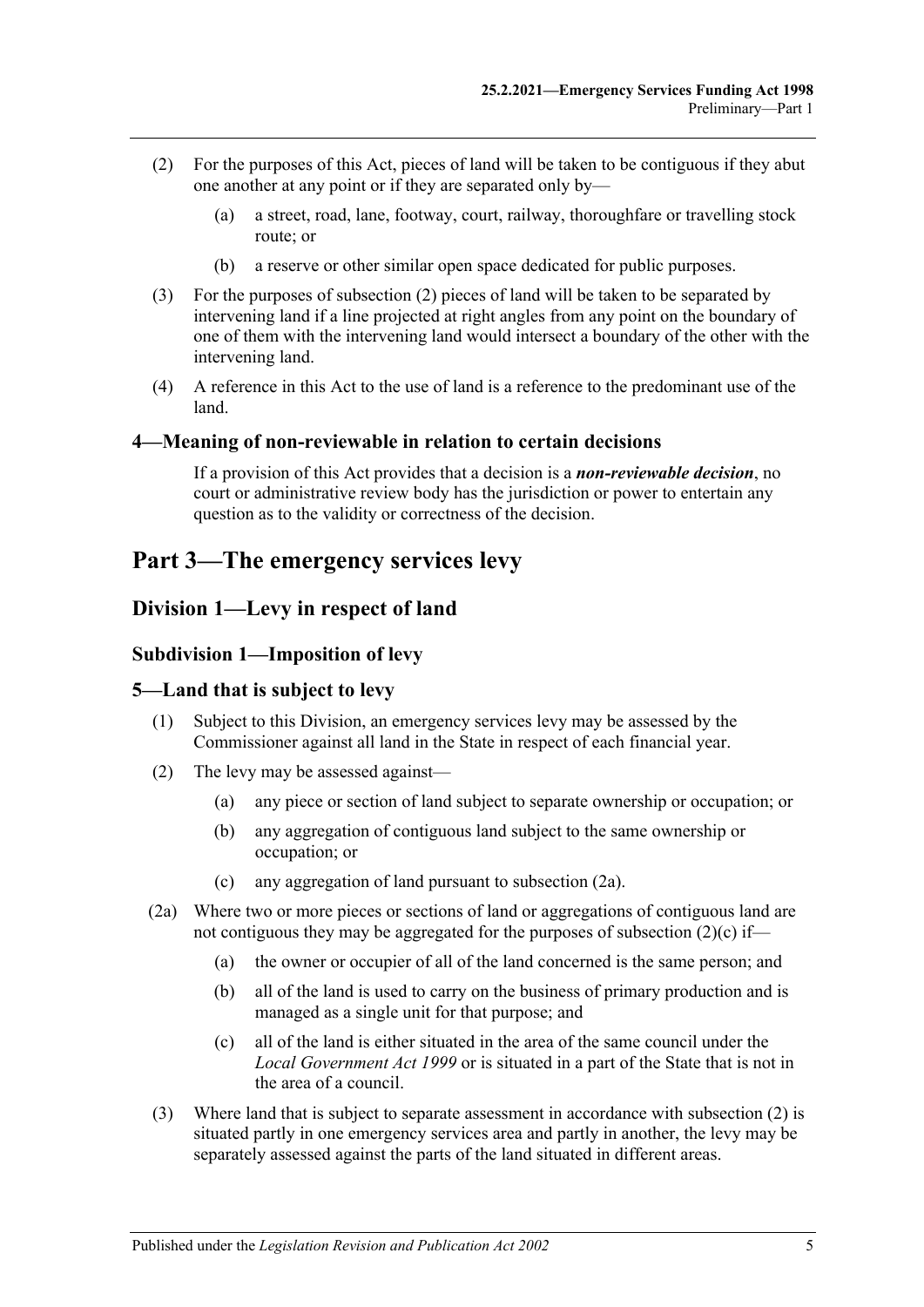- <span id="page-4-5"></span>(2) For the purposes of this Act, pieces of land will be taken to be contiguous if they abut one another at any point or if they are separated only by—
	- (a) a street, road, lane, footway, court, railway, thoroughfare or travelling stock route; or
	- (b) a reserve or other similar open space dedicated for public purposes.
- <span id="page-4-6"></span>(3) For the purposes of [subsection](#page-4-5) (2) pieces of land will be taken to be separated by intervening land if a line projected at right angles from any point on the boundary of one of them with the intervening land would intersect a boundary of the other with the intervening land.
- (4) A reference in this Act to the use of land is a reference to the predominant use of the land.

#### <span id="page-4-0"></span>**4—Meaning of non-reviewable in relation to certain decisions**

If a provision of this Act provides that a decision is a *non-reviewable decision*, no court or administrative review body has the jurisdiction or power to entertain any question as to the validity or correctness of the decision.

# <span id="page-4-2"></span><span id="page-4-1"></span>**Part 3—The emergency services levy**

## <span id="page-4-3"></span>**Division 1—Levy in respect of land**

#### **Subdivision 1—Imposition of levy**

#### <span id="page-4-4"></span>**5—Land that is subject to levy**

- (1) Subject to this Division, an emergency services levy may be assessed by the Commissioner against all land in the State in respect of each financial year.
- <span id="page-4-9"></span>(2) The levy may be assessed against—
	- (a) any piece or section of land subject to separate ownership or occupation; or
	- (b) any aggregation of contiguous land subject to the same ownership or occupation; or
	- (c) any aggregation of land pursuant to [subsection](#page-4-7) (2a).
- <span id="page-4-8"></span><span id="page-4-7"></span>(2a) Where two or more pieces or sections of land or aggregations of contiguous land are not contiguous they may be aggregated for the purposes of [subsection](#page-4-8)  $(2)(c)$  if—
	- (a) the owner or occupier of all of the land concerned is the same person; and
	- (b) all of the land is used to carry on the business of primary production and is managed as a single unit for that purpose; and
	- (c) all of the land is either situated in the area of the same council under the *[Local Government Act](http://www.legislation.sa.gov.au/index.aspx?action=legref&type=act&legtitle=Local%20Government%20Act%201999) 1999* or is situated in a part of the State that is not in the area of a council.
- (3) Where land that is subject to separate assessment in accordance with [subsection](#page-4-9) (2) is situated partly in one emergency services area and partly in another, the levy may be separately assessed against the parts of the land situated in different areas.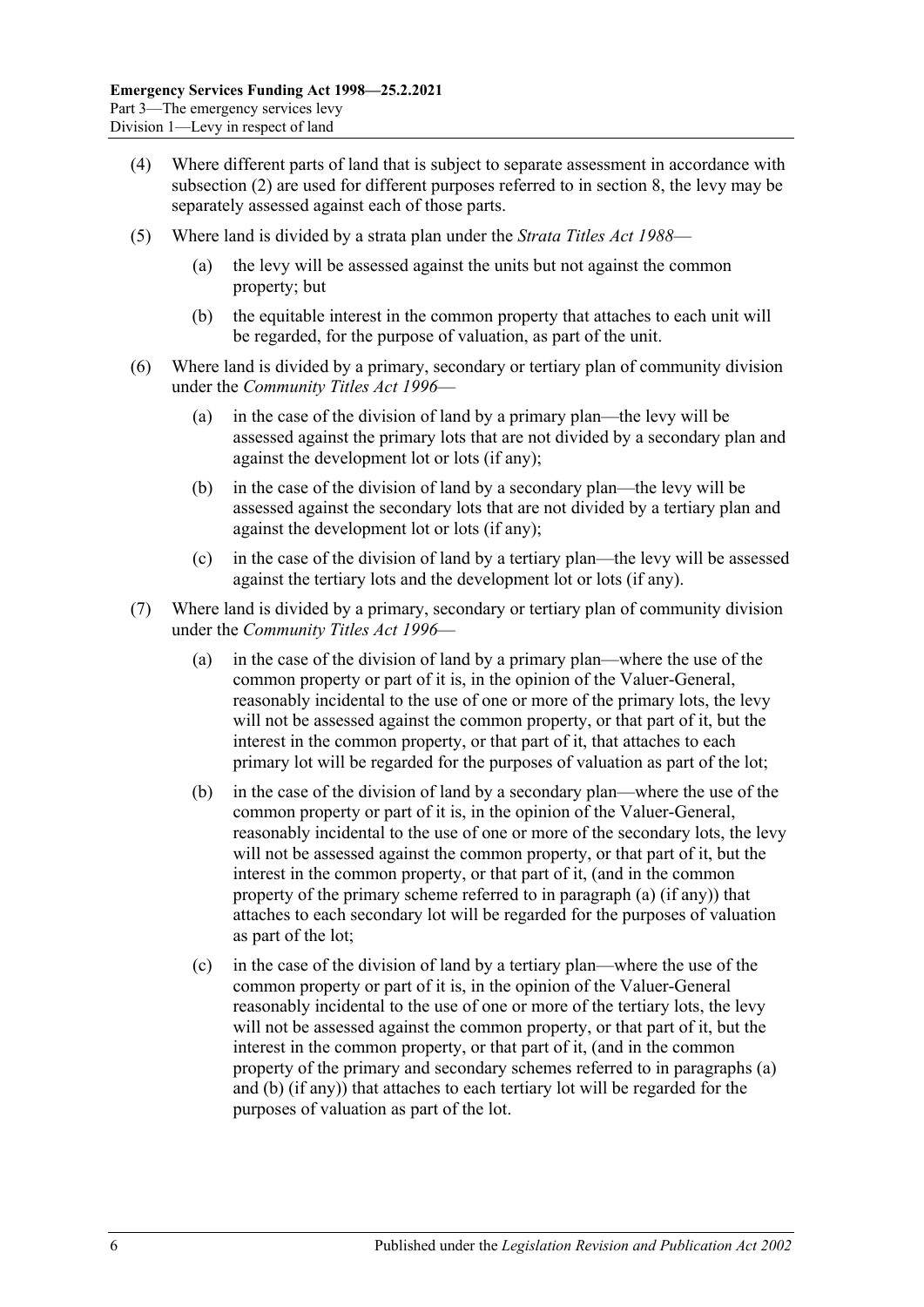- (4) Where different parts of land that is subject to separate assessment in accordance with [subsection](#page-4-9) (2) are used for different purposes referred to in [section](#page-7-1) 8, the levy may be separately assessed against each of those parts.
- (5) Where land is divided by a strata plan under the *[Strata Titles Act](http://www.legislation.sa.gov.au/index.aspx?action=legref&type=act&legtitle=Strata%20Titles%20Act%201988) 1988*
	- the levy will be assessed against the units but not against the common property; but
	- (b) the equitable interest in the common property that attaches to each unit will be regarded, for the purpose of valuation, as part of the unit.
- (6) Where land is divided by a primary, secondary or tertiary plan of community division under the *[Community Titles Act](http://www.legislation.sa.gov.au/index.aspx?action=legref&type=act&legtitle=Community%20Titles%20Act%201996) 1996*—
	- (a) in the case of the division of land by a primary plan—the levy will be assessed against the primary lots that are not divided by a secondary plan and against the development lot or lots (if any);
	- (b) in the case of the division of land by a secondary plan—the levy will be assessed against the secondary lots that are not divided by a tertiary plan and against the development lot or lots (if any);
	- (c) in the case of the division of land by a tertiary plan—the levy will be assessed against the tertiary lots and the development lot or lots (if any).
- <span id="page-5-1"></span><span id="page-5-0"></span>(7) Where land is divided by a primary, secondary or tertiary plan of community division under the *[Community Titles Act](http://www.legislation.sa.gov.au/index.aspx?action=legref&type=act&legtitle=Community%20Titles%20Act%201996) 1996*—
	- (a) in the case of the division of land by a primary plan—where the use of the common property or part of it is, in the opinion of the Valuer-General, reasonably incidental to the use of one or more of the primary lots, the levy will not be assessed against the common property, or that part of it, but the interest in the common property, or that part of it, that attaches to each primary lot will be regarded for the purposes of valuation as part of the lot;
	- (b) in the case of the division of land by a secondary plan—where the use of the common property or part of it is, in the opinion of the Valuer-General, reasonably incidental to the use of one or more of the secondary lots, the levy will not be assessed against the common property, or that part of it, but the interest in the common property, or that part of it, (and in the common property of the primary scheme referred to in [paragraph](#page-5-0) (a) (if any)) that attaches to each secondary lot will be regarded for the purposes of valuation as part of the lot;
	- (c) in the case of the division of land by a tertiary plan—where the use of the common property or part of it is, in the opinion of the Valuer-General reasonably incidental to the use of one or more of the tertiary lots, the levy will not be assessed against the common property, or that part of it, but the interest in the common property, or that part of it, (and in the common property of the primary and secondary schemes referred to in [paragraphs](#page-5-0) (a) and [\(b\)](#page-5-1) (if any)) that attaches to each tertiary lot will be regarded for the purposes of valuation as part of the lot.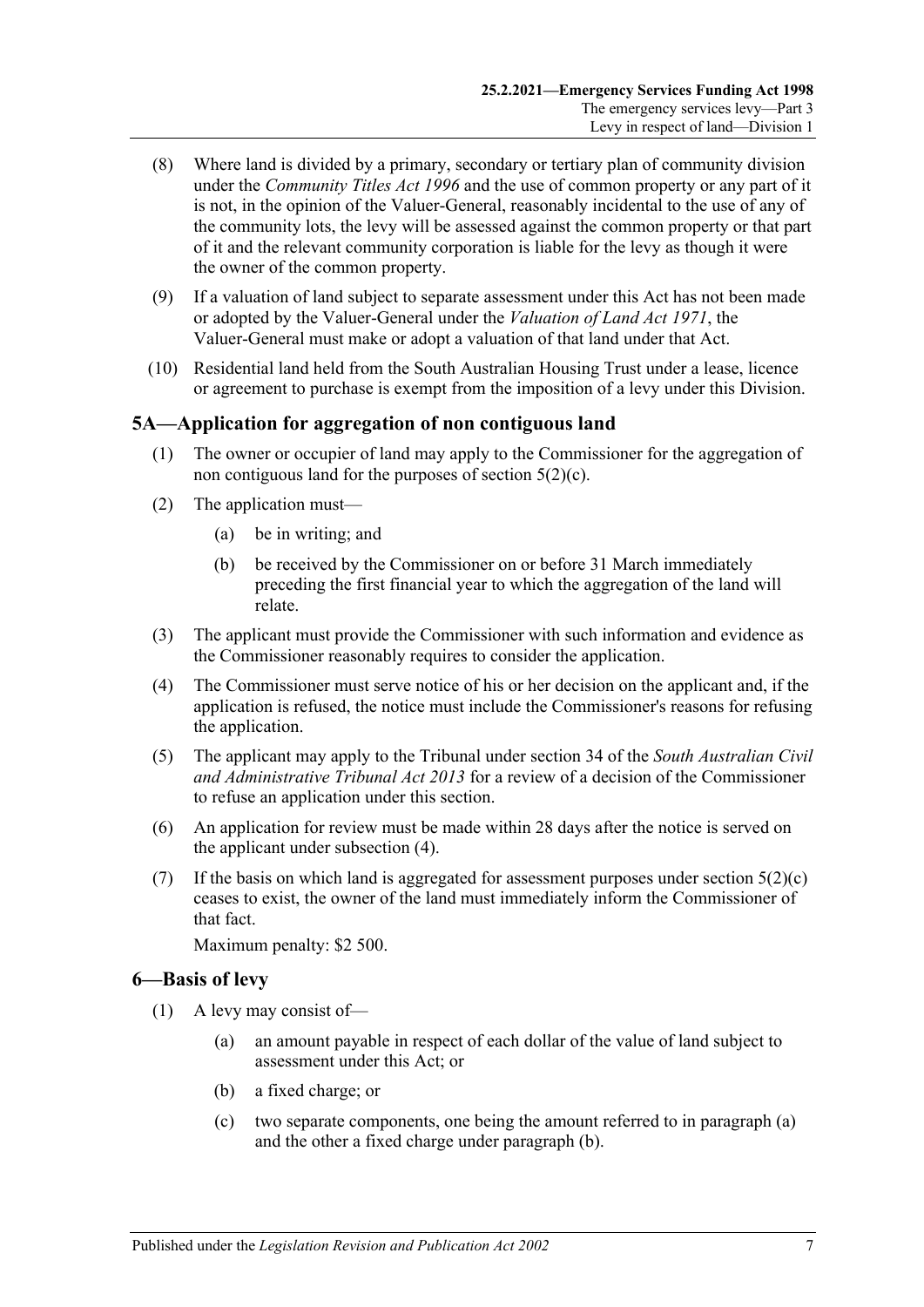- (8) Where land is divided by a primary, secondary or tertiary plan of community division under the *[Community Titles Act](http://www.legislation.sa.gov.au/index.aspx?action=legref&type=act&legtitle=Community%20Titles%20Act%201996) 1996* and the use of common property or any part of it is not, in the opinion of the Valuer-General, reasonably incidental to the use of any of the community lots, the levy will be assessed against the common property or that part of it and the relevant community corporation is liable for the levy as though it were the owner of the common property.
- (9) If a valuation of land subject to separate assessment under this Act has not been made or adopted by the Valuer-General under the *[Valuation of Land Act](http://www.legislation.sa.gov.au/index.aspx?action=legref&type=act&legtitle=Valuation%20of%20Land%20Act%201971) 1971*, the Valuer-General must make or adopt a valuation of that land under that Act.
- (10) Residential land held from the South Australian Housing Trust under a lease, licence or agreement to purchase is exempt from the imposition of a levy under this Division.

## <span id="page-6-0"></span>**5A—Application for aggregation of non contiguous land**

- (1) The owner or occupier of land may apply to the Commissioner for the aggregation of non contiguous land for the purposes of [section](#page-4-8) 5(2)(c).
- (2) The application must—
	- (a) be in writing; and
	- (b) be received by the Commissioner on or before 31 March immediately preceding the first financial year to which the aggregation of the land will relate.
- (3) The applicant must provide the Commissioner with such information and evidence as the Commissioner reasonably requires to consider the application.
- <span id="page-6-2"></span>(4) The Commissioner must serve notice of his or her decision on the applicant and, if the application is refused, the notice must include the Commissioner's reasons for refusing the application.
- (5) The applicant may apply to the Tribunal under section 34 of the *[South Australian Civil](http://www.legislation.sa.gov.au/index.aspx?action=legref&type=act&legtitle=South%20Australian%20Civil%20and%20Administrative%20Tribunal%20Act%202013)  [and Administrative Tribunal Act](http://www.legislation.sa.gov.au/index.aspx?action=legref&type=act&legtitle=South%20Australian%20Civil%20and%20Administrative%20Tribunal%20Act%202013) 2013* for a review of a decision of the Commissioner to refuse an application under this section.
- (6) An application for review must be made within 28 days after the notice is served on the applicant under [subsection](#page-6-2) (4).
- (7) If the basis on which land is aggregated for assessment purposes under [section](#page-4-8)  $5(2)(c)$ ceases to exist, the owner of the land must immediately inform the Commissioner of that fact.

Maximum penalty: \$2 500.

## <span id="page-6-5"></span><span id="page-6-1"></span>**6—Basis of levy**

- <span id="page-6-4"></span><span id="page-6-3"></span>(1) A levy may consist of—
	- (a) an amount payable in respect of each dollar of the value of land subject to assessment under this Act; or
	- (b) a fixed charge; or
	- (c) two separate components, one being the amount referred to in [paragraph](#page-6-3) (a) and the other a fixed charge under [paragraph](#page-6-4) (b).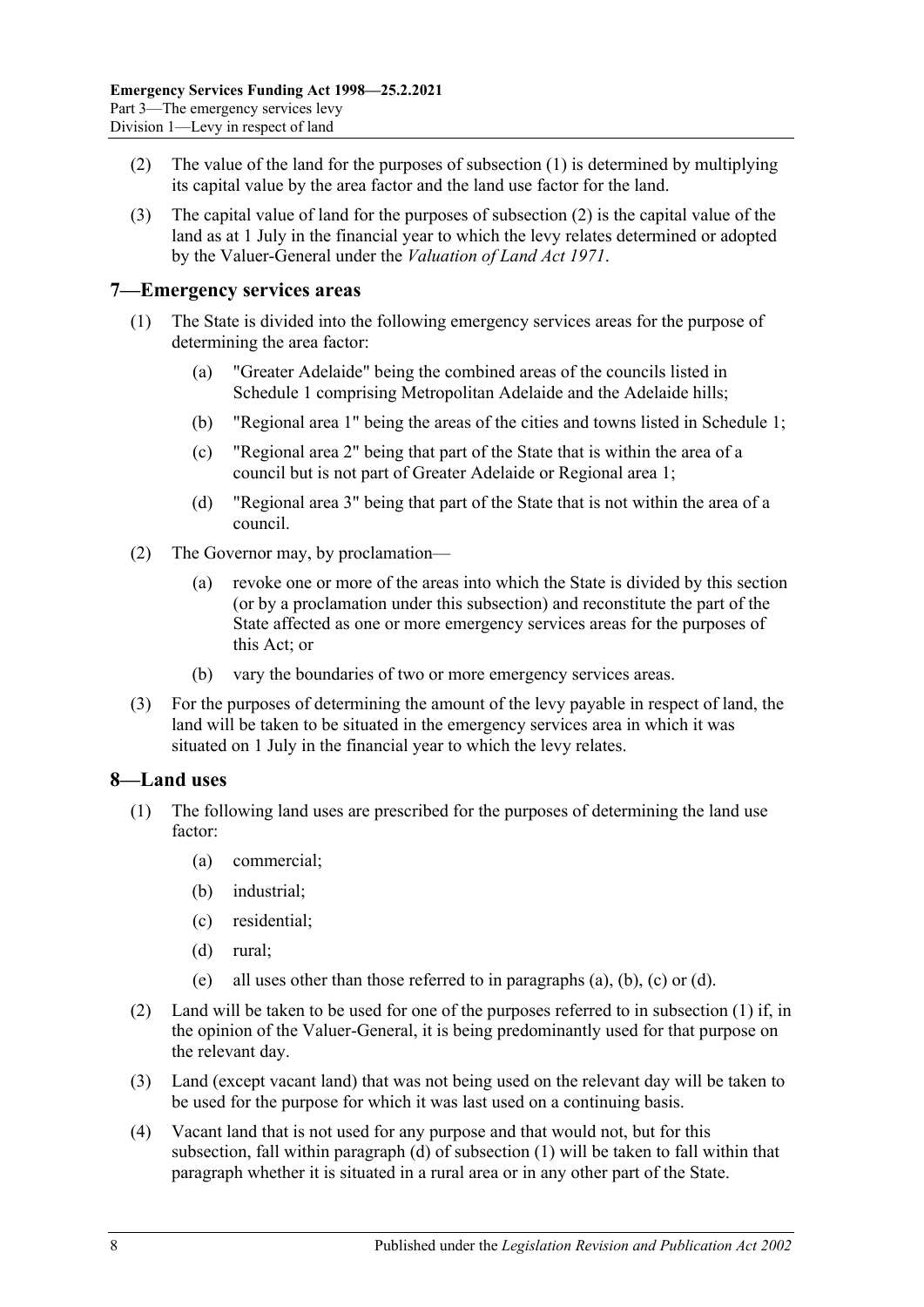- <span id="page-7-3"></span>(2) The value of the land for the purposes of [subsection](#page-6-5) (1) is determined by multiplying its capital value by the area factor and the land use factor for the land.
- (3) The capital value of land for the purposes of [subsection](#page-7-3) (2) is the capital value of the land as at 1 July in the financial year to which the levy relates determined or adopted by the Valuer-General under the *[Valuation of Land Act](http://www.legislation.sa.gov.au/index.aspx?action=legref&type=act&legtitle=Valuation%20of%20Land%20Act%201971) 1971*.

#### <span id="page-7-0"></span>**7—Emergency services areas**

- (1) The State is divided into the following emergency services areas for the purpose of determining the area factor:
	- (a) "Greater Adelaide" being the combined areas of the councils listed in [Schedule 1](#page-29-3) comprising Metropolitan Adelaide and the Adelaide hills;
	- (b) "Regional area 1" being the areas of the cities and towns listed in [Schedule 1;](#page-29-3)
	- (c) "Regional area 2" being that part of the State that is within the area of a council but is not part of Greater Adelaide or Regional area 1;
	- (d) "Regional area 3" being that part of the State that is not within the area of a council.
- (2) The Governor may, by proclamation—
	- (a) revoke one or more of the areas into which the State is divided by this section (or by a proclamation under this subsection) and reconstitute the part of the State affected as one or more emergency services areas for the purposes of this Act; or
	- (b) vary the boundaries of two or more emergency services areas.
- (3) For the purposes of determining the amount of the levy payable in respect of land, the land will be taken to be situated in the emergency services area in which it was situated on 1 July in the financial year to which the levy relates.

## <span id="page-7-2"></span><span id="page-7-1"></span>**8—Land uses**

- <span id="page-7-6"></span><span id="page-7-5"></span><span id="page-7-4"></span>(1) The following land uses are prescribed for the purposes of determining the land use factor:
	- (a) commercial;
	- (b) industrial;
	- (c) residential;
	- (d) rural;
	- (e) all uses other than those referred to in [paragraphs](#page-7-4) (a), [\(b\),](#page-7-5) [\(c\)](#page-7-6) or [\(d\).](#page-7-7)
- <span id="page-7-7"></span>(2) Land will be taken to be used for one of the purposes referred to in [subsection](#page-7-2) (1) if, in the opinion of the Valuer-General, it is being predominantly used for that purpose on the relevant day.
- (3) Land (except vacant land) that was not being used on the relevant day will be taken to be used for the purpose for which it was last used on a continuing basis.
- (4) Vacant land that is not used for any purpose and that would not, but for this subsection, fall within [paragraph](#page-7-7) (d) of [subsection](#page-7-2) (1) will be taken to fall within that paragraph whether it is situated in a rural area or in any other part of the State.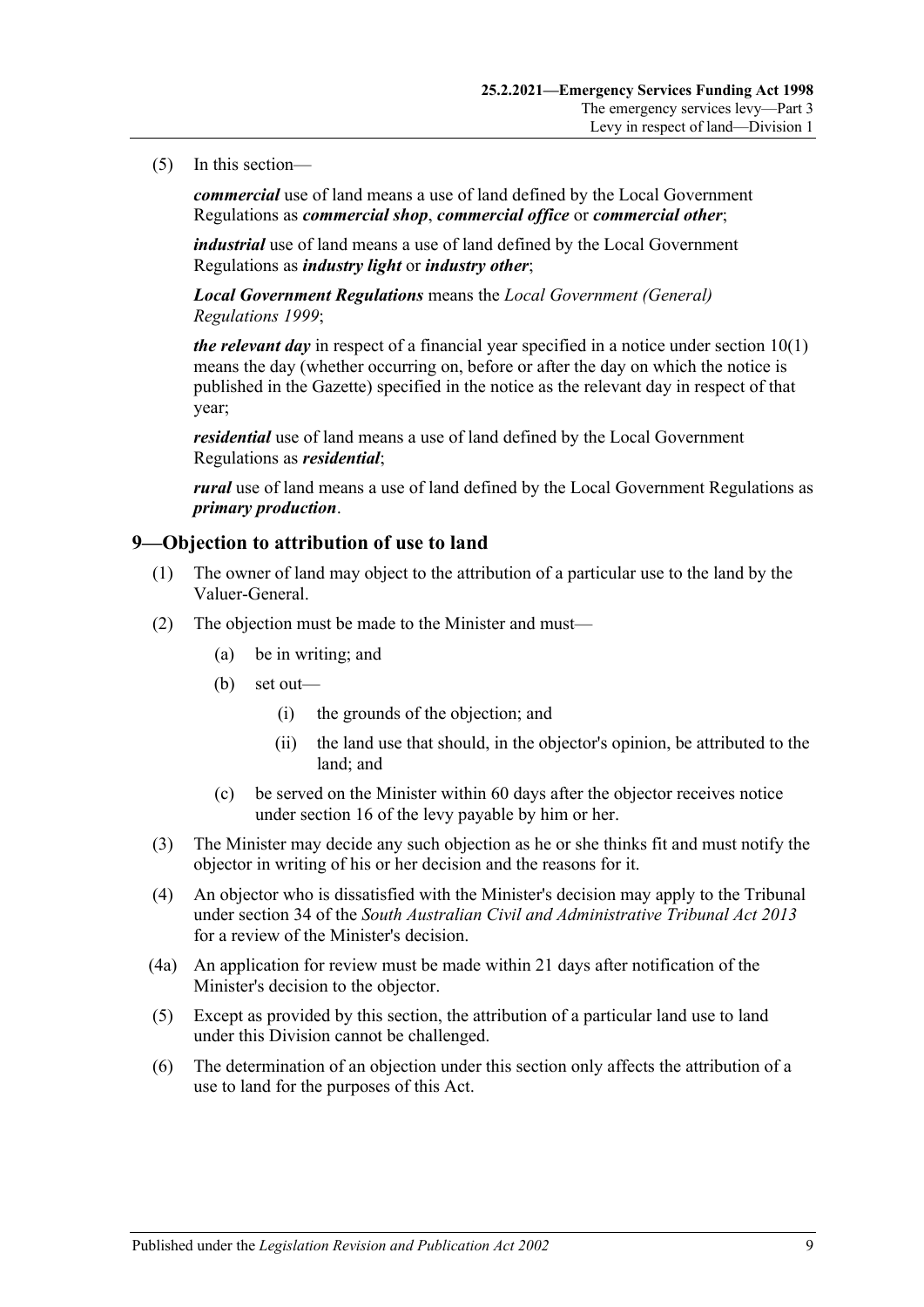#### (5) In this section—

*commercial* use of land means a use of land defined by the Local Government Regulations as *commercial shop*, *commercial office* or *commercial other*;

*industrial* use of land means a use of land defined by the Local Government Regulations as *industry light* or *industry other*;

*Local Government Regulations* means the *[Local Government \(General\)](http://www.legislation.sa.gov.au/index.aspx?action=legref&type=act&legtitle=Local%20Government%20(General)%20Regulations%201999)  [Regulations](http://www.legislation.sa.gov.au/index.aspx?action=legref&type=act&legtitle=Local%20Government%20(General)%20Regulations%201999) 1999*;

*the relevant day* in respect of a financial year specified in a notice under [section](#page-9-1) 10(1) means the day (whether occurring on, before or after the day on which the notice is published in the Gazette) specified in the notice as the relevant day in respect of that year;

*residential* use of land means a use of land defined by the Local Government Regulations as *residential*;

*rural* use of land means a use of land defined by the Local Government Regulations as *primary production*.

## <span id="page-8-0"></span>**9—Objection to attribution of use to land**

- (1) The owner of land may object to the attribution of a particular use to the land by the Valuer-General.
- (2) The objection must be made to the Minister and must—
	- (a) be in writing; and
	- (b) set out—
		- (i) the grounds of the objection; and
		- (ii) the land use that should, in the objector's opinion, be attributed to the land; and
	- (c) be served on the Minister within 60 days after the objector receives notice under [section](#page-12-0) 16 of the levy payable by him or her.
- (3) The Minister may decide any such objection as he or she thinks fit and must notify the objector in writing of his or her decision and the reasons for it.
- (4) An objector who is dissatisfied with the Minister's decision may apply to the Tribunal under section 34 of the *[South Australian Civil and Administrative Tribunal Act](http://www.legislation.sa.gov.au/index.aspx?action=legref&type=act&legtitle=South%20Australian%20Civil%20and%20Administrative%20Tribunal%20Act%202013) 2013* for a review of the Minister's decision.
- (4a) An application for review must be made within 21 days after notification of the Minister's decision to the objector.
- (5) Except as provided by this section, the attribution of a particular land use to land under this Division cannot be challenged.
- (6) The determination of an objection under this section only affects the attribution of a use to land for the purposes of this Act.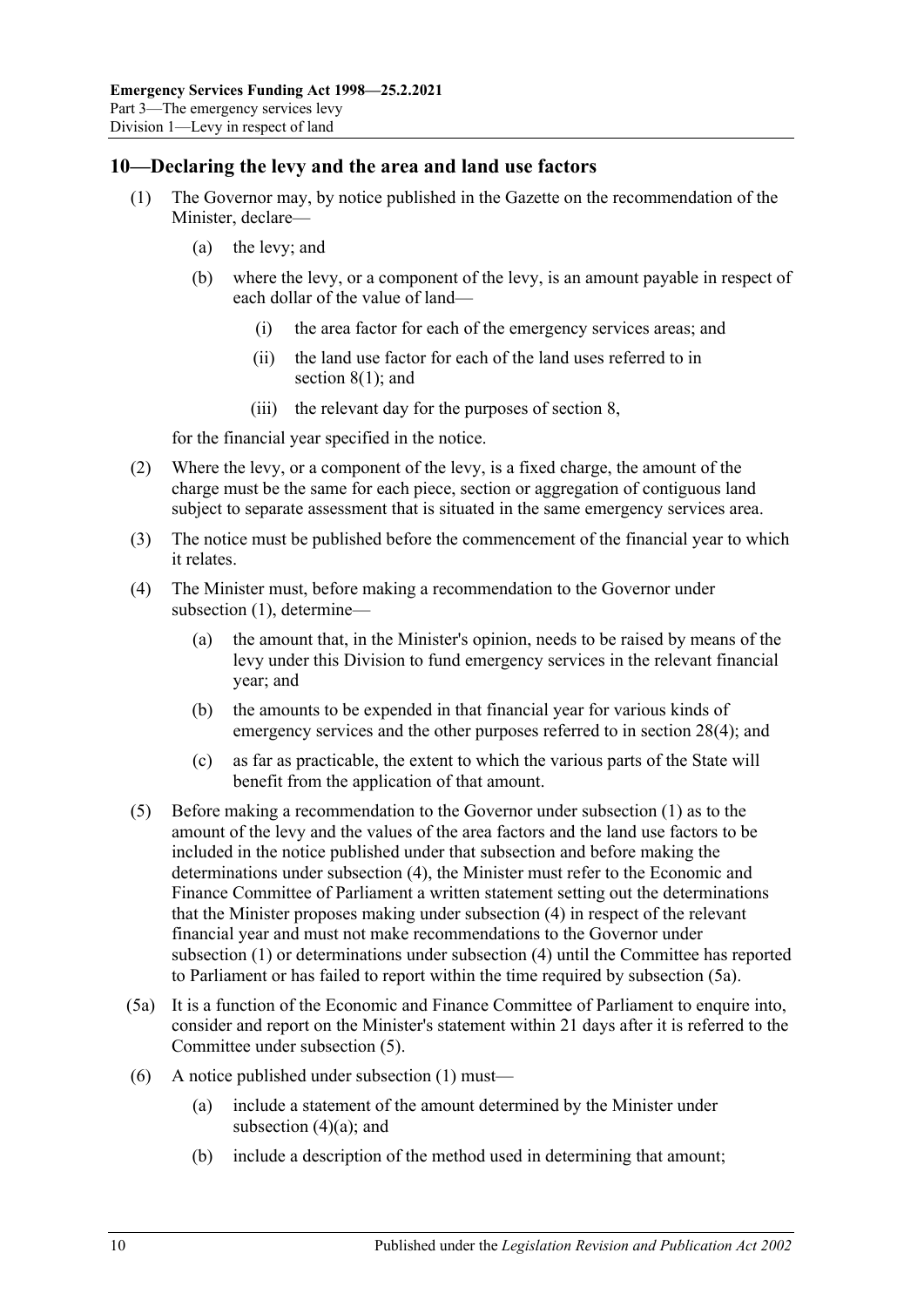## <span id="page-9-1"></span><span id="page-9-0"></span>**10—Declaring the levy and the area and land use factors**

- (1) The Governor may, by notice published in the Gazette on the recommendation of the Minister, declare—
	- (a) the levy; and
	- (b) where the levy, or a component of the levy, is an amount payable in respect of each dollar of the value of land—
		- (i) the area factor for each of the emergency services areas; and
		- (ii) the land use factor for each of the land uses referred to in [section](#page-7-2) 8(1); and
		- (iii) the relevant day for the purposes of [section](#page-7-1) 8,

for the financial year specified in the notice.

- (2) Where the levy, or a component of the levy, is a fixed charge, the amount of the charge must be the same for each piece, section or aggregation of contiguous land subject to separate assessment that is situated in the same emergency services area.
- (3) The notice must be published before the commencement of the financial year to which it relates.
- <span id="page-9-5"></span><span id="page-9-2"></span>(4) The Minister must, before making a recommendation to the Governor under [subsection](#page-9-1) (1), determine—
	- (a) the amount that, in the Minister's opinion, needs to be raised by means of the levy under this Division to fund emergency services in the relevant financial year; and
	- (b) the amounts to be expended in that financial year for various kinds of emergency services and the other purposes referred to in [section](#page-27-4) 28(4); and
	- (c) as far as practicable, the extent to which the various parts of the State will benefit from the application of that amount.
- <span id="page-9-4"></span>(5) Before making a recommendation to the Governor under [subsection](#page-9-1) (1) as to the amount of the levy and the values of the area factors and the land use factors to be included in the notice published under that subsection and before making the determinations under [subsection](#page-9-2) (4), the Minister must refer to the Economic and Finance Committee of Parliament a written statement setting out the determinations that the Minister proposes making under [subsection](#page-9-2) (4) in respect of the relevant financial year and must not make recommendations to the Governor under [subsection](#page-9-1) (1) or determinations under [subsection](#page-9-2) (4) until the Committee has reported to Parliament or has failed to report within the time required by [subsection](#page-9-3) (5a).
- <span id="page-9-3"></span>(5a) It is a function of the Economic and Finance Committee of Parliament to enquire into, consider and report on the Minister's statement within 21 days after it is referred to the Committee under [subsection](#page-9-4) (5).
- (6) A notice published under [subsection](#page-9-1) (1) must—
	- (a) include a statement of the amount determined by the Minister under [subsection](#page-9-5)  $(4)(a)$ ; and
	- (b) include a description of the method used in determining that amount;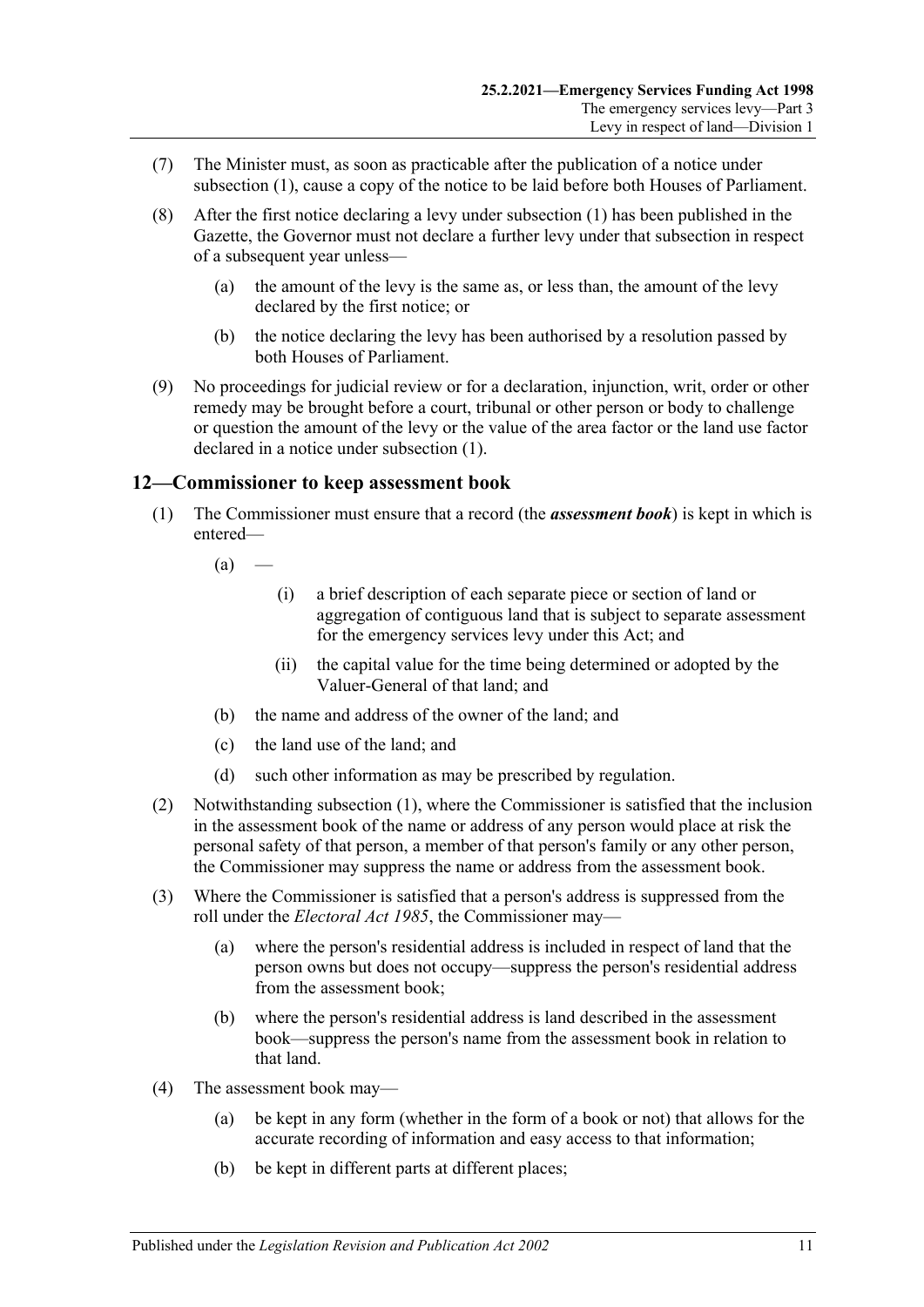- (7) The Minister must, as soon as practicable after the publication of a notice under [subsection](#page-9-1) (1), cause a copy of the notice to be laid before both Houses of Parliament.
- (8) After the first notice declaring a levy under [subsection](#page-9-1) (1) has been published in the Gazette, the Governor must not declare a further levy under that subsection in respect of a subsequent year unless—
	- (a) the amount of the levy is the same as, or less than, the amount of the levy declared by the first notice; or
	- (b) the notice declaring the levy has been authorised by a resolution passed by both Houses of Parliament.
- (9) No proceedings for judicial review or for a declaration, injunction, writ, order or other remedy may be brought before a court, tribunal or other person or body to challenge or question the amount of the levy or the value of the area factor or the land use factor declared in a notice under [subsection](#page-9-1) (1).

## <span id="page-10-1"></span><span id="page-10-0"></span>**12—Commissioner to keep assessment book**

(1) The Commissioner must ensure that a record (the *assessment book*) is kept in which is entered—

 $(a)$  —

- (i) a brief description of each separate piece or section of land or aggregation of contiguous land that is subject to separate assessment for the emergency services levy under this Act; and
- (ii) the capital value for the time being determined or adopted by the Valuer-General of that land; and
- (b) the name and address of the owner of the land; and
- (c) the land use of the land; and
- (d) such other information as may be prescribed by regulation.
- (2) Notwithstanding [subsection](#page-10-1) (1), where the Commissioner is satisfied that the inclusion in the assessment book of the name or address of any person would place at risk the personal safety of that person, a member of that person's family or any other person, the Commissioner may suppress the name or address from the assessment book.
- (3) Where the Commissioner is satisfied that a person's address is suppressed from the roll under the *[Electoral Act](http://www.legislation.sa.gov.au/index.aspx?action=legref&type=act&legtitle=Electoral%20Act%201985) 1985*, the Commissioner may—
	- (a) where the person's residential address is included in respect of land that the person owns but does not occupy—suppress the person's residential address from the assessment book;
	- (b) where the person's residential address is land described in the assessment book—suppress the person's name from the assessment book in relation to that land.
- (4) The assessment book may—
	- (a) be kept in any form (whether in the form of a book or not) that allows for the accurate recording of information and easy access to that information;
	- (b) be kept in different parts at different places;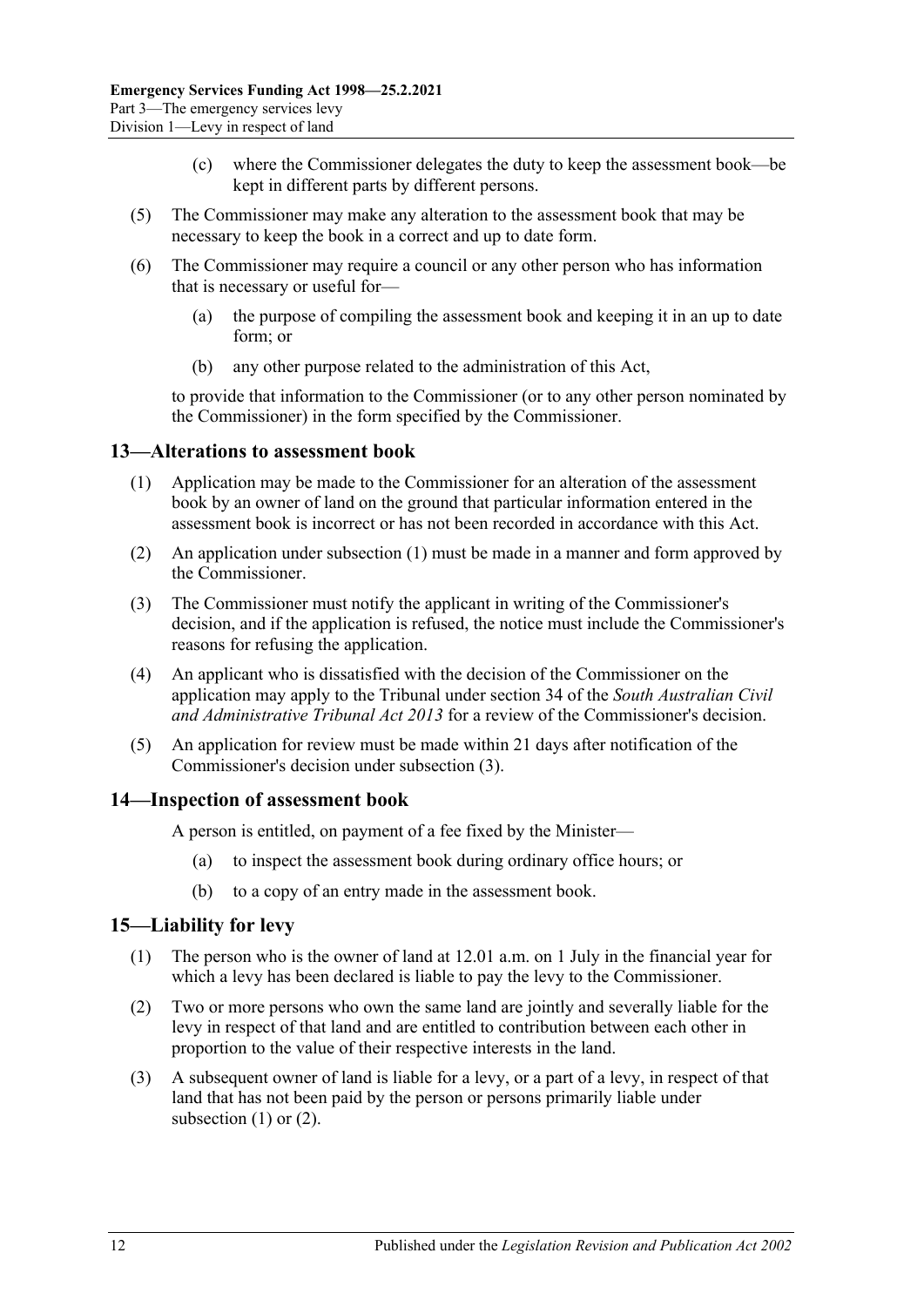- (c) where the Commissioner delegates the duty to keep the assessment book—be kept in different parts by different persons.
- (5) The Commissioner may make any alteration to the assessment book that may be necessary to keep the book in a correct and up to date form.
- (6) The Commissioner may require a council or any other person who has information that is necessary or useful for—
	- (a) the purpose of compiling the assessment book and keeping it in an up to date form; or
	- (b) any other purpose related to the administration of this Act,

to provide that information to the Commissioner (or to any other person nominated by the Commissioner) in the form specified by the Commissioner.

#### <span id="page-11-3"></span><span id="page-11-0"></span>**13—Alterations to assessment book**

- (1) Application may be made to the Commissioner for an alteration of the assessment book by an owner of land on the ground that particular information entered in the assessment book is incorrect or has not been recorded in accordance with this Act.
- (2) An application under [subsection](#page-11-3) (1) must be made in a manner and form approved by the Commissioner.
- <span id="page-11-4"></span>(3) The Commissioner must notify the applicant in writing of the Commissioner's decision, and if the application is refused, the notice must include the Commissioner's reasons for refusing the application.
- (4) An applicant who is dissatisfied with the decision of the Commissioner on the application may apply to the Tribunal under section 34 of the *[South Australian Civil](http://www.legislation.sa.gov.au/index.aspx?action=legref&type=act&legtitle=South%20Australian%20Civil%20and%20Administrative%20Tribunal%20Act%202013)  [and Administrative Tribunal Act](http://www.legislation.sa.gov.au/index.aspx?action=legref&type=act&legtitle=South%20Australian%20Civil%20and%20Administrative%20Tribunal%20Act%202013) 2013* for a review of the Commissioner's decision.
- (5) An application for review must be made within 21 days after notification of the Commissioner's decision under [subsection](#page-11-4) (3).

#### <span id="page-11-1"></span>**14—Inspection of assessment book**

A person is entitled, on payment of a fee fixed by the Minister—

- (a) to inspect the assessment book during ordinary office hours; or
- (b) to a copy of an entry made in the assessment book.

#### <span id="page-11-5"></span><span id="page-11-2"></span>**15—Liability for levy**

- (1) The person who is the owner of land at 12.01 a.m. on 1 July in the financial year for which a levy has been declared is liable to pay the levy to the Commissioner.
- <span id="page-11-6"></span>(2) Two or more persons who own the same land are jointly and severally liable for the levy in respect of that land and are entitled to contribution between each other in proportion to the value of their respective interests in the land.
- (3) A subsequent owner of land is liable for a levy, or a part of a levy, in respect of that land that has not been paid by the person or persons primarily liable under [subsection](#page-11-5) (1) or [\(2\).](#page-11-6)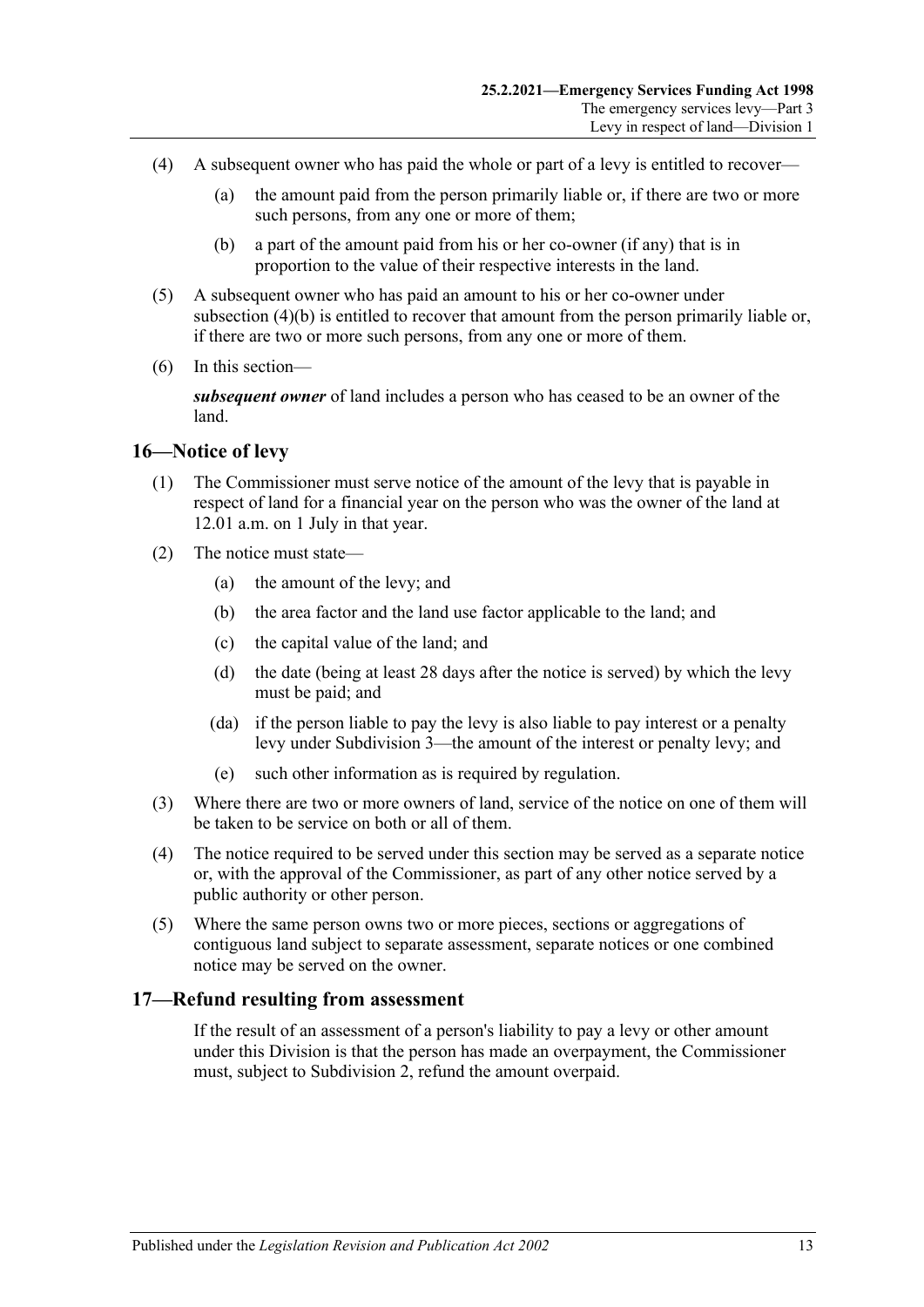- (4) A subsequent owner who has paid the whole or part of a levy is entitled to recover—
	- (a) the amount paid from the person primarily liable or, if there are two or more such persons, from any one or more of them;
	- (b) a part of the amount paid from his or her co-owner (if any) that is in proportion to the value of their respective interests in the land.
- <span id="page-12-2"></span>(5) A subsequent owner who has paid an amount to his or her co-owner under [subsection](#page-12-2) (4)(b) is entitled to recover that amount from the person primarily liable or, if there are two or more such persons, from any one or more of them.
- (6) In this section—

*subsequent owner* of land includes a person who has ceased to be an owner of the land.

#### <span id="page-12-0"></span>**16—Notice of levy**

- (1) The Commissioner must serve notice of the amount of the levy that is payable in respect of land for a financial year on the person who was the owner of the land at 12.01 a.m. on 1 July in that year.
- (2) The notice must state—
	- (a) the amount of the levy; and
	- (b) the area factor and the land use factor applicable to the land; and
	- (c) the capital value of the land; and
	- (d) the date (being at least 28 days after the notice is served) by which the levy must be paid; and
	- (da) if the person liable to pay the levy is also liable to pay interest or a penalty levy under [Subdivision 3—](#page-14-2)the amount of the interest or penalty levy; and
	- (e) such other information as is required by regulation.
- (3) Where there are two or more owners of land, service of the notice on one of them will be taken to be service on both or all of them.
- (4) The notice required to be served under this section may be served as a separate notice or, with the approval of the Commissioner, as part of any other notice served by a public authority or other person.
- (5) Where the same person owns two or more pieces, sections or aggregations of contiguous land subject to separate assessment, separate notices or one combined notice may be served on the owner.

#### <span id="page-12-1"></span>**17—Refund resulting from assessment**

If the result of an assessment of a person's liability to pay a levy or other amount under this Division is that the person has made an overpayment, the Commissioner must, subject to [Subdivision 2,](#page-13-2) refund the amount overpaid.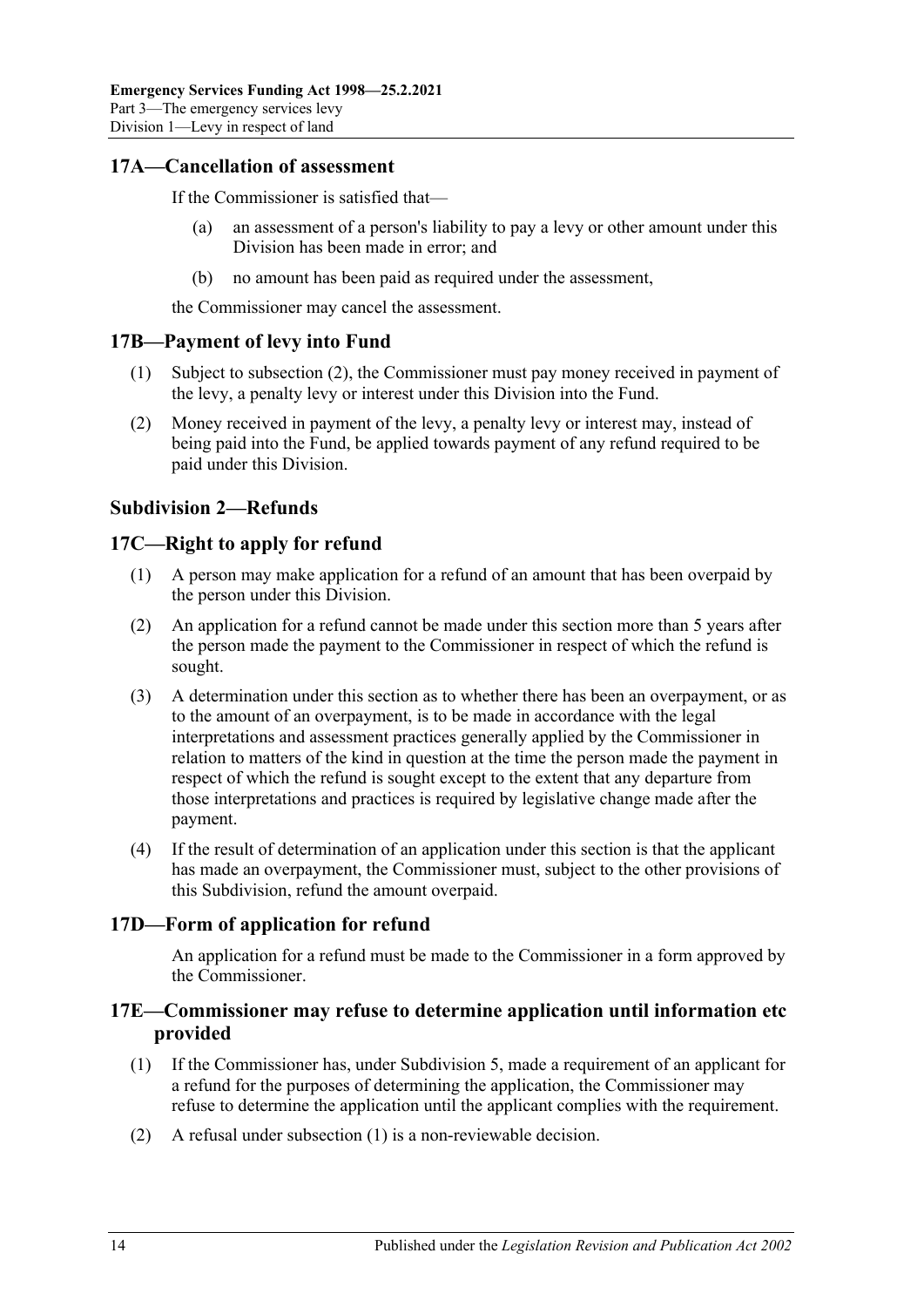## <span id="page-13-0"></span>**17A—Cancellation of assessment**

If the Commissioner is satisfied that—

- (a) an assessment of a person's liability to pay a levy or other amount under this Division has been made in error; and
- (b) no amount has been paid as required under the assessment,

the Commissioner may cancel the assessment.

## <span id="page-13-1"></span>**17B—Payment of levy into Fund**

- (1) Subject to [subsection](#page-13-6) (2), the Commissioner must pay money received in payment of the levy, a penalty levy or interest under this Division into the Fund.
- <span id="page-13-6"></span>(2) Money received in payment of the levy, a penalty levy or interest may, instead of being paid into the Fund, be applied towards payment of any refund required to be paid under this Division.

# <span id="page-13-2"></span>**Subdivision 2—Refunds**

# <span id="page-13-3"></span>**17C—Right to apply for refund**

- (1) A person may make application for a refund of an amount that has been overpaid by the person under this Division.
- (2) An application for a refund cannot be made under this section more than 5 years after the person made the payment to the Commissioner in respect of which the refund is sought.
- (3) A determination under this section as to whether there has been an overpayment, or as to the amount of an overpayment, is to be made in accordance with the legal interpretations and assessment practices generally applied by the Commissioner in relation to matters of the kind in question at the time the person made the payment in respect of which the refund is sought except to the extent that any departure from those interpretations and practices is required by legislative change made after the payment.
- (4) If the result of determination of an application under this section is that the applicant has made an overpayment, the Commissioner must, subject to the other provisions of this Subdivision, refund the amount overpaid.

# <span id="page-13-4"></span>**17D—Form of application for refund**

An application for a refund must be made to the Commissioner in a form approved by the Commissioner.

## <span id="page-13-5"></span>**17E—Commissioner may refuse to determine application until information etc provided**

- <span id="page-13-7"></span>(1) If the Commissioner has, under [Subdivision 5,](#page-20-3) made a requirement of an applicant for a refund for the purposes of determining the application, the Commissioner may refuse to determine the application until the applicant complies with the requirement.
- (2) A refusal under [subsection](#page-13-7) (1) is a non-reviewable decision.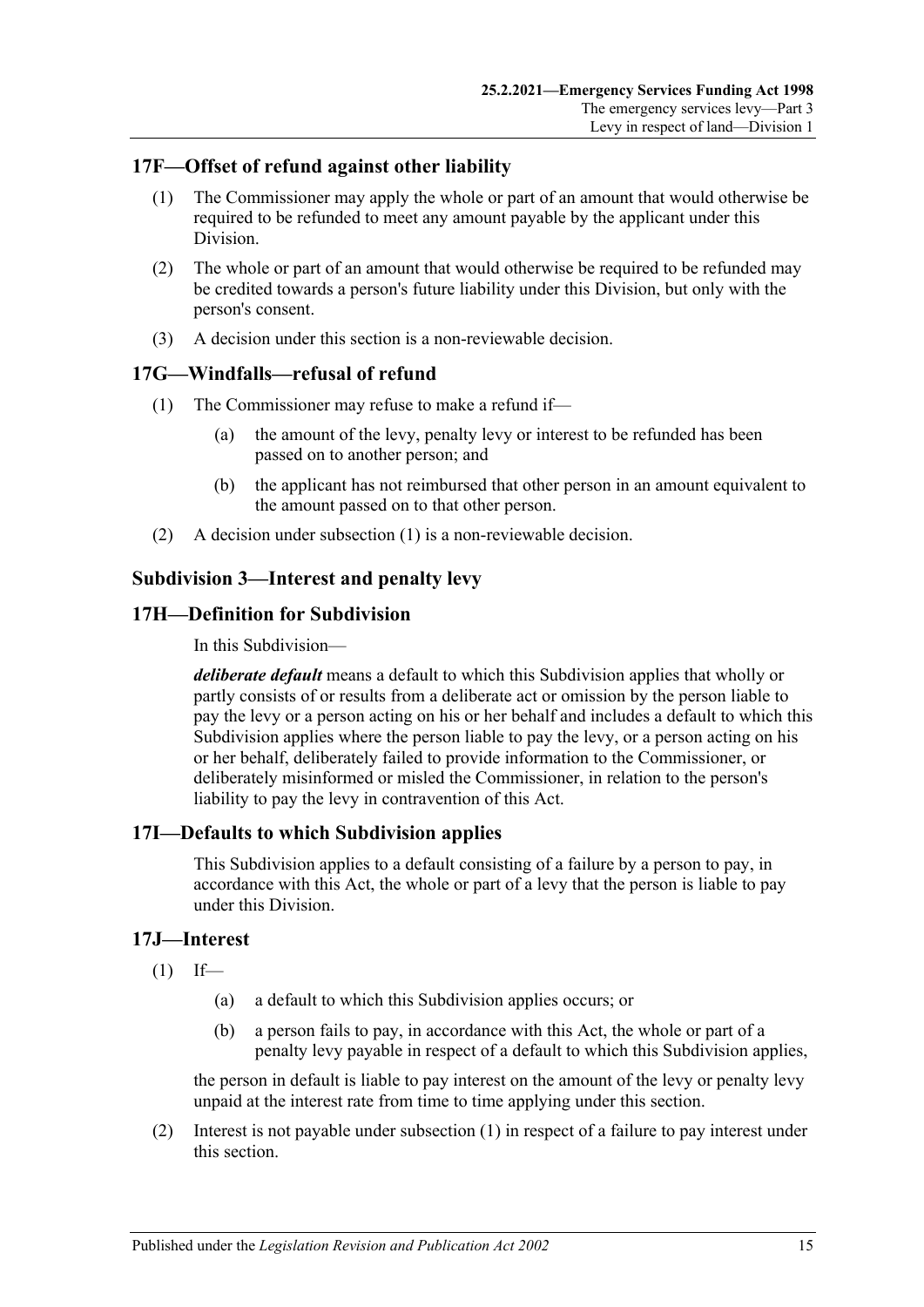## <span id="page-14-0"></span>**17F—Offset of refund against other liability**

- (1) The Commissioner may apply the whole or part of an amount that would otherwise be required to be refunded to meet any amount payable by the applicant under this Division.
- (2) The whole or part of an amount that would otherwise be required to be refunded may be credited towards a person's future liability under this Division, but only with the person's consent.
- (3) A decision under this section is a non-reviewable decision.

# <span id="page-14-6"></span><span id="page-14-1"></span>**17G—Windfalls—refusal of refund**

- (1) The Commissioner may refuse to make a refund if—
	- (a) the amount of the levy, penalty levy or interest to be refunded has been passed on to another person; and
	- (b) the applicant has not reimbursed that other person in an amount equivalent to the amount passed on to that other person.
- (2) A decision under [subsection](#page-14-6) (1) is a non-reviewable decision.

## <span id="page-14-2"></span>**Subdivision 3—Interest and penalty levy**

## <span id="page-14-3"></span>**17H—Definition for Subdivision**

In this Subdivision—

*deliberate default* means a default to which this Subdivision applies that wholly or partly consists of or results from a deliberate act or omission by the person liable to pay the levy or a person acting on his or her behalf and includes a default to which this Subdivision applies where the person liable to pay the levy, or a person acting on his or her behalf, deliberately failed to provide information to the Commissioner, or deliberately misinformed or misled the Commissioner, in relation to the person's liability to pay the levy in contravention of this Act.

## <span id="page-14-4"></span>**17I—Defaults to which Subdivision applies**

This Subdivision applies to a default consisting of a failure by a person to pay, in accordance with this Act, the whole or part of a levy that the person is liable to pay under this Division.

## <span id="page-14-7"></span><span id="page-14-5"></span>**17J—Interest**

- $(1)$  If—
	- (a) a default to which this Subdivision applies occurs; or
	- (b) a person fails to pay, in accordance with this Act, the whole or part of a penalty levy payable in respect of a default to which this Subdivision applies,

the person in default is liable to pay interest on the amount of the levy or penalty levy unpaid at the interest rate from time to time applying under this section.

(2) Interest is not payable under [subsection](#page-14-7) (1) in respect of a failure to pay interest under this section.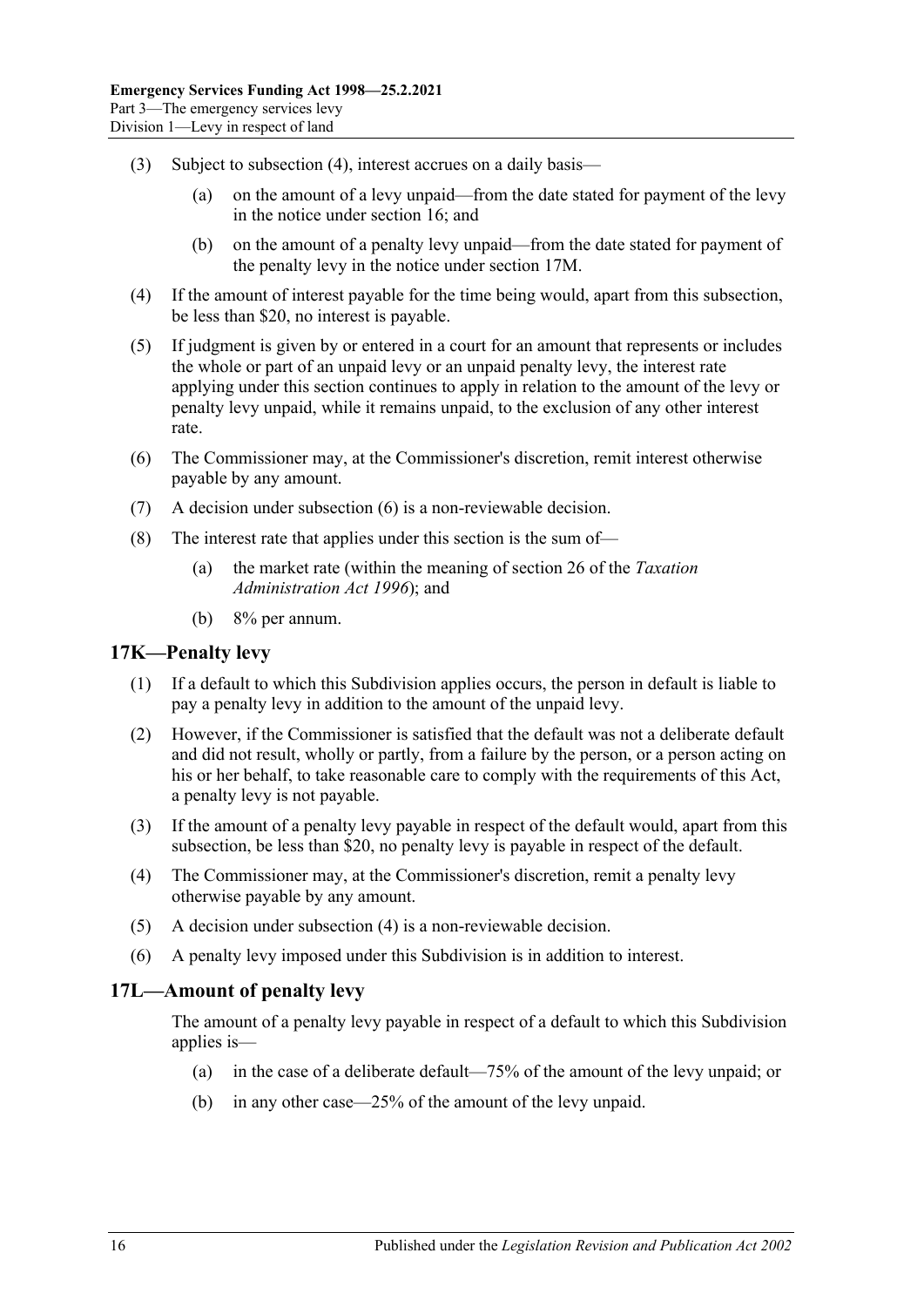- (3) Subject to [subsection](#page-15-2) (4), interest accrues on a daily basis—
	- (a) on the amount of a levy unpaid—from the date stated for payment of the levy in the notice under [section](#page-12-0) 16; and
	- (b) on the amount of a penalty levy unpaid—from the date stated for payment of the penalty levy in the notice under [section](#page-16-0) 17M.
- <span id="page-15-2"></span>(4) If the amount of interest payable for the time being would, apart from this subsection, be less than \$20, no interest is payable.
- (5) If judgment is given by or entered in a court for an amount that represents or includes the whole or part of an unpaid levy or an unpaid penalty levy, the interest rate applying under this section continues to apply in relation to the amount of the levy or penalty levy unpaid, while it remains unpaid, to the exclusion of any other interest rate.
- <span id="page-15-3"></span>(6) The Commissioner may, at the Commissioner's discretion, remit interest otherwise payable by any amount.
- (7) A decision under [subsection](#page-15-3) (6) is a non-reviewable decision.
- (8) The interest rate that applies under this section is the sum of—
	- (a) the market rate (within the meaning of section 26 of the *[Taxation](http://www.legislation.sa.gov.au/index.aspx?action=legref&type=act&legtitle=Taxation%20Administration%20Act%201996)  [Administration Act](http://www.legislation.sa.gov.au/index.aspx?action=legref&type=act&legtitle=Taxation%20Administration%20Act%201996) 1996*); and
	- (b) 8% per annum.

#### <span id="page-15-0"></span>**17K—Penalty levy**

- (1) If a default to which this Subdivision applies occurs, the person in default is liable to pay a penalty levy in addition to the amount of the unpaid levy.
- (2) However, if the Commissioner is satisfied that the default was not a deliberate default and did not result, wholly or partly, from a failure by the person, or a person acting on his or her behalf, to take reasonable care to comply with the requirements of this Act, a penalty levy is not payable.
- (3) If the amount of a penalty levy payable in respect of the default would, apart from this subsection, be less than \$20, no penalty levy is payable in respect of the default.
- <span id="page-15-4"></span>(4) The Commissioner may, at the Commissioner's discretion, remit a penalty levy otherwise payable by any amount.
- (5) A decision under [subsection](#page-15-4) (4) is a non-reviewable decision.
- (6) A penalty levy imposed under this Subdivision is in addition to interest.

## <span id="page-15-1"></span>**17L—Amount of penalty levy**

The amount of a penalty levy payable in respect of a default to which this Subdivision applies is—

- (a) in the case of a deliberate default—75% of the amount of the levy unpaid; or
- (b) in any other case—25% of the amount of the levy unpaid.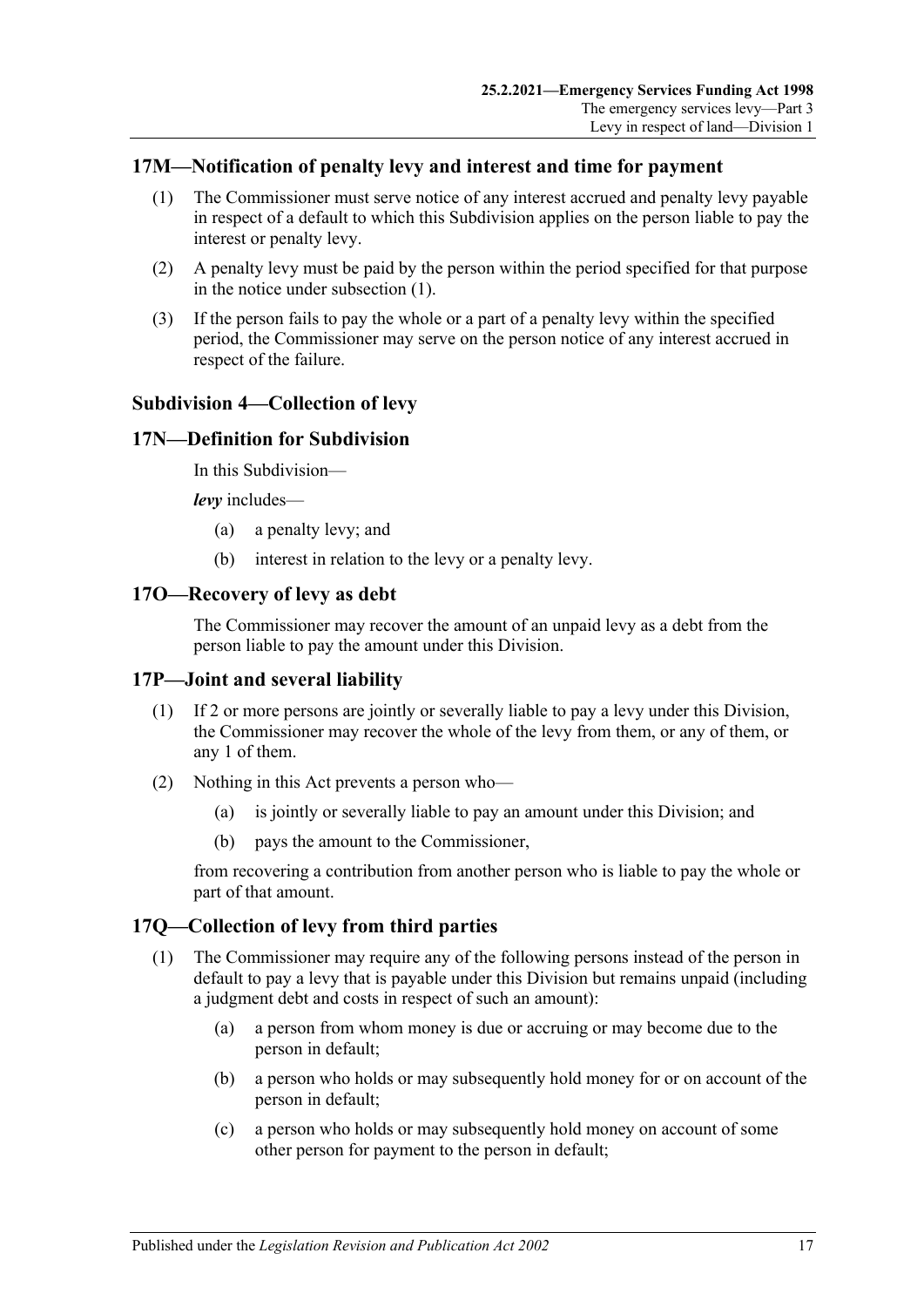## <span id="page-16-6"></span><span id="page-16-0"></span>**17M—Notification of penalty levy and interest and time for payment**

- (1) The Commissioner must serve notice of any interest accrued and penalty levy payable in respect of a default to which this Subdivision applies on the person liable to pay the interest or penalty levy.
- (2) A penalty levy must be paid by the person within the period specified for that purpose in the notice under [subsection](#page-16-6) (1).
- (3) If the person fails to pay the whole or a part of a penalty levy within the specified period, the Commissioner may serve on the person notice of any interest accrued in respect of the failure.

## <span id="page-16-1"></span>**Subdivision 4—Collection of levy**

## <span id="page-16-2"></span>**17N—Definition for Subdivision**

In this Subdivision—

*levy* includes—

- (a) a penalty levy; and
- (b) interest in relation to the levy or a penalty levy.

#### <span id="page-16-3"></span>**17O—Recovery of levy as debt**

The Commissioner may recover the amount of an unpaid levy as a debt from the person liable to pay the amount under this Division.

## <span id="page-16-4"></span>**17P—Joint and several liability**

- (1) If 2 or more persons are jointly or severally liable to pay a levy under this Division, the Commissioner may recover the whole of the levy from them, or any of them, or any 1 of them.
- (2) Nothing in this Act prevents a person who—
	- (a) is jointly or severally liable to pay an amount under this Division; and
	- (b) pays the amount to the Commissioner,

from recovering a contribution from another person who is liable to pay the whole or part of that amount.

## <span id="page-16-7"></span><span id="page-16-5"></span>**17Q—Collection of levy from third parties**

- (1) The Commissioner may require any of the following persons instead of the person in default to pay a levy that is payable under this Division but remains unpaid (including a judgment debt and costs in respect of such an amount):
	- (a) a person from whom money is due or accruing or may become due to the person in default;
	- (b) a person who holds or may subsequently hold money for or on account of the person in default;
	- (c) a person who holds or may subsequently hold money on account of some other person for payment to the person in default;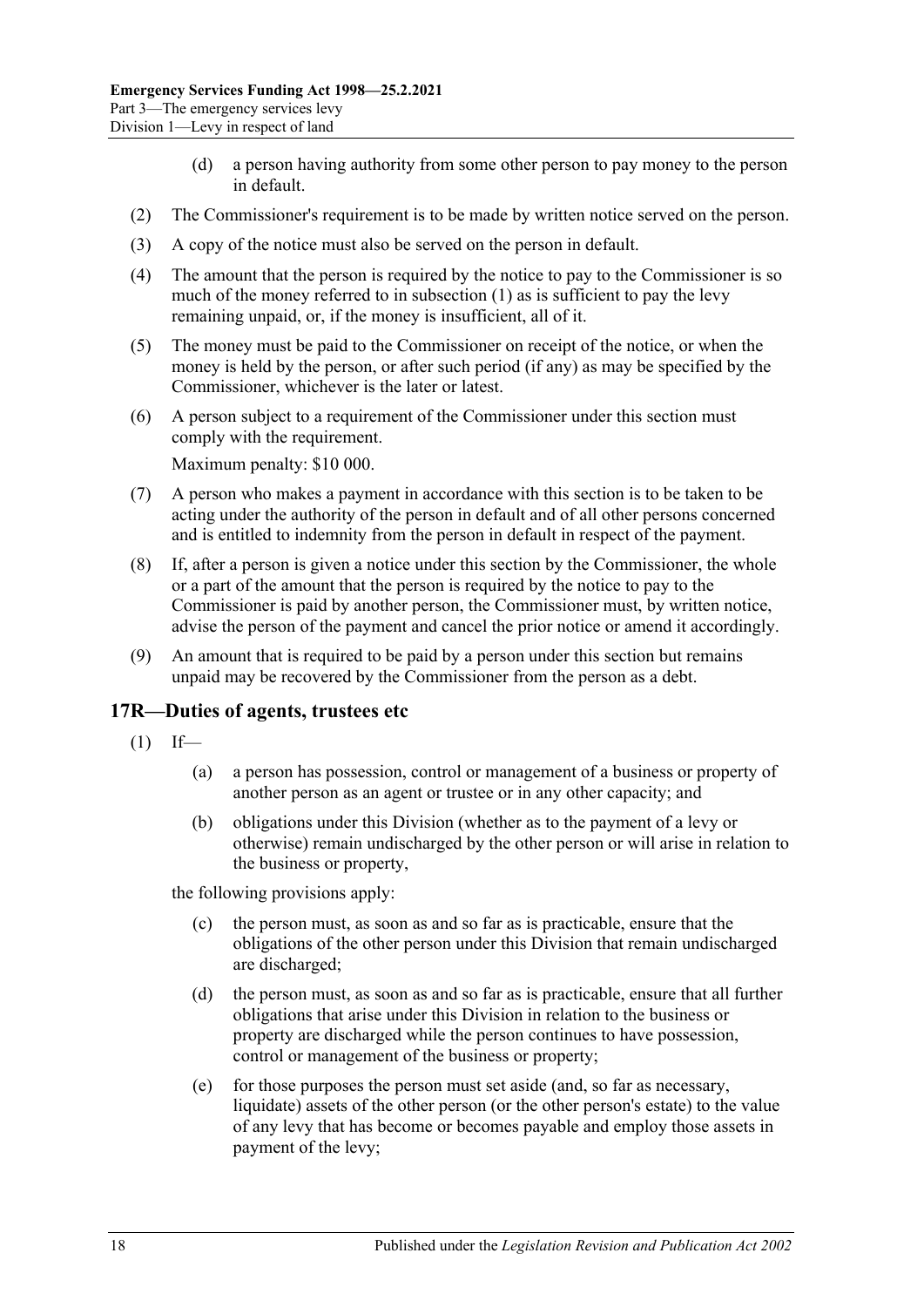- (d) a person having authority from some other person to pay money to the person in default.
- (2) The Commissioner's requirement is to be made by written notice served on the person.
- (3) A copy of the notice must also be served on the person in default.
- (4) The amount that the person is required by the notice to pay to the Commissioner is so much of the money referred to in [subsection](#page-16-7) (1) as is sufficient to pay the levy remaining unpaid, or, if the money is insufficient, all of it.
- (5) The money must be paid to the Commissioner on receipt of the notice, or when the money is held by the person, or after such period (if any) as may be specified by the Commissioner, whichever is the later or latest.
- (6) A person subject to a requirement of the Commissioner under this section must comply with the requirement.

Maximum penalty: \$10 000.

- (7) A person who makes a payment in accordance with this section is to be taken to be acting under the authority of the person in default and of all other persons concerned and is entitled to indemnity from the person in default in respect of the payment.
- (8) If, after a person is given a notice under this section by the Commissioner, the whole or a part of the amount that the person is required by the notice to pay to the Commissioner is paid by another person, the Commissioner must, by written notice, advise the person of the payment and cancel the prior notice or amend it accordingly.
- (9) An amount that is required to be paid by a person under this section but remains unpaid may be recovered by the Commissioner from the person as a debt.

#### <span id="page-17-1"></span><span id="page-17-0"></span>**17R—Duties of agents, trustees etc**

- $(1)$  If—
	- (a) a person has possession, control or management of a business or property of another person as an agent or trustee or in any other capacity; and
	- (b) obligations under this Division (whether as to the payment of a levy or otherwise) remain undischarged by the other person or will arise in relation to the business or property,

the following provisions apply:

- (c) the person must, as soon as and so far as is practicable, ensure that the obligations of the other person under this Division that remain undischarged are discharged;
- (d) the person must, as soon as and so far as is practicable, ensure that all further obligations that arise under this Division in relation to the business or property are discharged while the person continues to have possession, control or management of the business or property;
- (e) for those purposes the person must set aside (and, so far as necessary, liquidate) assets of the other person (or the other person's estate) to the value of any levy that has become or becomes payable and employ those assets in payment of the levy;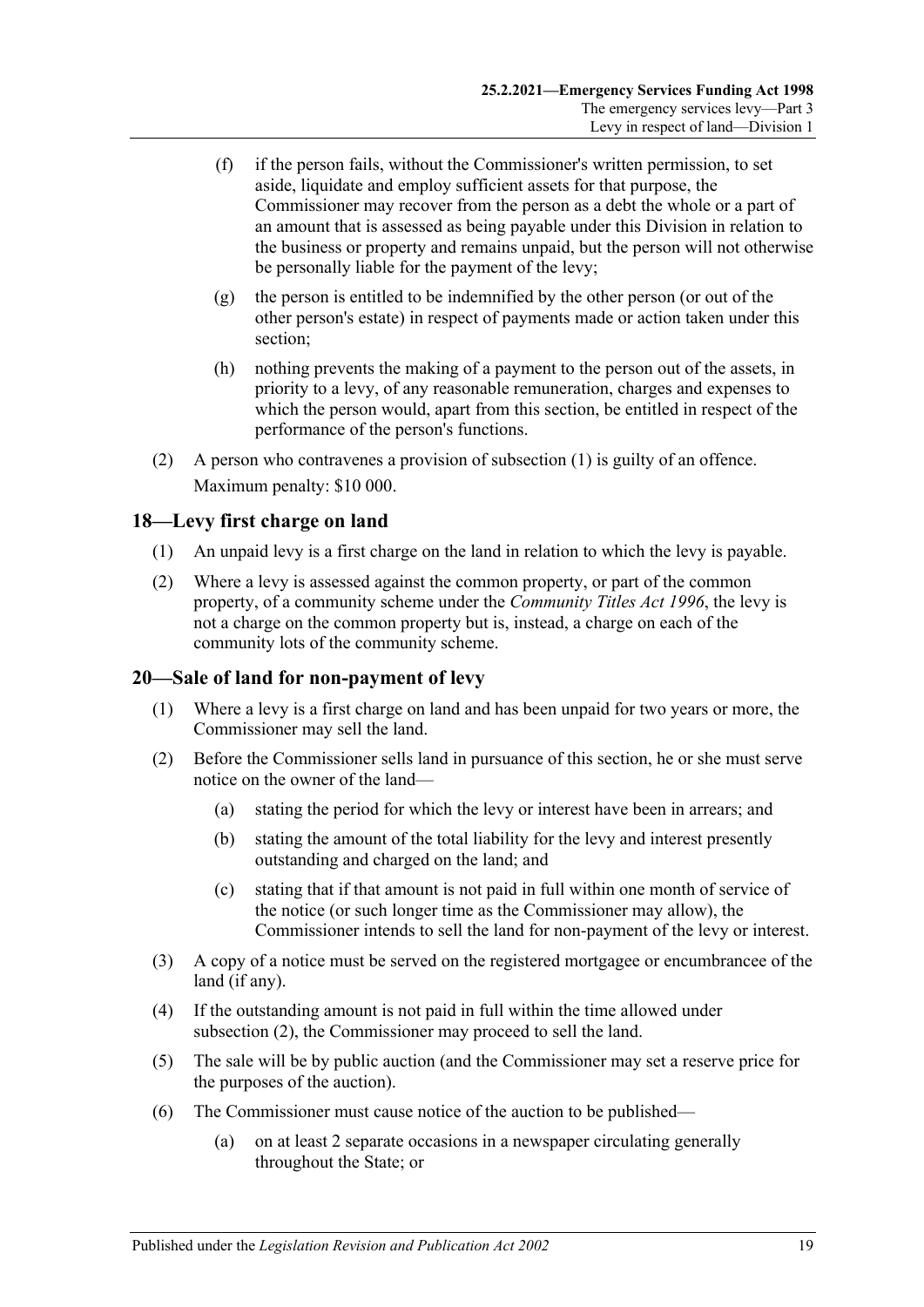- (f) if the person fails, without the Commissioner's written permission, to set aside, liquidate and employ sufficient assets for that purpose, the Commissioner may recover from the person as a debt the whole or a part of an amount that is assessed as being payable under this Division in relation to the business or property and remains unpaid, but the person will not otherwise be personally liable for the payment of the levy;
- (g) the person is entitled to be indemnified by the other person (or out of the other person's estate) in respect of payments made or action taken under this section;
- (h) nothing prevents the making of a payment to the person out of the assets, in priority to a levy, of any reasonable remuneration, charges and expenses to which the person would, apart from this section, be entitled in respect of the performance of the person's functions.
- (2) A person who contravenes a provision of [subsection](#page-17-1) (1) is guilty of an offence. Maximum penalty: \$10 000.

# <span id="page-18-0"></span>**18—Levy first charge on land**

- (1) An unpaid levy is a first charge on the land in relation to which the levy is payable.
- (2) Where a levy is assessed against the common property, or part of the common property, of a community scheme under the *[Community Titles Act](http://www.legislation.sa.gov.au/index.aspx?action=legref&type=act&legtitle=Community%20Titles%20Act%201996) 1996*, the levy is not a charge on the common property but is, instead, a charge on each of the community lots of the community scheme.

## <span id="page-18-1"></span>**20—Sale of land for non-payment of levy**

- (1) Where a levy is a first charge on land and has been unpaid for two years or more, the Commissioner may sell the land.
- <span id="page-18-2"></span>(2) Before the Commissioner sells land in pursuance of this section, he or she must serve notice on the owner of the land—
	- (a) stating the period for which the levy or interest have been in arrears; and
	- (b) stating the amount of the total liability for the levy and interest presently outstanding and charged on the land; and
	- (c) stating that if that amount is not paid in full within one month of service of the notice (or such longer time as the Commissioner may allow), the Commissioner intends to sell the land for non-payment of the levy or interest.
- (3) A copy of a notice must be served on the registered mortgagee or encumbrancee of the land (if any).
- (4) If the outstanding amount is not paid in full within the time allowed under [subsection](#page-18-2) (2), the Commissioner may proceed to sell the land.
- (5) The sale will be by public auction (and the Commissioner may set a reserve price for the purposes of the auction).
- (6) The Commissioner must cause notice of the auction to be published—
	- (a) on at least 2 separate occasions in a newspaper circulating generally throughout the State; or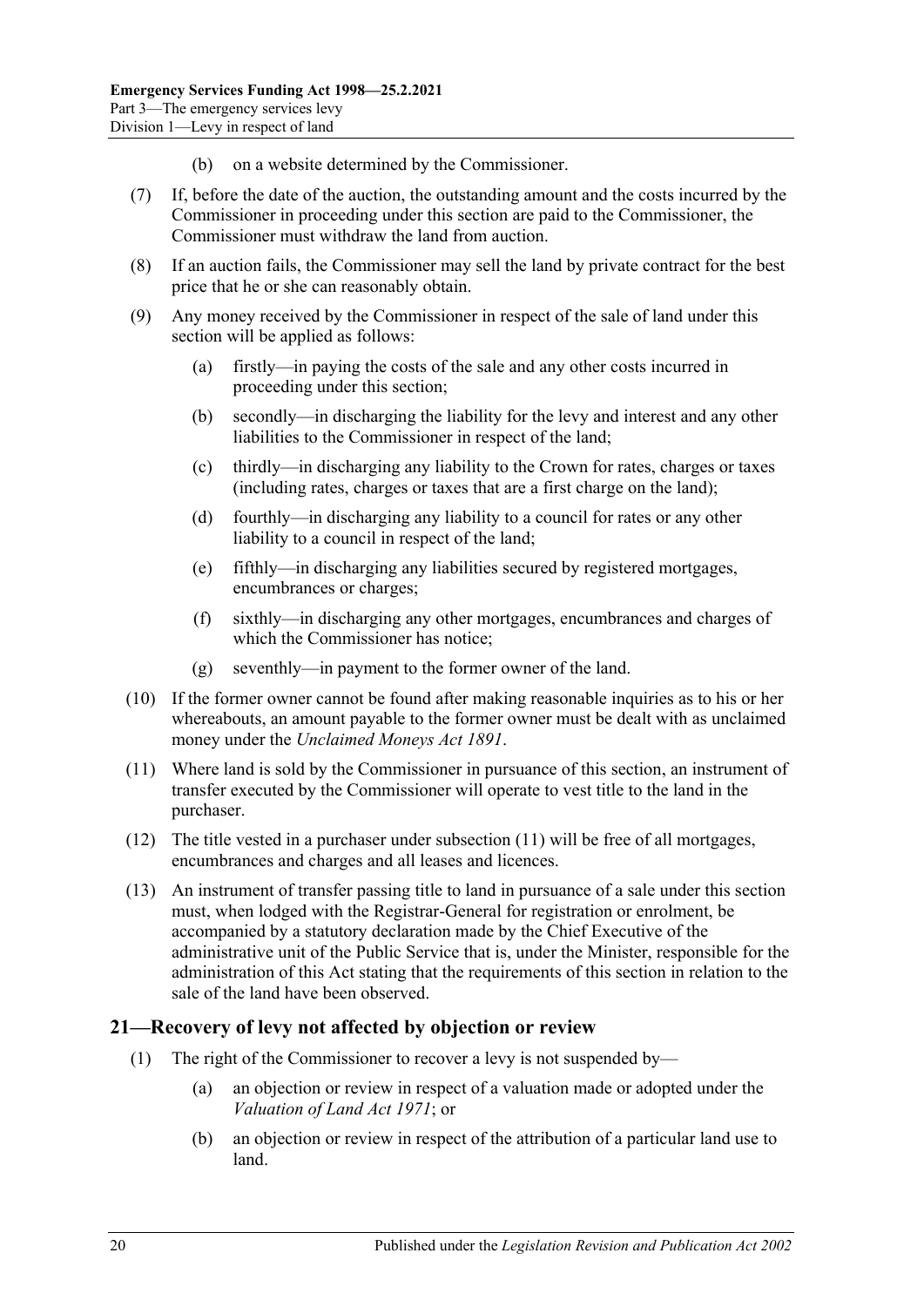- (b) on a website determined by the Commissioner.
- (7) If, before the date of the auction, the outstanding amount and the costs incurred by the Commissioner in proceeding under this section are paid to the Commissioner, the Commissioner must withdraw the land from auction.
- (8) If an auction fails, the Commissioner may sell the land by private contract for the best price that he or she can reasonably obtain.
- (9) Any money received by the Commissioner in respect of the sale of land under this section will be applied as follows:
	- (a) firstly—in paying the costs of the sale and any other costs incurred in proceeding under this section;
	- (b) secondly—in discharging the liability for the levy and interest and any other liabilities to the Commissioner in respect of the land;
	- (c) thirdly—in discharging any liability to the Crown for rates, charges or taxes (including rates, charges or taxes that are a first charge on the land);
	- (d) fourthly—in discharging any liability to a council for rates or any other liability to a council in respect of the land;
	- (e) fifthly—in discharging any liabilities secured by registered mortgages, encumbrances or charges;
	- (f) sixthly—in discharging any other mortgages, encumbrances and charges of which the Commissioner has notice;
	- (g) seventhly—in payment to the former owner of the land.
- (10) If the former owner cannot be found after making reasonable inquiries as to his or her whereabouts, an amount payable to the former owner must be dealt with as unclaimed money under the *[Unclaimed Moneys Act](http://www.legislation.sa.gov.au/index.aspx?action=legref&type=act&legtitle=Unclaimed%20Moneys%20Act%201891) 1891*.
- <span id="page-19-1"></span>(11) Where land is sold by the Commissioner in pursuance of this section, an instrument of transfer executed by the Commissioner will operate to vest title to the land in the purchaser.
- (12) The title vested in a purchaser under [subsection](#page-19-1) (11) will be free of all mortgages, encumbrances and charges and all leases and licences.
- (13) An instrument of transfer passing title to land in pursuance of a sale under this section must, when lodged with the Registrar-General for registration or enrolment, be accompanied by a statutory declaration made by the Chief Executive of the administrative unit of the Public Service that is, under the Minister, responsible for the administration of this Act stating that the requirements of this section in relation to the sale of the land have been observed.

## <span id="page-19-0"></span>**21—Recovery of levy not affected by objection or review**

- (1) The right of the Commissioner to recover a levy is not suspended by—
	- (a) an objection or review in respect of a valuation made or adopted under the *[Valuation of Land Act](http://www.legislation.sa.gov.au/index.aspx?action=legref&type=act&legtitle=Valuation%20of%20Land%20Act%201971) 1971*; or
	- (b) an objection or review in respect of the attribution of a particular land use to land.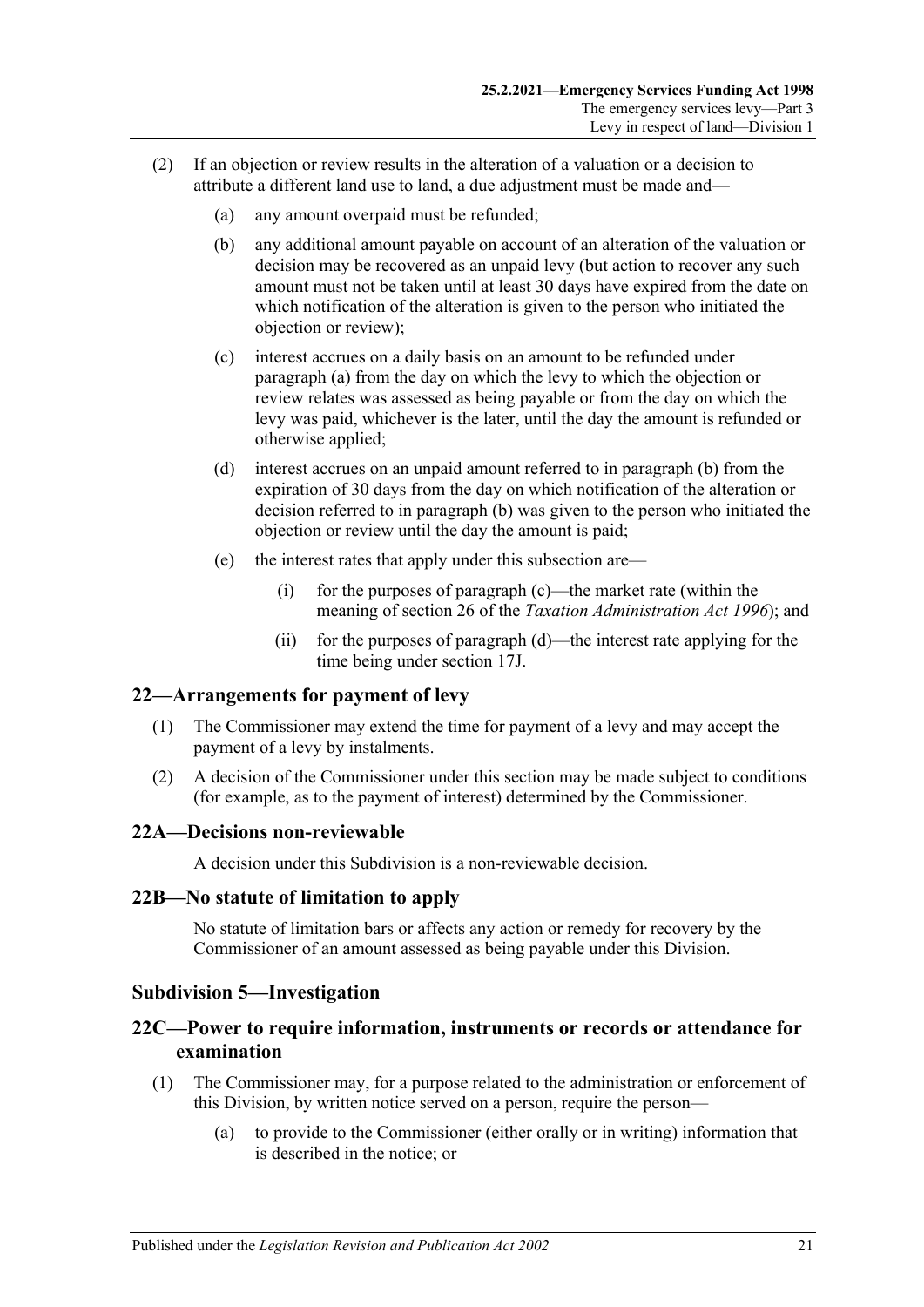- <span id="page-20-7"></span><span id="page-20-6"></span><span id="page-20-5"></span>(2) If an objection or review results in the alteration of a valuation or a decision to attribute a different land use to land, a due adjustment must be made and—
	- (a) any amount overpaid must be refunded;
	- (b) any additional amount payable on account of an alteration of the valuation or decision may be recovered as an unpaid levy (but action to recover any such amount must not be taken until at least 30 days have expired from the date on which notification of the alteration is given to the person who initiated the objection or review);
	- (c) interest accrues on a daily basis on an amount to be refunded under [paragraph](#page-20-5) (a) from the day on which the levy to which the objection or review relates was assessed as being payable or from the day on which the levy was paid, whichever is the later, until the day the amount is refunded or otherwise applied;
	- (d) interest accrues on an unpaid amount referred to in [paragraph](#page-20-6) (b) from the expiration of 30 days from the day on which notification of the alteration or decision referred to in [paragraph](#page-20-6) (b) was given to the person who initiated the objection or review until the day the amount is paid;
	- (e) the interest rates that apply under this subsection are—
		- (i) for the purposes of [paragraph](#page-20-7) (c)—the market rate (within the meaning of section 26 of the *[Taxation Administration Act](http://www.legislation.sa.gov.au/index.aspx?action=legref&type=act&legtitle=Taxation%20Administration%20Act%201996) 1996*); and
		- (ii) for the purposes of [paragraph](#page-20-8) (d)—the interest rate applying for the time being under [section](#page-14-5) 17J.

#### <span id="page-20-8"></span><span id="page-20-0"></span>**22—Arrangements for payment of levy**

- (1) The Commissioner may extend the time for payment of a levy and may accept the payment of a levy by instalments.
- (2) A decision of the Commissioner under this section may be made subject to conditions (for example, as to the payment of interest) determined by the Commissioner.

#### <span id="page-20-1"></span>**22A—Decisions non-reviewable**

A decision under this Subdivision is a non-reviewable decision.

#### <span id="page-20-2"></span>**22B—No statute of limitation to apply**

No statute of limitation bars or affects any action or remedy for recovery by the Commissioner of an amount assessed as being payable under this Division.

#### <span id="page-20-3"></span>**Subdivision 5—Investigation**

## <span id="page-20-4"></span>**22C—Power to require information, instruments or records or attendance for examination**

- (1) The Commissioner may, for a purpose related to the administration or enforcement of this Division, by written notice served on a person, require the person—
	- (a) to provide to the Commissioner (either orally or in writing) information that is described in the notice; or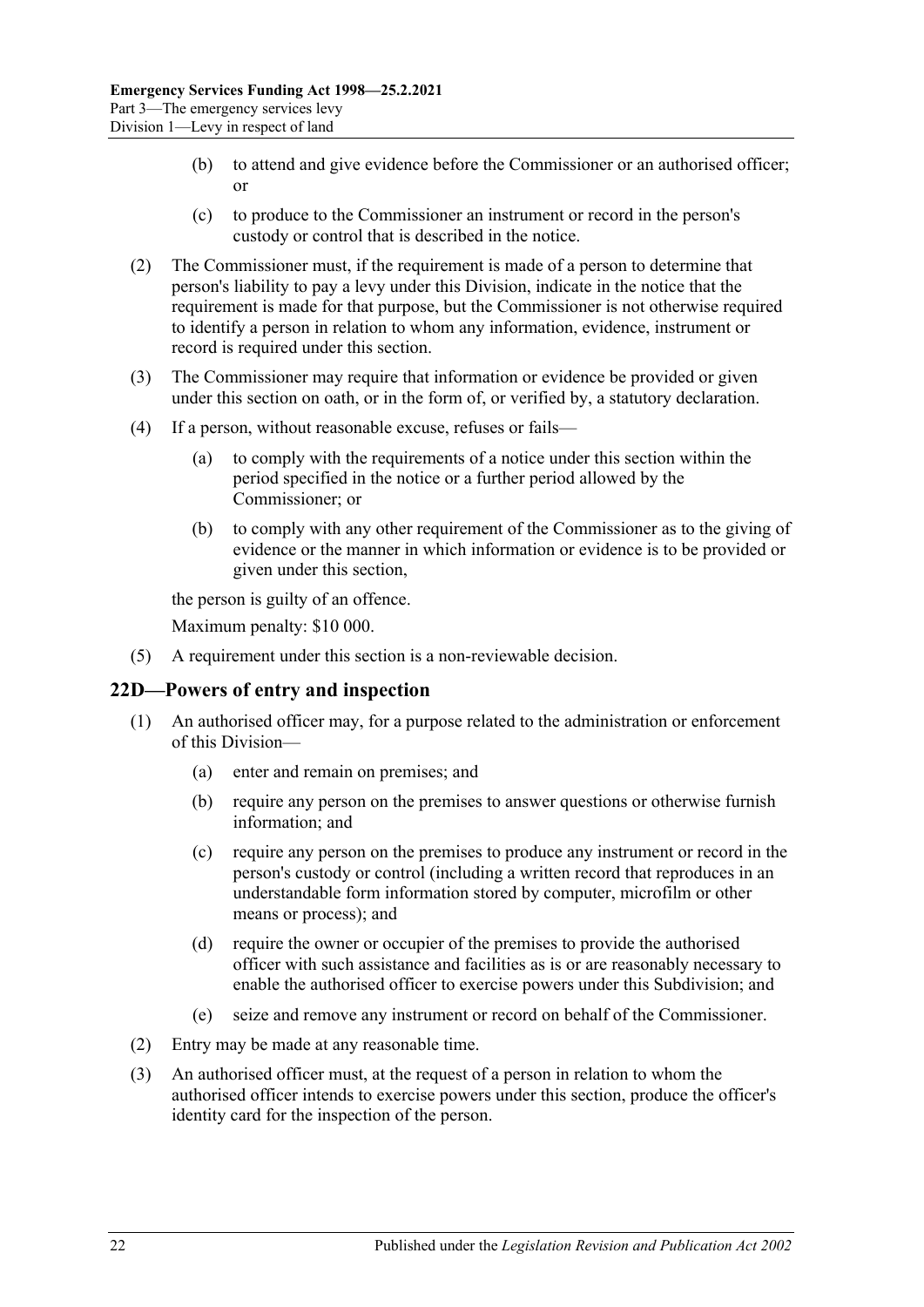- (b) to attend and give evidence before the Commissioner or an authorised officer; or
- (c) to produce to the Commissioner an instrument or record in the person's custody or control that is described in the notice.
- (2) The Commissioner must, if the requirement is made of a person to determine that person's liability to pay a levy under this Division, indicate in the notice that the requirement is made for that purpose, but the Commissioner is not otherwise required to identify a person in relation to whom any information, evidence, instrument or record is required under this section.
- (3) The Commissioner may require that information or evidence be provided or given under this section on oath, or in the form of, or verified by, a statutory declaration.
- (4) If a person, without reasonable excuse, refuses or fails—
	- (a) to comply with the requirements of a notice under this section within the period specified in the notice or a further period allowed by the Commissioner; or
	- (b) to comply with any other requirement of the Commissioner as to the giving of evidence or the manner in which information or evidence is to be provided or given under this section,

the person is guilty of an offence.

Maximum penalty: \$10 000.

(5) A requirement under this section is a non-reviewable decision.

## <span id="page-21-0"></span>**22D—Powers of entry and inspection**

- (1) An authorised officer may, for a purpose related to the administration or enforcement of this Division—
	- (a) enter and remain on premises; and
	- (b) require any person on the premises to answer questions or otherwise furnish information; and
	- (c) require any person on the premises to produce any instrument or record in the person's custody or control (including a written record that reproduces in an understandable form information stored by computer, microfilm or other means or process); and
	- (d) require the owner or occupier of the premises to provide the authorised officer with such assistance and facilities as is or are reasonably necessary to enable the authorised officer to exercise powers under this Subdivision; and
	- (e) seize and remove any instrument or record on behalf of the Commissioner.
- (2) Entry may be made at any reasonable time.
- (3) An authorised officer must, at the request of a person in relation to whom the authorised officer intends to exercise powers under this section, produce the officer's identity card for the inspection of the person.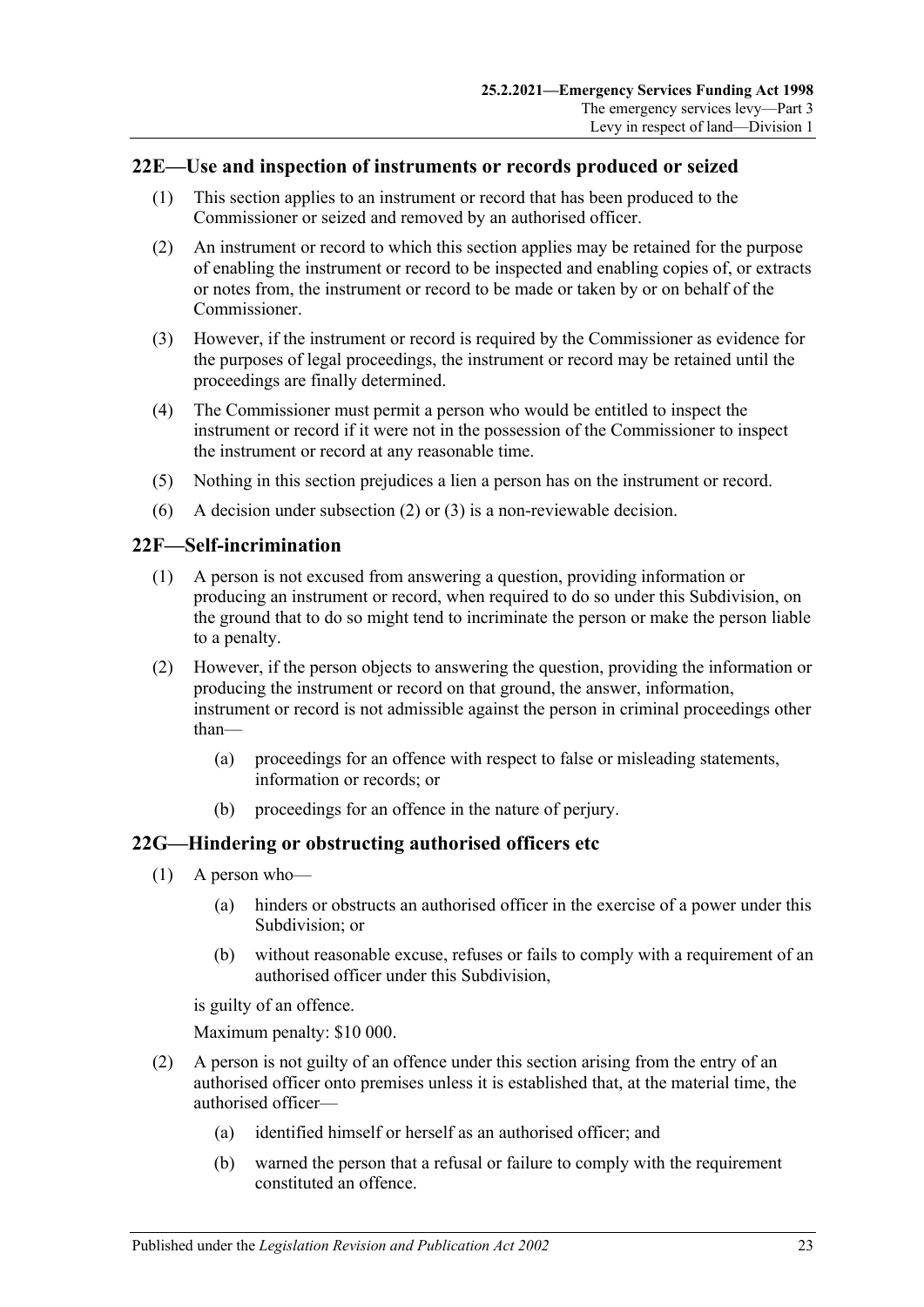## <span id="page-22-0"></span>**22E—Use and inspection of instruments or records produced or seized**

- (1) This section applies to an instrument or record that has been produced to the Commissioner or seized and removed by an authorised officer.
- <span id="page-22-3"></span>(2) An instrument or record to which this section applies may be retained for the purpose of enabling the instrument or record to be inspected and enabling copies of, or extracts or notes from, the instrument or record to be made or taken by or on behalf of the Commissioner.
- <span id="page-22-4"></span>(3) However, if the instrument or record is required by the Commissioner as evidence for the purposes of legal proceedings, the instrument or record may be retained until the proceedings are finally determined.
- (4) The Commissioner must permit a person who would be entitled to inspect the instrument or record if it were not in the possession of the Commissioner to inspect the instrument or record at any reasonable time.
- (5) Nothing in this section prejudices a lien a person has on the instrument or record.
- (6) A decision under [subsection](#page-22-3) (2) or [\(3\)](#page-22-4) is a non-reviewable decision.

#### <span id="page-22-1"></span>**22F—Self-incrimination**

- (1) A person is not excused from answering a question, providing information or producing an instrument or record, when required to do so under this Subdivision, on the ground that to do so might tend to incriminate the person or make the person liable to a penalty.
- (2) However, if the person objects to answering the question, providing the information or producing the instrument or record on that ground, the answer, information, instrument or record is not admissible against the person in criminal proceedings other than—
	- (a) proceedings for an offence with respect to false or misleading statements, information or records; or
	- (b) proceedings for an offence in the nature of perjury.

## <span id="page-22-2"></span>**22G—Hindering or obstructing authorised officers etc**

- (1) A person who—
	- (a) hinders or obstructs an authorised officer in the exercise of a power under this Subdivision; or
	- (b) without reasonable excuse, refuses or fails to comply with a requirement of an authorised officer under this Subdivision,

is guilty of an offence.

Maximum penalty: \$10 000.

- (2) A person is not guilty of an offence under this section arising from the entry of an authorised officer onto premises unless it is established that, at the material time, the authorised officer—
	- (a) identified himself or herself as an authorised officer; and
	- (b) warned the person that a refusal or failure to comply with the requirement constituted an offence.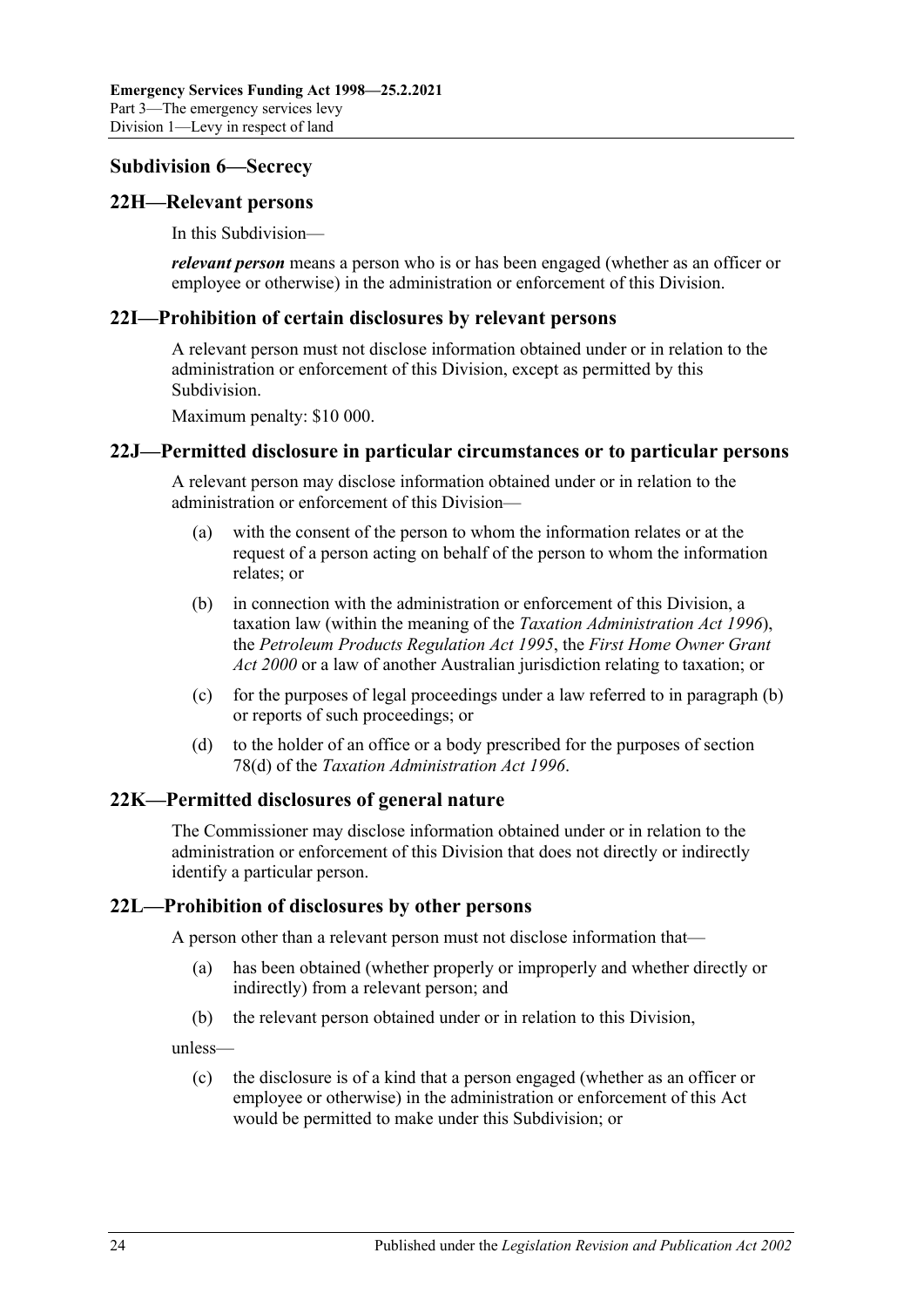#### <span id="page-23-0"></span>**Subdivision 6—Secrecy**

#### <span id="page-23-1"></span>**22H—Relevant persons**

In this Subdivision—

*relevant person* means a person who is or has been engaged (whether as an officer or employee or otherwise) in the administration or enforcement of this Division.

#### <span id="page-23-2"></span>**22I—Prohibition of certain disclosures by relevant persons**

A relevant person must not disclose information obtained under or in relation to the administration or enforcement of this Division, except as permitted by this Subdivision.

Maximum penalty: \$10 000.

#### <span id="page-23-3"></span>**22J—Permitted disclosure in particular circumstances or to particular persons**

A relevant person may disclose information obtained under or in relation to the administration or enforcement of this Division—

- (a) with the consent of the person to whom the information relates or at the request of a person acting on behalf of the person to whom the information relates; or
- <span id="page-23-6"></span>(b) in connection with the administration or enforcement of this Division, a taxation law (within the meaning of the *[Taxation Administration Act](http://www.legislation.sa.gov.au/index.aspx?action=legref&type=act&legtitle=Taxation%20Administration%20Act%201996) 1996*), the *[Petroleum Products Regulation Act](http://www.legislation.sa.gov.au/index.aspx?action=legref&type=act&legtitle=Petroleum%20Products%20Regulation%20Act%201995) 1995*, the *[First Home Owner Grant](http://www.legislation.sa.gov.au/index.aspx?action=legref&type=act&legtitle=First%20Home%20Owner%20Grant%20Act%202000)  Act [2000](http://www.legislation.sa.gov.au/index.aspx?action=legref&type=act&legtitle=First%20Home%20Owner%20Grant%20Act%202000)* or a law of another Australian jurisdiction relating to taxation; or
- (c) for the purposes of legal proceedings under a law referred to in [paragraph](#page-23-6) (b) or reports of such proceedings; or
- (d) to the holder of an office or a body prescribed for the purposes of section 78(d) of the *[Taxation Administration Act](http://www.legislation.sa.gov.au/index.aspx?action=legref&type=act&legtitle=Taxation%20Administration%20Act%201996) 1996*.

## <span id="page-23-4"></span>**22K—Permitted disclosures of general nature**

The Commissioner may disclose information obtained under or in relation to the administration or enforcement of this Division that does not directly or indirectly identify a particular person.

## <span id="page-23-5"></span>**22L—Prohibition of disclosures by other persons**

A person other than a relevant person must not disclose information that—

- (a) has been obtained (whether properly or improperly and whether directly or indirectly) from a relevant person; and
- (b) the relevant person obtained under or in relation to this Division,

unless—

(c) the disclosure is of a kind that a person engaged (whether as an officer or employee or otherwise) in the administration or enforcement of this Act would be permitted to make under this Subdivision; or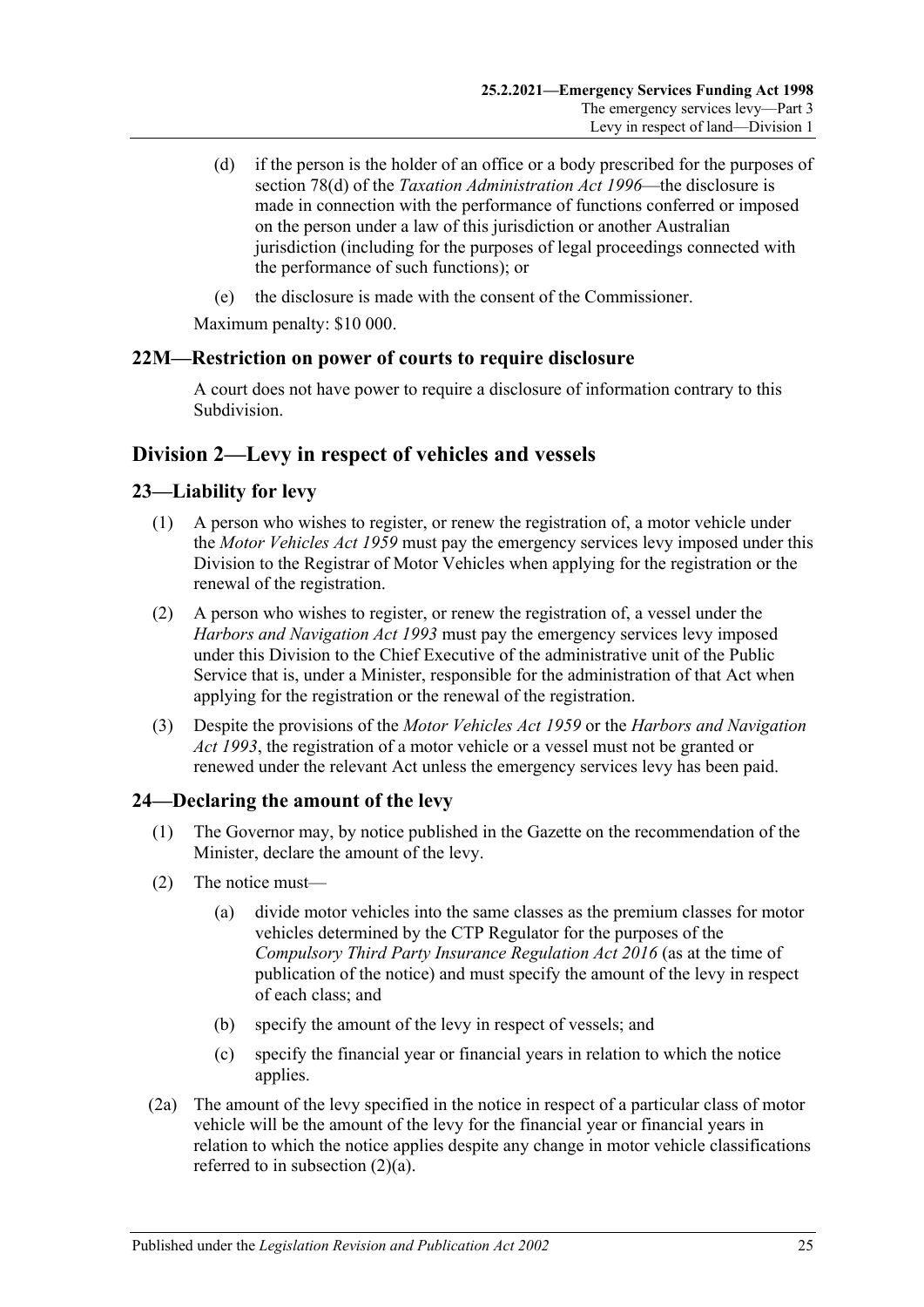- (d) if the person is the holder of an office or a body prescribed for the purposes of section 78(d) of the *[Taxation Administration Act](http://www.legislation.sa.gov.au/index.aspx?action=legref&type=act&legtitle=Taxation%20Administration%20Act%201996) 1996*—the disclosure is made in connection with the performance of functions conferred or imposed on the person under a law of this jurisdiction or another Australian jurisdiction (including for the purposes of legal proceedings connected with the performance of such functions); or
- (e) the disclosure is made with the consent of the Commissioner.

Maximum penalty: \$10 000.

## <span id="page-24-0"></span>**22M—Restriction on power of courts to require disclosure**

A court does not have power to require a disclosure of information contrary to this Subdivision.

## <span id="page-24-1"></span>**Division 2—Levy in respect of vehicles and vessels**

## <span id="page-24-2"></span>**23—Liability for levy**

- (1) A person who wishes to register, or renew the registration of, a motor vehicle under the *[Motor Vehicles Act](http://www.legislation.sa.gov.au/index.aspx?action=legref&type=act&legtitle=Motor%20Vehicles%20Act%201959) 1959* must pay the emergency services levy imposed under this Division to the Registrar of Motor Vehicles when applying for the registration or the renewal of the registration.
- (2) A person who wishes to register, or renew the registration of, a vessel under the *[Harbors and Navigation Act](http://www.legislation.sa.gov.au/index.aspx?action=legref&type=act&legtitle=Harbors%20and%20Navigation%20Act%201993) 1993* must pay the emergency services levy imposed under this Division to the Chief Executive of the administrative unit of the Public Service that is, under a Minister, responsible for the administration of that Act when applying for the registration or the renewal of the registration.
- (3) Despite the provisions of the *[Motor Vehicles Act](http://www.legislation.sa.gov.au/index.aspx?action=legref&type=act&legtitle=Motor%20Vehicles%20Act%201959) 1959* or the *[Harbors and Navigation](http://www.legislation.sa.gov.au/index.aspx?action=legref&type=act&legtitle=Harbors%20and%20Navigation%20Act%201993)  Act [1993](http://www.legislation.sa.gov.au/index.aspx?action=legref&type=act&legtitle=Harbors%20and%20Navigation%20Act%201993)*, the registration of a motor vehicle or a vessel must not be granted or renewed under the relevant Act unless the emergency services levy has been paid.

# <span id="page-24-5"></span><span id="page-24-3"></span>**24—Declaring the amount of the levy**

- (1) The Governor may, by notice published in the Gazette on the recommendation of the Minister, declare the amount of the levy.
- <span id="page-24-4"></span>(2) The notice must—
	- (a) divide motor vehicles into the same classes as the premium classes for motor vehicles determined by the CTP Regulator for the purposes of the *[Compulsory Third Party Insurance Regulation Act](http://www.legislation.sa.gov.au/index.aspx?action=legref&type=act&legtitle=Compulsory%20Third%20Party%20Insurance%20Regulation%20Act%202016) 2016* (as at the time of publication of the notice) and must specify the amount of the levy in respect of each class; and
	- (b) specify the amount of the levy in respect of vessels; and
	- (c) specify the financial year or financial years in relation to which the notice applies.
- (2a) The amount of the levy specified in the notice in respect of a particular class of motor vehicle will be the amount of the levy for the financial year or financial years in relation to which the notice applies despite any change in motor vehicle classifications referred to in [subsection](#page-24-4) (2)(a).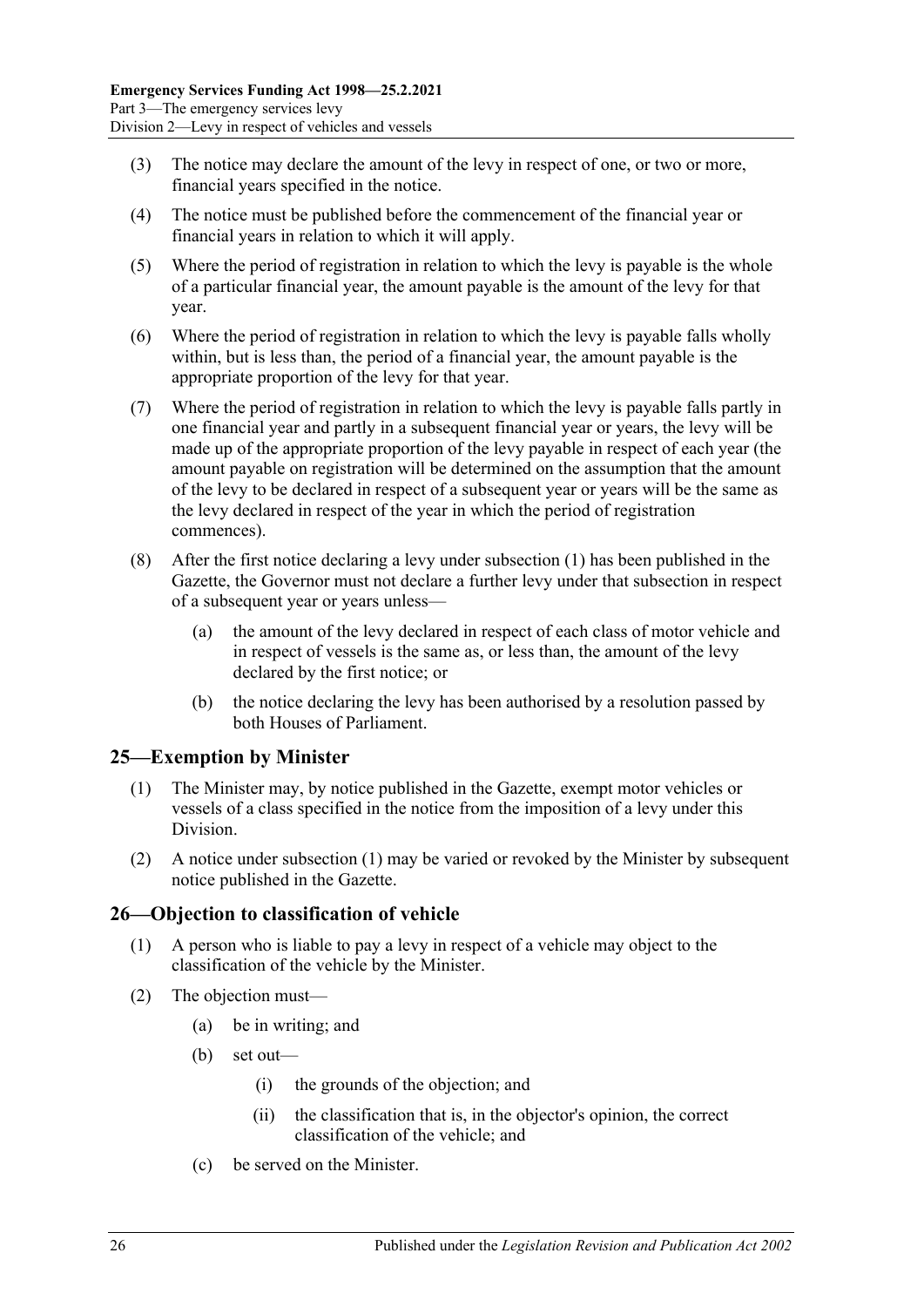- (3) The notice may declare the amount of the levy in respect of one, or two or more, financial years specified in the notice.
- (4) The notice must be published before the commencement of the financial year or financial years in relation to which it will apply.
- (5) Where the period of registration in relation to which the levy is payable is the whole of a particular financial year, the amount payable is the amount of the levy for that year.
- (6) Where the period of registration in relation to which the levy is payable falls wholly within, but is less than, the period of a financial year, the amount payable is the appropriate proportion of the levy for that year.
- (7) Where the period of registration in relation to which the levy is payable falls partly in one financial year and partly in a subsequent financial year or years, the levy will be made up of the appropriate proportion of the levy payable in respect of each year (the amount payable on registration will be determined on the assumption that the amount of the levy to be declared in respect of a subsequent year or years will be the same as the levy declared in respect of the year in which the period of registration commences).
- (8) After the first notice declaring a levy under [subsection](#page-24-5) (1) has been published in the Gazette, the Governor must not declare a further levy under that subsection in respect of a subsequent year or years unless—
	- (a) the amount of the levy declared in respect of each class of motor vehicle and in respect of vessels is the same as, or less than, the amount of the levy declared by the first notice; or
	- (b) the notice declaring the levy has been authorised by a resolution passed by both Houses of Parliament.

# <span id="page-25-2"></span><span id="page-25-0"></span>**25—Exemption by Minister**

- (1) The Minister may, by notice published in the Gazette, exempt motor vehicles or vessels of a class specified in the notice from the imposition of a levy under this Division.
- (2) A notice under [subsection](#page-25-2) (1) may be varied or revoked by the Minister by subsequent notice published in the Gazette.

## <span id="page-25-1"></span>**26—Objection to classification of vehicle**

- (1) A person who is liable to pay a levy in respect of a vehicle may object to the classification of the vehicle by the Minister.
- (2) The objection must—
	- (a) be in writing; and
	- (b) set out—
		- (i) the grounds of the objection; and
		- (ii) the classification that is, in the objector's opinion, the correct classification of the vehicle; and
	- (c) be served on the Minister.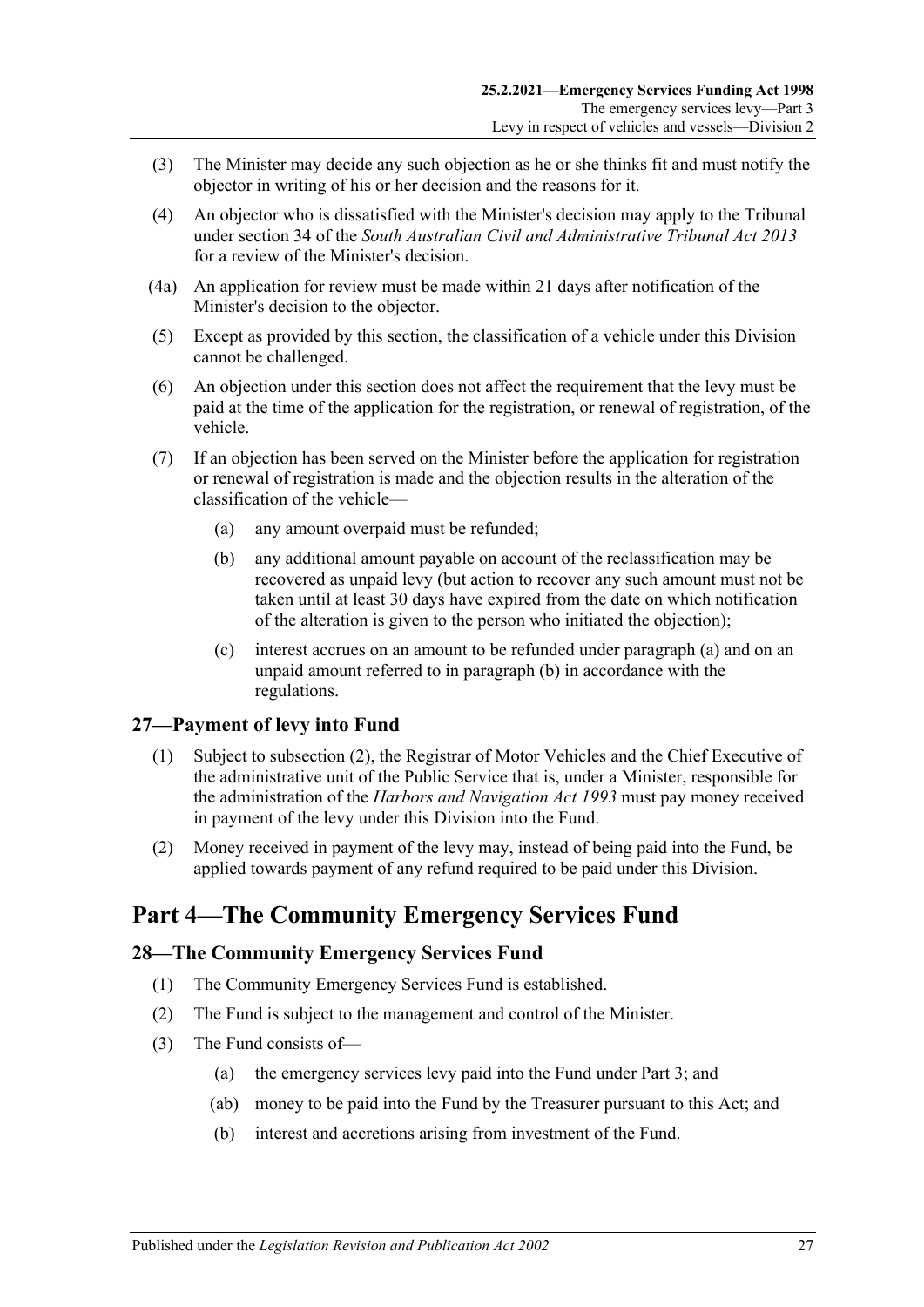- (3) The Minister may decide any such objection as he or she thinks fit and must notify the objector in writing of his or her decision and the reasons for it.
- (4) An objector who is dissatisfied with the Minister's decision may apply to the Tribunal under section 34 of the *[South Australian Civil and Administrative Tribunal Act](http://www.legislation.sa.gov.au/index.aspx?action=legref&type=act&legtitle=South%20Australian%20Civil%20and%20Administrative%20Tribunal%20Act%202013) 2013* for a review of the Minister's decision.
- (4a) An application for review must be made within 21 days after notification of the Minister's decision to the objector.
- (5) Except as provided by this section, the classification of a vehicle under this Division cannot be challenged.
- (6) An objection under this section does not affect the requirement that the levy must be paid at the time of the application for the registration, or renewal of registration, of the vehicle.
- <span id="page-26-4"></span><span id="page-26-3"></span>(7) If an objection has been served on the Minister before the application for registration or renewal of registration is made and the objection results in the alteration of the classification of the vehicle—
	- (a) any amount overpaid must be refunded;
	- (b) any additional amount payable on account of the reclassification may be recovered as unpaid levy (but action to recover any such amount must not be taken until at least 30 days have expired from the date on which notification of the alteration is given to the person who initiated the objection);
	- (c) interest accrues on an amount to be refunded under [paragraph](#page-26-3) (a) and on an unpaid amount referred to in [paragraph](#page-26-4) (b) in accordance with the regulations.

## <span id="page-26-0"></span>**27—Payment of levy into Fund**

- (1) Subject to [subsection](#page-26-5) (2), the Registrar of Motor Vehicles and the Chief Executive of the administrative unit of the Public Service that is, under a Minister, responsible for the administration of the *[Harbors and Navigation Act](http://www.legislation.sa.gov.au/index.aspx?action=legref&type=act&legtitle=Harbors%20and%20Navigation%20Act%201993) 1993* must pay money received in payment of the levy under this Division into the Fund.
- <span id="page-26-5"></span>(2) Money received in payment of the levy may, instead of being paid into the Fund, be applied towards payment of any refund required to be paid under this Division.

# <span id="page-26-1"></span>**Part 4—The Community Emergency Services Fund**

## <span id="page-26-2"></span>**28—The Community Emergency Services Fund**

- (1) The Community Emergency Services Fund is established.
- (2) The Fund is subject to the management and control of the Minister.
- (3) The Fund consists of—
	- (a) the emergency services levy paid into the Fund under [Part 3;](#page-4-1) and
	- (ab) money to be paid into the Fund by the Treasurer pursuant to this Act; and
	- (b) interest and accretions arising from investment of the Fund.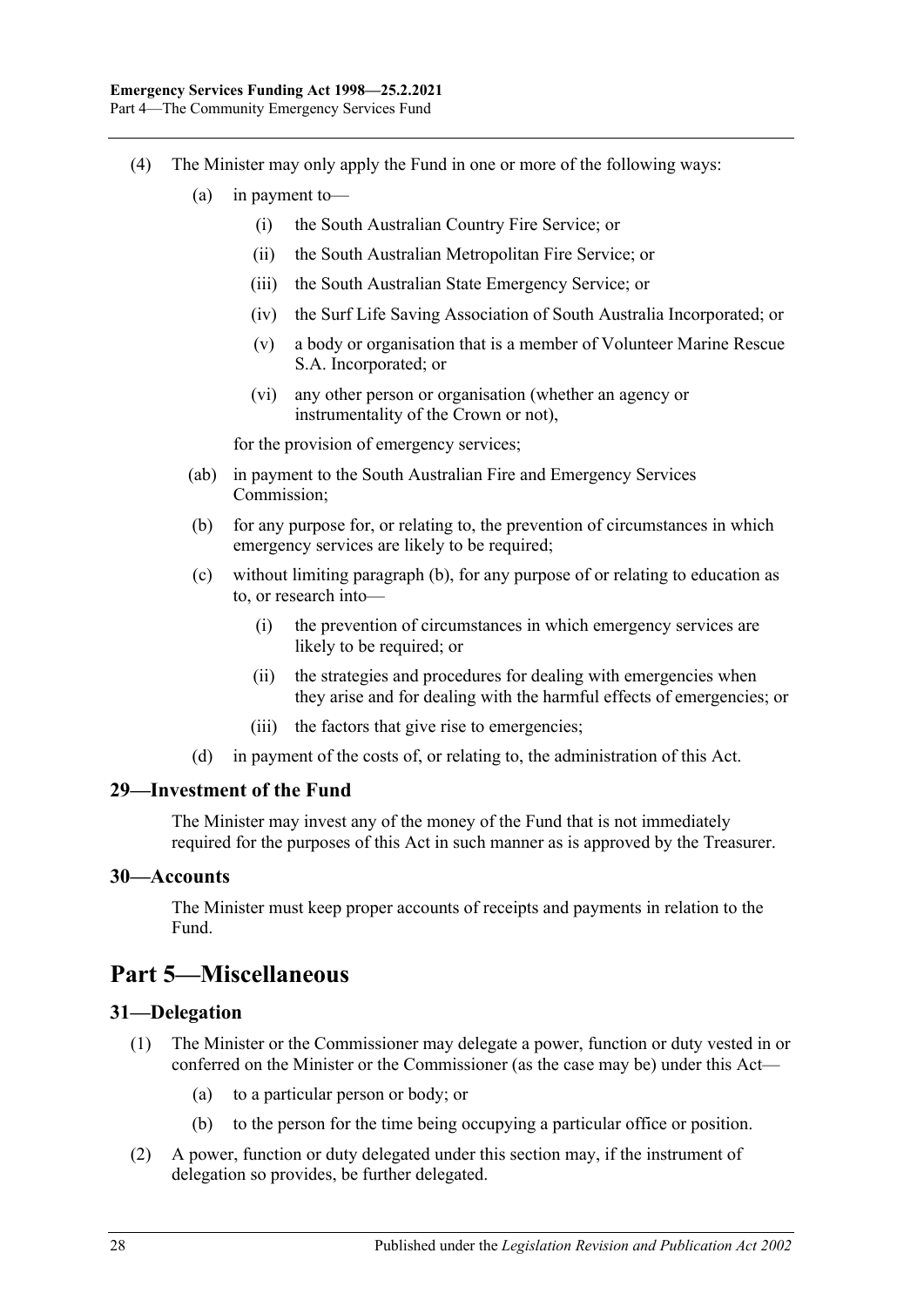- <span id="page-27-4"></span>(4) The Minister may only apply the Fund in one or more of the following ways:
	- (a) in payment to—
		- (i) the South Australian Country Fire Service; or
		- (ii) the South Australian Metropolitan Fire Service; or
		- (iii) the South Australian State Emergency Service; or
		- (iv) the Surf Life Saving Association of South Australia Incorporated; or
		- (v) a body or organisation that is a member of Volunteer Marine Rescue S.A. Incorporated; or
		- (vi) any other person or organisation (whether an agency or instrumentality of the Crown or not),

for the provision of emergency services;

- (ab) in payment to the South Australian Fire and Emergency Services Commission;
- <span id="page-27-5"></span>(b) for any purpose for, or relating to, the prevention of circumstances in which emergency services are likely to be required;
- (c) without limiting [paragraph](#page-27-5) (b), for any purpose of or relating to education as to, or research into—
	- (i) the prevention of circumstances in which emergency services are likely to be required; or
	- (ii) the strategies and procedures for dealing with emergencies when they arise and for dealing with the harmful effects of emergencies; or
	- (iii) the factors that give rise to emergencies;
- (d) in payment of the costs of, or relating to, the administration of this Act.

#### <span id="page-27-0"></span>**29—Investment of the Fund**

The Minister may invest any of the money of the Fund that is not immediately required for the purposes of this Act in such manner as is approved by the Treasurer.

#### <span id="page-27-1"></span>**30—Accounts**

The Minister must keep proper accounts of receipts and payments in relation to the Fund.

# <span id="page-27-2"></span>**Part 5—Miscellaneous**

## <span id="page-27-3"></span>**31—Delegation**

- (1) The Minister or the Commissioner may delegate a power, function or duty vested in or conferred on the Minister or the Commissioner (as the case may be) under this Act—
	- (a) to a particular person or body; or
	- (b) to the person for the time being occupying a particular office or position.
- (2) A power, function or duty delegated under this section may, if the instrument of delegation so provides, be further delegated.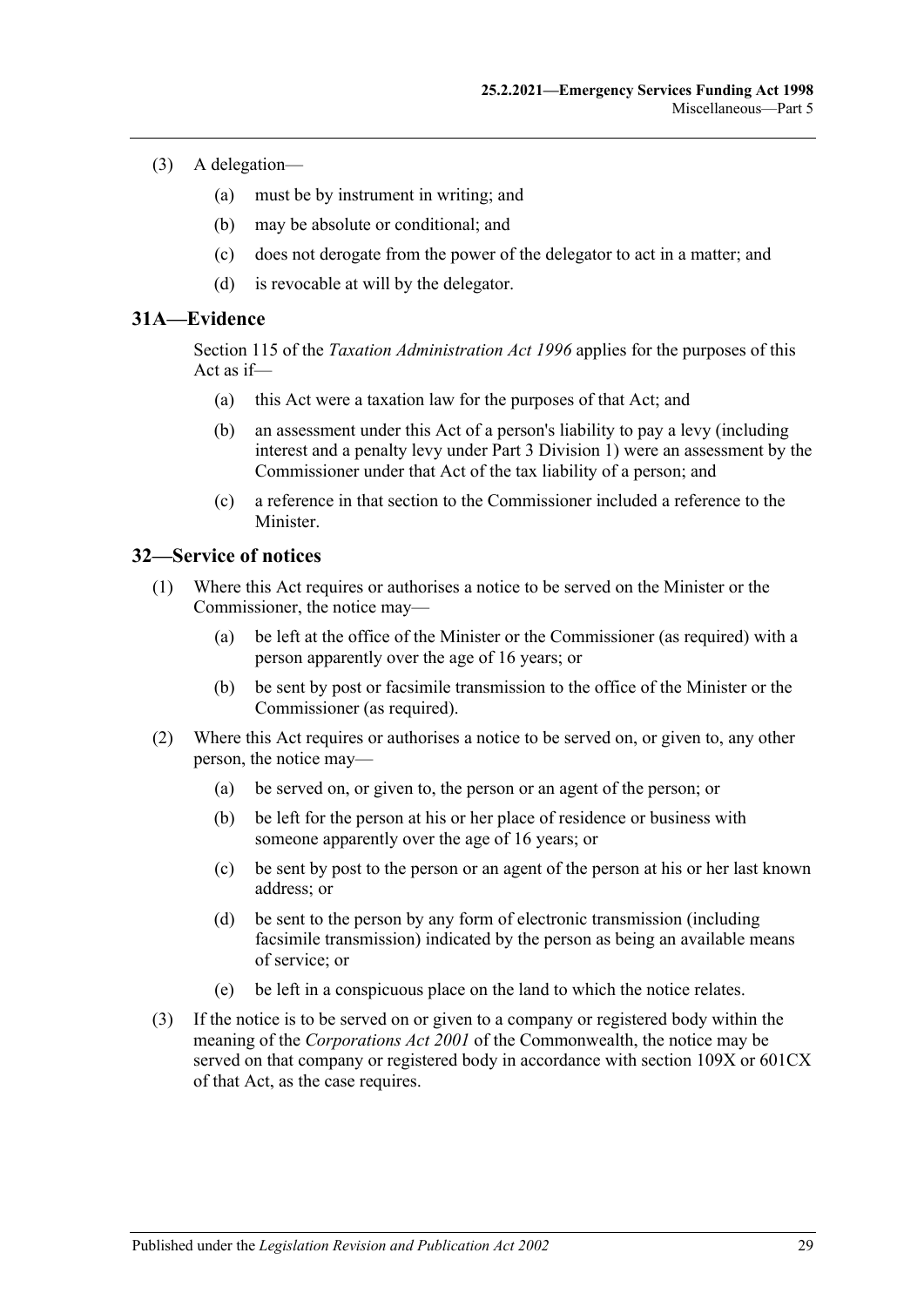- (3) A delegation—
	- (a) must be by instrument in writing; and
	- (b) may be absolute or conditional; and
	- (c) does not derogate from the power of the delegator to act in a matter; and
	- (d) is revocable at will by the delegator.

#### <span id="page-28-0"></span>**31A—Evidence**

Section 115 of the *[Taxation Administration Act](http://www.legislation.sa.gov.au/index.aspx?action=legref&type=act&legtitle=Taxation%20Administration%20Act%201996) 1996* applies for the purposes of this Act as if—

- (a) this Act were a taxation law for the purposes of that Act; and
- (b) an assessment under this Act of a person's liability to pay a levy (including interest and a penalty levy under [Part 3 Division 1\)](#page-4-2) were an assessment by the Commissioner under that Act of the tax liability of a person; and
- (c) a reference in that section to the Commissioner included a reference to the Minister.

#### <span id="page-28-1"></span>**32—Service of notices**

- (1) Where this Act requires or authorises a notice to be served on the Minister or the Commissioner, the notice may—
	- (a) be left at the office of the Minister or the Commissioner (as required) with a person apparently over the age of 16 years; or
	- (b) be sent by post or facsimile transmission to the office of the Minister or the Commissioner (as required).
- (2) Where this Act requires or authorises a notice to be served on, or given to, any other person, the notice may—
	- (a) be served on, or given to, the person or an agent of the person; or
	- (b) be left for the person at his or her place of residence or business with someone apparently over the age of 16 years; or
	- (c) be sent by post to the person or an agent of the person at his or her last known address; or
	- (d) be sent to the person by any form of electronic transmission (including facsimile transmission) indicated by the person as being an available means of service; or
	- (e) be left in a conspicuous place on the land to which the notice relates.
- (3) If the notice is to be served on or given to a company or registered body within the meaning of the *Corporations Act 2001* of the Commonwealth, the notice may be served on that company or registered body in accordance with section 109X or 601CX of that Act, as the case requires.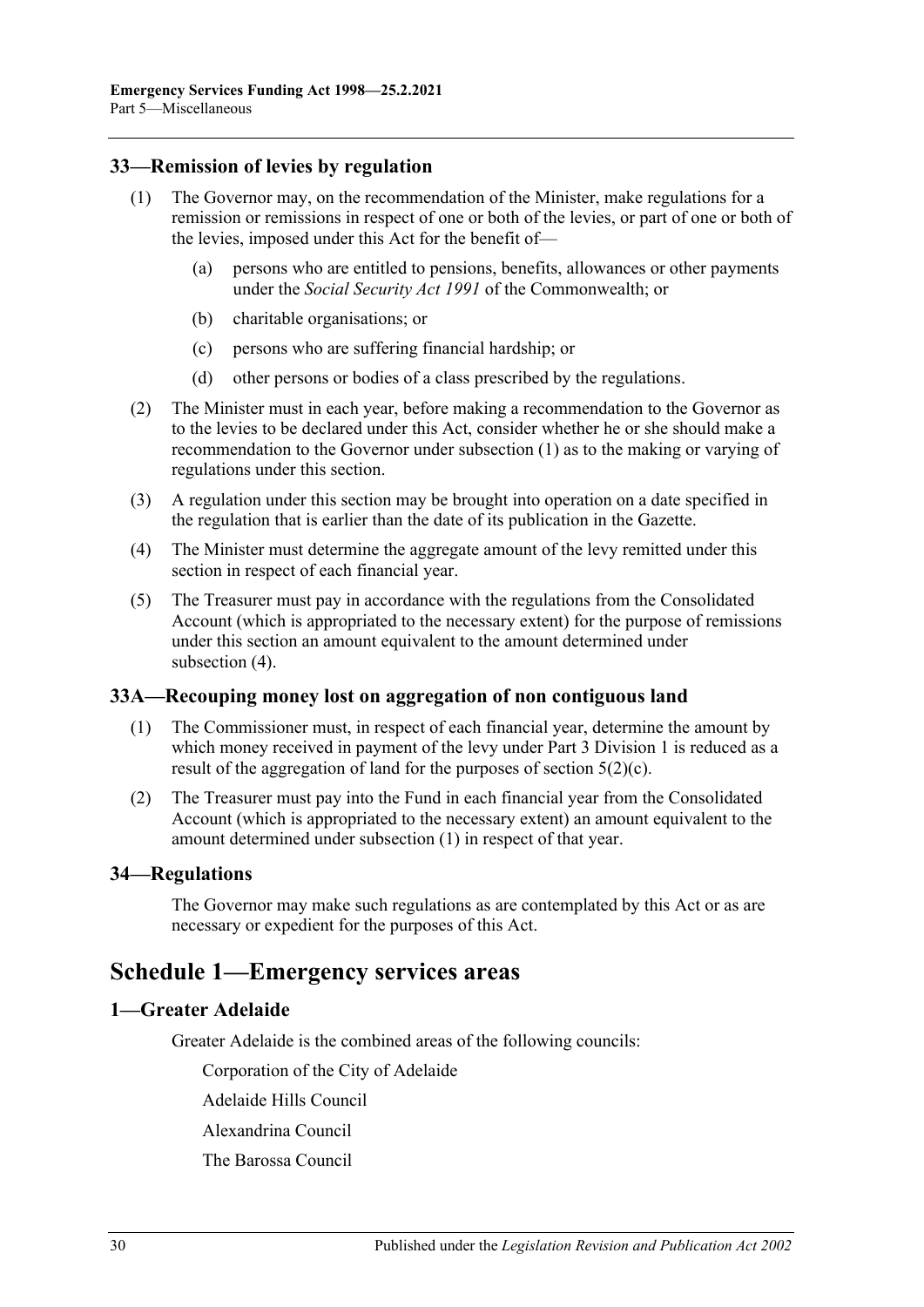## <span id="page-29-5"></span><span id="page-29-0"></span>**33—Remission of levies by regulation**

- (1) The Governor may, on the recommendation of the Minister, make regulations for a remission or remissions in respect of one or both of the levies, or part of one or both of the levies, imposed under this Act for the benefit of—
	- (a) persons who are entitled to pensions, benefits, allowances or other payments under the *Social Security Act 1991* of the Commonwealth; or
	- (b) charitable organisations; or
	- (c) persons who are suffering financial hardship; or
	- (d) other persons or bodies of a class prescribed by the regulations.
- (2) The Minister must in each year, before making a recommendation to the Governor as to the levies to be declared under this Act, consider whether he or she should make a recommendation to the Governor under [subsection](#page-29-5) (1) as to the making or varying of regulations under this section.
- (3) A regulation under this section may be brought into operation on a date specified in the regulation that is earlier than the date of its publication in the Gazette.
- <span id="page-29-6"></span>(4) The Minister must determine the aggregate amount of the levy remitted under this section in respect of each financial year.
- (5) The Treasurer must pay in accordance with the regulations from the Consolidated Account (which is appropriated to the necessary extent) for the purpose of remissions under this section an amount equivalent to the amount determined under [subsection](#page-29-6) (4).

#### <span id="page-29-7"></span><span id="page-29-1"></span>**33A—Recouping money lost on aggregation of non contiguous land**

- (1) The Commissioner must, in respect of each financial year, determine the amount by which money received in payment of the levy under [Part 3 Division 1](#page-4-2) is reduced as a result of the aggregation of land for the purposes of [section](#page-4-8)  $5(2)(c)$ .
- (2) The Treasurer must pay into the Fund in each financial year from the Consolidated Account (which is appropriated to the necessary extent) an amount equivalent to the amount determined under [subsection](#page-29-7) (1) in respect of that year.

#### <span id="page-29-2"></span>**34—Regulations**

The Governor may make such regulations as are contemplated by this Act or as are necessary or expedient for the purposes of this Act.

# <span id="page-29-3"></span>**Schedule 1—Emergency services areas**

#### <span id="page-29-4"></span>**1—Greater Adelaide**

Greater Adelaide is the combined areas of the following councils:

Corporation of the City of Adelaide

Adelaide Hills Council

Alexandrina Council

The Barossa Council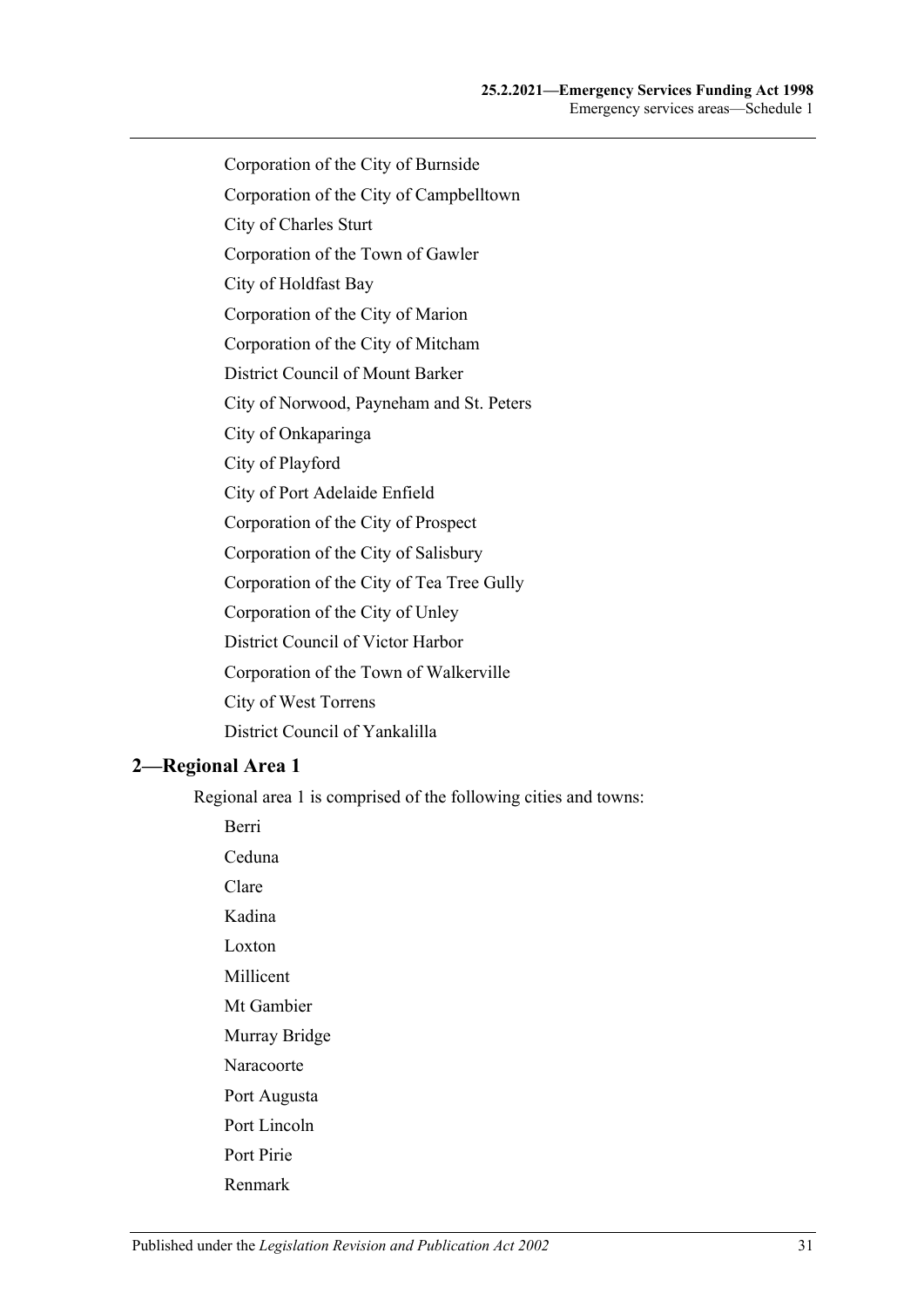- Corporation of the City of Burnside
- Corporation of the City of Campbelltown
- City of Charles Sturt
- Corporation of the Town of Gawler
- City of Holdfast Bay
- Corporation of the City of Marion
- Corporation of the City of Mitcham
- District Council of Mount Barker
- City of Norwood, Payneham and St. Peters
- City of Onkaparinga
- City of Playford
- City of Port Adelaide Enfield
- Corporation of the City of Prospect
- Corporation of the City of Salisbury
- Corporation of the City of Tea Tree Gully
- Corporation of the City of Unley
- District Council of Victor Harbor
- Corporation of the Town of Walkerville
- City of West Torrens
- District Council of Yankalilla

#### <span id="page-30-0"></span>**2—Regional Area 1**

Berri

Regional area 1 is comprised of the following cities and towns:

Ceduna Clare Kadina Loxton Millicent Mt Gambier Murray Bridge Naracoorte Port Augusta Port Lincoln Port Pirie Renmark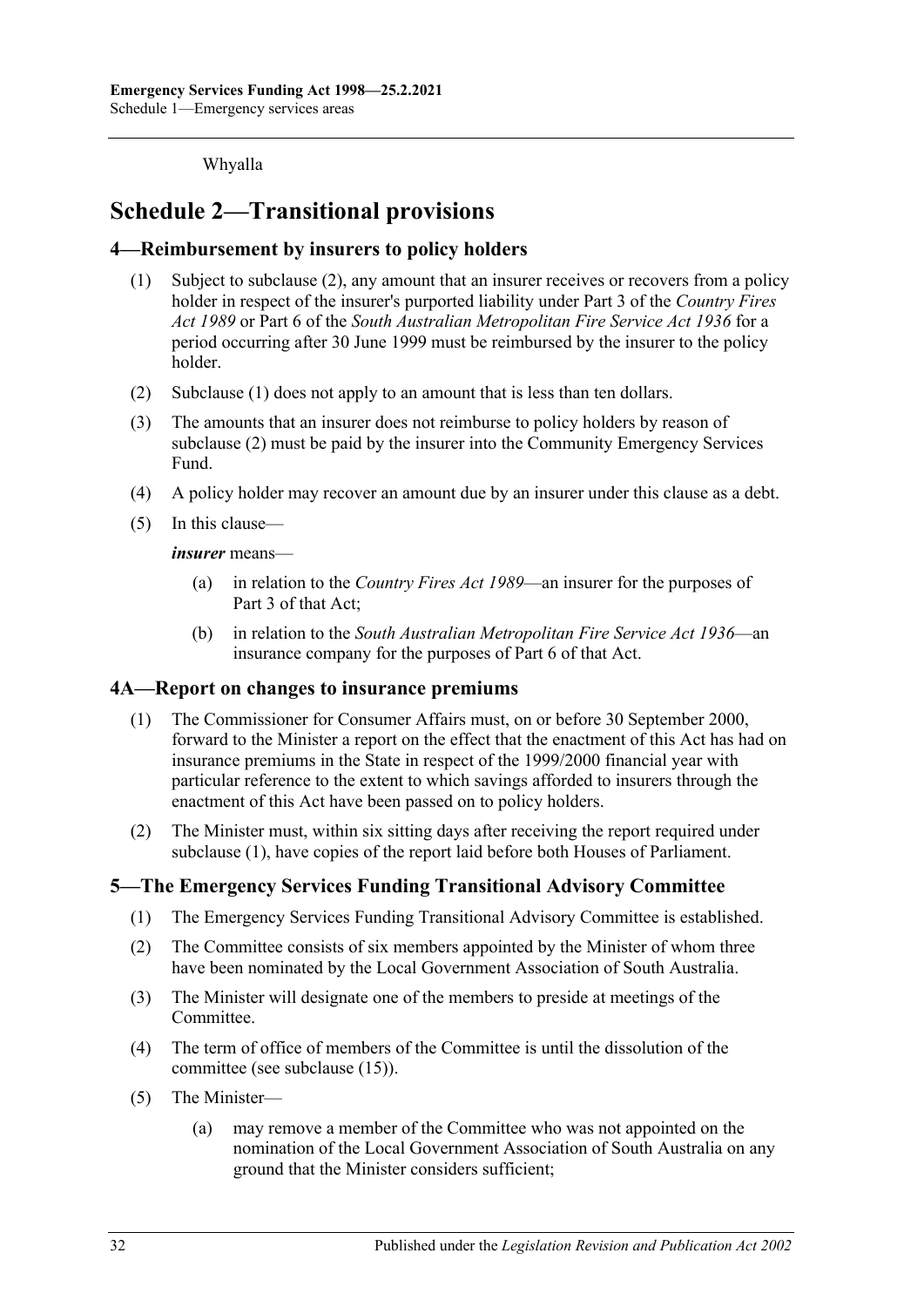Whyalla

# <span id="page-31-0"></span>**Schedule 2—Transitional provisions**

## <span id="page-31-5"></span><span id="page-31-1"></span>**4—Reimbursement by insurers to policy holders**

- (1) Subject to [subclause](#page-31-4) (2), any amount that an insurer receives or recovers from a policy holder in respect of the insurer's purported liability under Part 3 of the *[Country Fires](http://www.legislation.sa.gov.au/index.aspx?action=legref&type=act&legtitle=Country%20Fires%20Act%201989)  Act [1989](http://www.legislation.sa.gov.au/index.aspx?action=legref&type=act&legtitle=Country%20Fires%20Act%201989)* or Part 6 of the *[South Australian Metropolitan Fire Service Act](http://www.legislation.sa.gov.au/index.aspx?action=legref&type=act&legtitle=South%20Australian%20Metropolitan%20Fire%20Service%20Act%201936) 1936* for a period occurring after 30 June 1999 must be reimbursed by the insurer to the policy holder.
- <span id="page-31-4"></span>(2) [Subclause](#page-31-5) (1) does not apply to an amount that is less than ten dollars.
- (3) The amounts that an insurer does not reimburse to policy holders by reason of [subclause](#page-31-4) (2) must be paid by the insurer into the Community Emergency Services Fund.
- (4) A policy holder may recover an amount due by an insurer under this clause as a debt.
- (5) In this clause—

*insurer* means—

- (a) in relation to the *[Country Fires Act](http://www.legislation.sa.gov.au/index.aspx?action=legref&type=act&legtitle=Country%20Fires%20Act%201989) 1989*—an insurer for the purposes of Part 3 of that Act;
- (b) in relation to the *[South Australian Metropolitan Fire Service Act](http://www.legislation.sa.gov.au/index.aspx?action=legref&type=act&legtitle=South%20Australian%20Metropolitan%20Fire%20Service%20Act%201936) 1936*—an insurance company for the purposes of Part 6 of that Act.

#### <span id="page-31-6"></span><span id="page-31-2"></span>**4A—Report on changes to insurance premiums**

- (1) The Commissioner for Consumer Affairs must, on or before 30 September 2000, forward to the Minister a report on the effect that the enactment of this Act has had on insurance premiums in the State in respect of the 1999/2000 financial year with particular reference to the extent to which savings afforded to insurers through the enactment of this Act have been passed on to policy holders.
- (2) The Minister must, within six sitting days after receiving the report required under [subclause](#page-31-6) (1), have copies of the report laid before both Houses of Parliament.

## <span id="page-31-3"></span>**5—The Emergency Services Funding Transitional Advisory Committee**

- (1) The Emergency Services Funding Transitional Advisory Committee is established.
- (2) The Committee consists of six members appointed by the Minister of whom three have been nominated by the Local Government Association of South Australia.
- (3) The Minister will designate one of the members to preside at meetings of the Committee.
- (4) The term of office of members of the Committee is until the dissolution of the committee (see [subclause](#page-32-1) (15)).
- <span id="page-31-7"></span>(5) The Minister—
	- (a) may remove a member of the Committee who was not appointed on the nomination of the Local Government Association of South Australia on any ground that the Minister considers sufficient;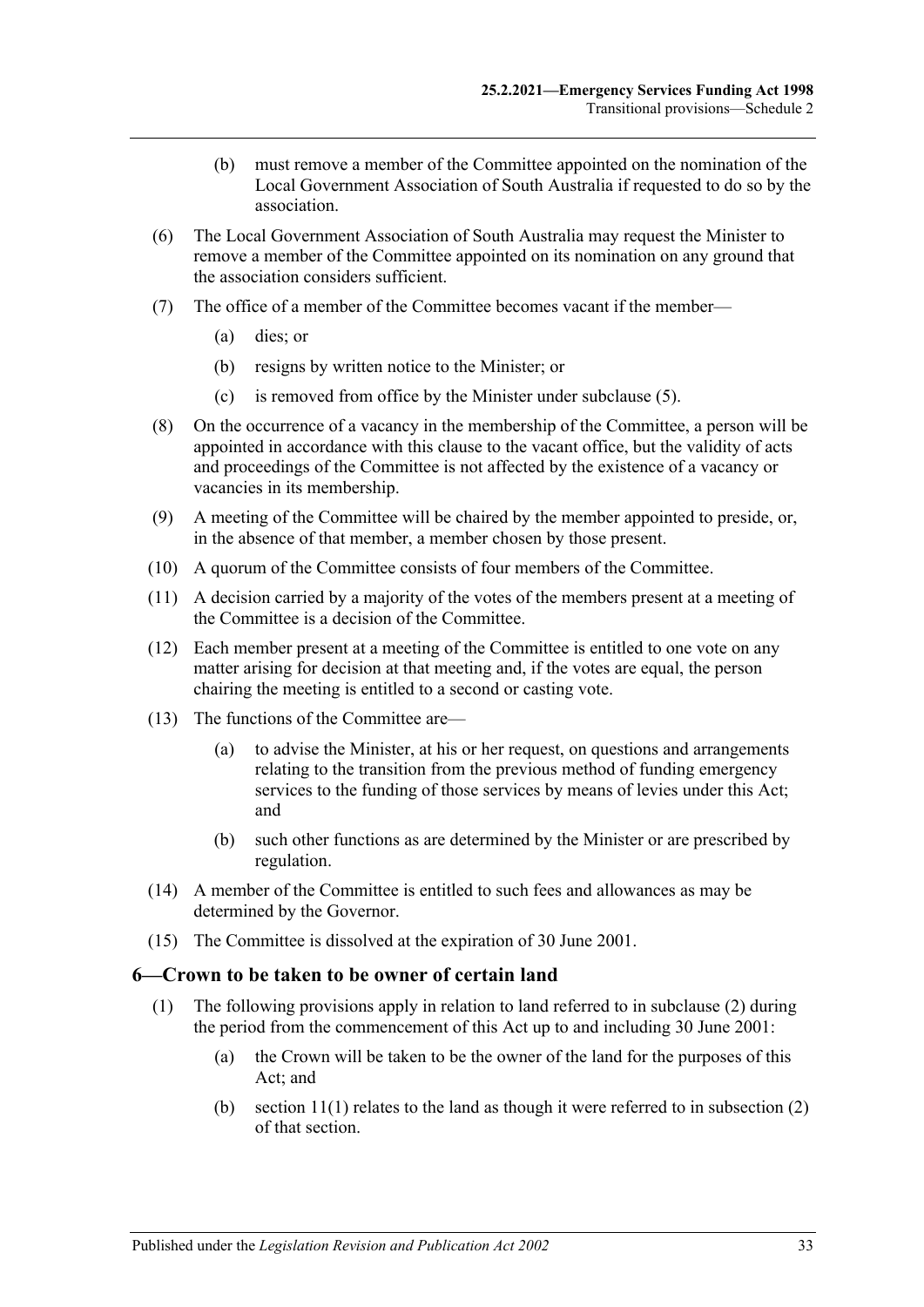- (b) must remove a member of the Committee appointed on the nomination of the Local Government Association of South Australia if requested to do so by the association.
- (6) The Local Government Association of South Australia may request the Minister to remove a member of the Committee appointed on its nomination on any ground that the association considers sufficient.
- (7) The office of a member of the Committee becomes vacant if the member—
	- (a) dies; or
	- (b) resigns by written notice to the Minister; or
	- (c) is removed from office by the Minister under [subclause](#page-31-7) (5).
- (8) On the occurrence of a vacancy in the membership of the Committee, a person will be appointed in accordance with this clause to the vacant office, but the validity of acts and proceedings of the Committee is not affected by the existence of a vacancy or vacancies in its membership.
- (9) A meeting of the Committee will be chaired by the member appointed to preside, or, in the absence of that member, a member chosen by those present.
- (10) A quorum of the Committee consists of four members of the Committee.
- (11) A decision carried by a majority of the votes of the members present at a meeting of the Committee is a decision of the Committee.
- (12) Each member present at a meeting of the Committee is entitled to one vote on any matter arising for decision at that meeting and, if the votes are equal, the person chairing the meeting is entitled to a second or casting vote.
- (13) The functions of the Committee are—
	- (a) to advise the Minister, at his or her request, on questions and arrangements relating to the transition from the previous method of funding emergency services to the funding of those services by means of levies under this Act; and
	- (b) such other functions as are determined by the Minister or are prescribed by regulation.
- (14) A member of the Committee is entitled to such fees and allowances as may be determined by the Governor.
- <span id="page-32-1"></span>(15) The Committee is dissolved at the expiration of 30 June 2001.

#### <span id="page-32-2"></span><span id="page-32-0"></span>**6—Crown to be taken to be owner of certain land**

- (1) The following provisions apply in relation to land referred to in [subclause](#page-33-0) (2) during the period from the commencement of this Act up to and including 30 June 2001:
	- (a) the Crown will be taken to be the owner of the land for the purposes of this Act; and
	- (b) section  $11(1)$  relates to the land as though it were referred to in subsection  $(2)$ of that section.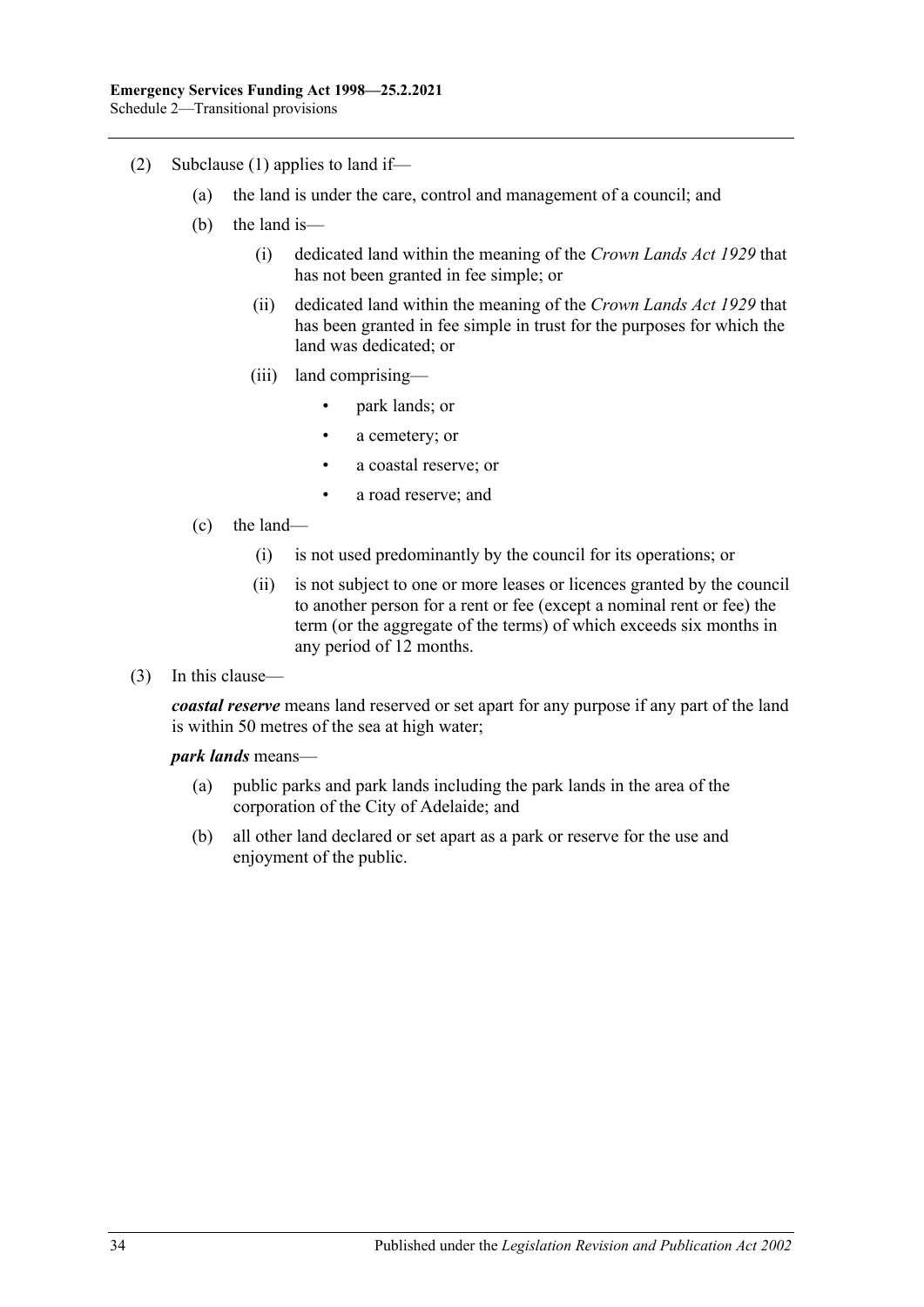- <span id="page-33-0"></span>(2) [Subclause](#page-32-2) (1) applies to land if—
	- (a) the land is under the care, control and management of a council; and
	- (b) the land is—
		- (i) dedicated land within the meaning of the *[Crown Lands Act](http://www.legislation.sa.gov.au/index.aspx?action=legref&type=act&legtitle=Crown%20Lands%20Act%201929) 1929* that has not been granted in fee simple; or
		- (ii) dedicated land within the meaning of the *[Crown Lands Act](http://www.legislation.sa.gov.au/index.aspx?action=legref&type=act&legtitle=Crown%20Lands%20Act%201929) 1929* that has been granted in fee simple in trust for the purposes for which the land was dedicated; or
		- (iii) land comprising—
			- park lands; or
			- a cemetery; or
			- a coastal reserve; or
			- a road reserve; and
	- (c) the land—
		- (i) is not used predominantly by the council for its operations; or
		- (ii) is not subject to one or more leases or licences granted by the council to another person for a rent or fee (except a nominal rent or fee) the term (or the aggregate of the terms) of which exceeds six months in any period of 12 months.
- (3) In this clause—

*coastal reserve* means land reserved or set apart for any purpose if any part of the land is within 50 metres of the sea at high water;

#### *park lands* means—

- (a) public parks and park lands including the park lands in the area of the corporation of the City of Adelaide; and
- (b) all other land declared or set apart as a park or reserve for the use and enjoyment of the public.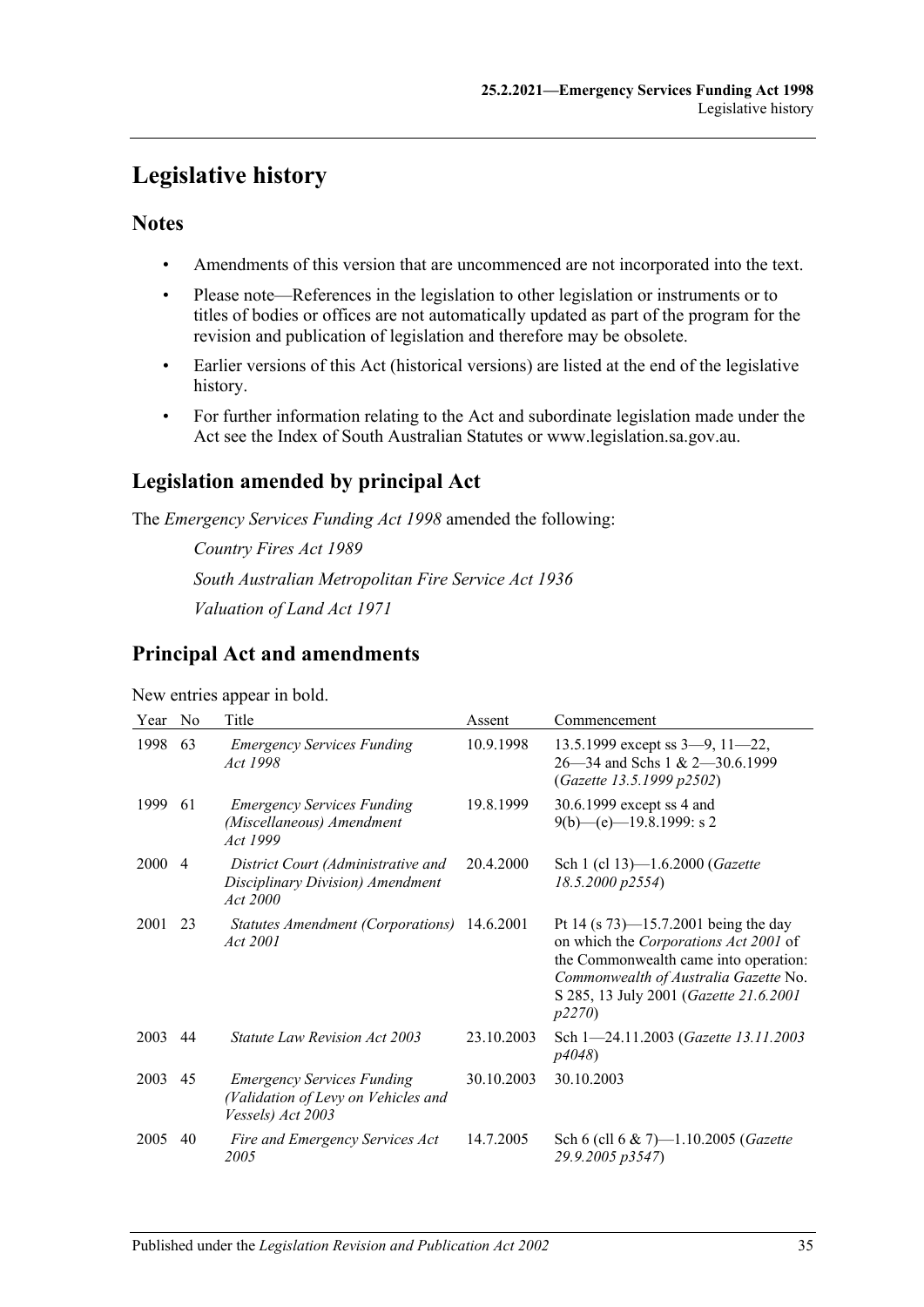# <span id="page-34-0"></span>**Legislative history**

# **Notes**

- Amendments of this version that are uncommenced are not incorporated into the text.
- Please note—References in the legislation to other legislation or instruments or to titles of bodies or offices are not automatically updated as part of the program for the revision and publication of legislation and therefore may be obsolete.
- Earlier versions of this Act (historical versions) are listed at the end of the legislative history.
- For further information relating to the Act and subordinate legislation made under the Act see the Index of South Australian Statutes or www.legislation.sa.gov.au.

# **Legislation amended by principal Act**

The *Emergency Services Funding Act 1998* amended the following:

*Country Fires Act 1989 South Australian Metropolitan Fire Service Act 1936 Valuation of Land Act 1971*

# **Principal Act and amendments**

New entries appear in bold.

| Year | No             | Title                                                                                         | Assent     | Commencement                                                                                                                                                                                                          |
|------|----------------|-----------------------------------------------------------------------------------------------|------------|-----------------------------------------------------------------------------------------------------------------------------------------------------------------------------------------------------------------------|
| 1998 | 63             | <b>Emergency Services Funding</b><br>Act 1998                                                 | 10.9.1998  | 13.5.1999 except ss $3-9$ , $11-22$ ,<br>$26 - 34$ and Schs 1 & 2 $-30.6.1999$<br>(Gazette 13.5.1999 p2502)                                                                                                           |
| 1999 | 61             | <b>Emergency Services Funding</b><br>(Miscellaneous) Amendment<br>Act 1999                    | 19.8.1999  | 30.6.1999 except ss 4 and<br>$9(b)$ —(e)—19.8.1999: s 2                                                                                                                                                               |
| 2000 | $\overline{4}$ | District Court (Administrative and<br>Disciplinary Division) Amendment<br>Act 2000            | 20.4.2000  | Sch 1 (cl 13)-1.6.2000 ( <i>Gazette</i><br>18.5.2000 p2554)                                                                                                                                                           |
| 2001 | 23             | Statutes Amendment (Corporations) 14.6.2001<br>Act 2001                                       |            | Pt 14 (s $73$ )—15.7.2001 being the day<br>on which the Corporations Act 2001 of<br>the Commonwealth came into operation:<br>Commonwealth of Australia Gazette No.<br>S 285, 13 July 2001 (Gazette 21.6.2001<br>p2270 |
| 2003 | 44             | Statute Law Revision Act 2003                                                                 | 23.10.2003 | Sch 1-24.11.2003 (Gazette 13.11.2003)<br>p4048)                                                                                                                                                                       |
| 2003 | 45             | <b>Emergency Services Funding</b><br>(Validation of Levy on Vehicles and<br>Vessels) Act 2003 | 30.10.2003 | 30.10.2003                                                                                                                                                                                                            |
| 2005 | 40             | Fire and Emergency Services Act<br>2005                                                       | 14.7.2005  | Sch 6 (cll 6 & 7)—1.10.2005 ( <i>Gazette</i><br>29.9.2005 p3547)                                                                                                                                                      |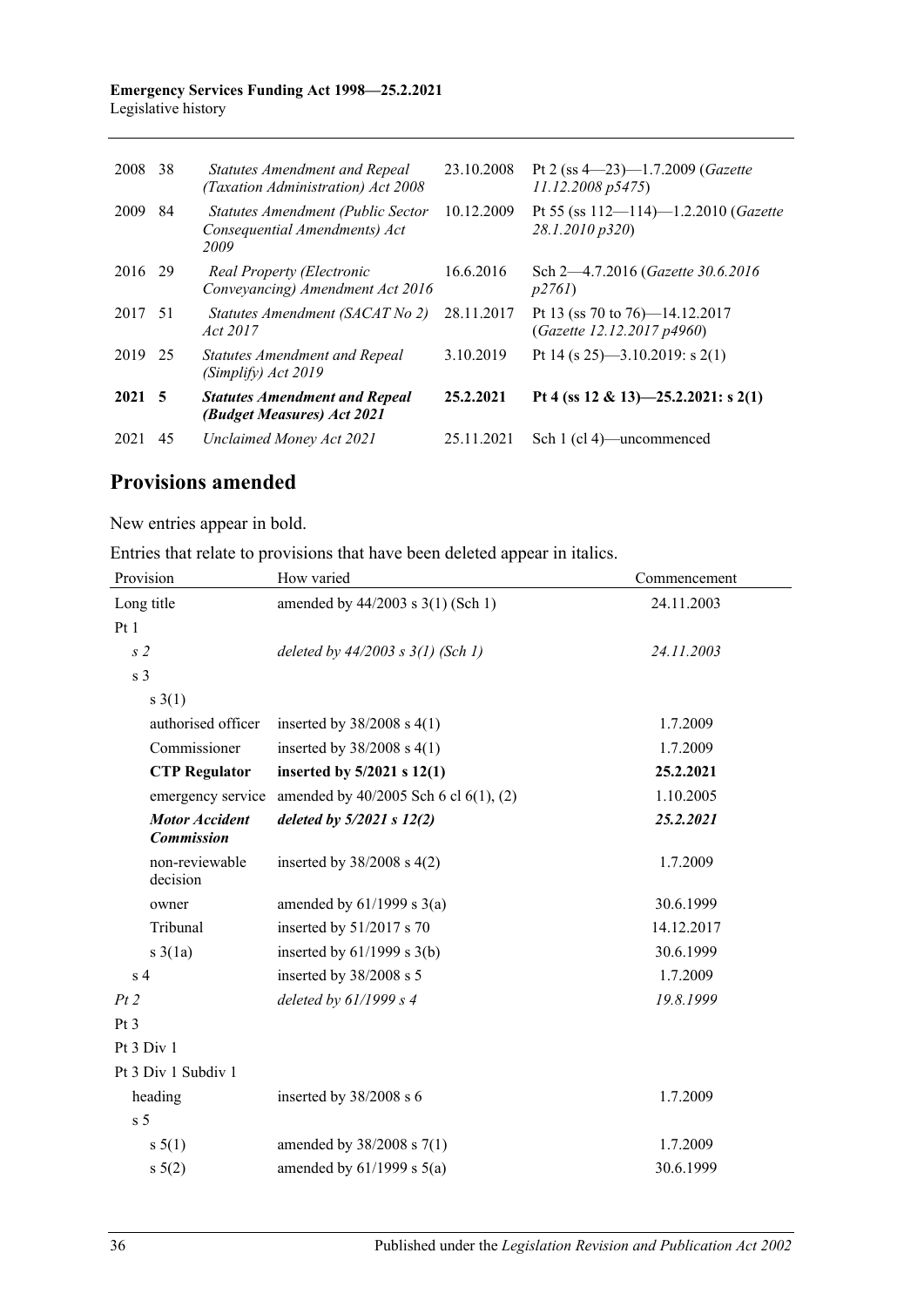#### **Emergency Services Funding Act 1998—25.2.2021** Legislative history

| 2008           | 38  | <b>Statutes Amendment and Repeal</b><br>(Taxation Administration) Act 2008 | 23.10.2008 | Pt 2 (ss $4-23$ )-1.7.2009 (Gazette<br>11.12.2008 p5475)             |
|----------------|-----|----------------------------------------------------------------------------|------------|----------------------------------------------------------------------|
| 2009           | 84  | Statutes Amendment (Public Sector<br>Consequential Amendments) Act<br>2009 | 10.12.2009 | Pt 55 (ss $112 - 114$ )-1.2.2010 ( <i>Gazette</i><br>28.1.2010 p320) |
| 2016 29        |     | Real Property (Electronic<br>Conveyancing) Amendment Act 2016              | 16.6.2016  | Sch 2-4.7.2016 (Gazette 30.6.2016)<br>p2761                          |
| 2017           | -51 | Statutes Amendment (SACAT No 2)<br>Act 2017                                | 28.11.2017 | Pt 13 (ss 70 to 76)—14.12.2017<br>(Gazette 12.12.2017 p4960)         |
| 2019 25        |     | <b>Statutes Amendment and Repeal</b><br>(Simplify) Act 2019                | 3.10.2019  | Pt 14 (s 25)—3.10.2019: s 2(1)                                       |
| $2021 \quad 5$ |     | <b>Statutes Amendment and Repeal</b><br>(Budget Measures) Act 2021         | 25.2.2021  | Pt 4 (ss 12 & 13)-25.2.2021: s 2(1)                                  |
| 2021           | 45  | Unclaimed Money Act 2021                                                   | 25.11.2021 | Sch 1 (cl 4)—uncommenced                                             |

# **Provisions amended**

New entries appear in bold.

Entries that relate to provisions that have been deleted appear in italics.

| Provision                                  | How varied                                 | Commencement |
|--------------------------------------------|--------------------------------------------|--------------|
| Long title                                 | amended by 44/2003 s 3(1) (Sch 1)          | 24.11.2003   |
| Pt1                                        |                                            |              |
| s <sub>2</sub>                             | deleted by $44/2003$ s $3(1)$ (Sch 1)      | 24.11.2003   |
| s <sub>3</sub>                             |                                            |              |
| $s \; 3(1)$                                |                                            |              |
| authorised officer                         | inserted by $38/2008$ s 4(1)               | 1.7.2009     |
| Commissioner                               | inserted by $38/2008$ s 4(1)               | 1.7.2009     |
| <b>CTP Regulator</b>                       | inserted by $5/2021$ s $12(1)$             | 25.2.2021    |
| emergency service                          | amended by $40/2005$ Sch 6 cl $6(1)$ , (2) | 1.10.2005    |
| <b>Motor Accident</b><br><b>Commission</b> | deleted by $5/2021$ s $12(2)$              | 25.2.2021    |
| non-reviewable<br>decision                 | inserted by $38/2008$ s $4(2)$             | 1.7.2009     |
| owner                                      | amended by $61/1999$ s $3(a)$              | 30.6.1999    |
| Tribunal                                   | inserted by $51/2017$ s 70                 | 14.12.2017   |
| $s \frac{3}{1a}$                           | inserted by $61/1999$ s $3(b)$             | 30.6.1999    |
| s <sub>4</sub>                             | inserted by 38/2008 s 5                    | 1.7.2009     |
| Pt2                                        | deleted by $61/1999 s 4$                   | 19.8.1999    |
| Pt <sub>3</sub>                            |                                            |              |
| Pt 3 Div 1                                 |                                            |              |
| Pt 3 Div 1 Subdiv 1                        |                                            |              |
| heading                                    | inserted by 38/2008 s 6                    | 1.7.2009     |
| s <sub>5</sub>                             |                                            |              |
| s 5(1)                                     | amended by $38/2008$ s $7(1)$              | 1.7.2009     |
| $s \ 5(2)$                                 | amended by $61/1999$ s $5(a)$              | 30.6.1999    |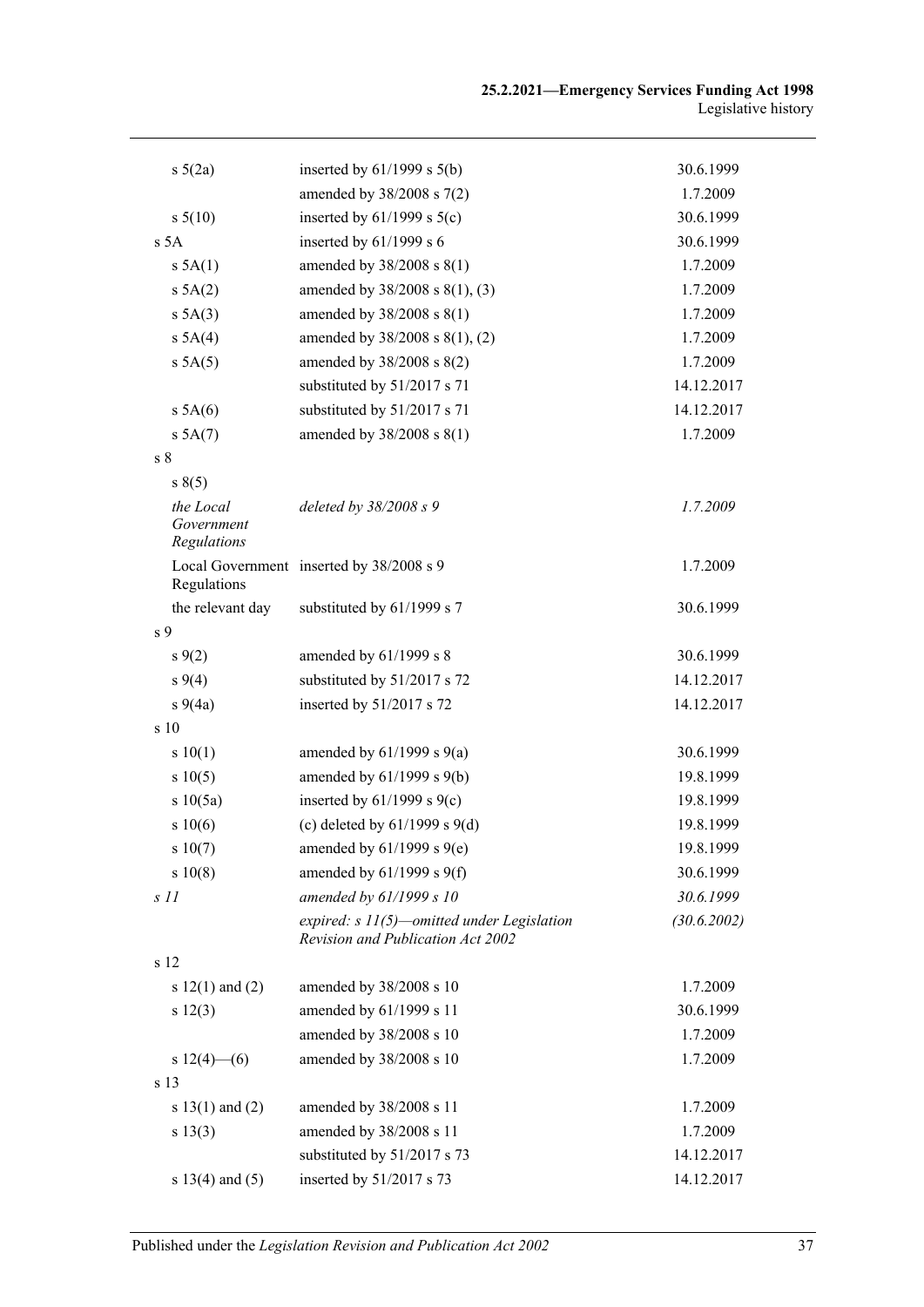| $s\ 5(2a)$                             | inserted by $61/1999$ s $5(b)$                                                    | 30.6.1999   |
|----------------------------------------|-----------------------------------------------------------------------------------|-------------|
|                                        | amended by 38/2008 s 7(2)                                                         | 1.7.2009    |
| s 5(10)                                | inserted by $61/1999$ s $5(c)$                                                    | 30.6.1999   |
| s 5A                                   | inserted by $61/1999$ s 6                                                         | 30.6.1999   |
| $s$ 5A(1)                              | amended by 38/2008 s 8(1)                                                         | 1.7.2009    |
| s 5A(2)                                | amended by 38/2008 s 8(1), (3)                                                    | 1.7.2009    |
| s 5A(3)                                | amended by 38/2008 s 8(1)                                                         | 1.7.2009    |
| s 5A(4)                                | amended by 38/2008 s 8(1), (2)                                                    | 1.7.2009    |
| s 5A(5)                                | amended by 38/2008 s 8(2)                                                         | 1.7.2009    |
|                                        | substituted by 51/2017 s 71                                                       | 14.12.2017  |
| s 5A(6)                                | substituted by 51/2017 s 71                                                       | 14.12.2017  |
| s 5A(7)                                | amended by 38/2008 s 8(1)                                                         | 1.7.2009    |
| s <sub>8</sub>                         |                                                                                   |             |
| s(5)                                   |                                                                                   |             |
| the Local<br>Government<br>Regulations | deleted by $38/2008 s$ 9                                                          | 1.7.2009    |
| Regulations                            | Local Government inserted by 38/2008 s 9                                          | 1.7.2009    |
| the relevant day                       | substituted by 61/1999 s 7                                                        | 30.6.1999   |
| s 9                                    |                                                                                   |             |
| $s\,9(2)$                              | amended by 61/1999 s 8                                                            | 30.6.1999   |
| $s\,9(4)$                              | substituted by 51/2017 s 72                                                       | 14.12.2017  |
| $s\ 9(4a)$                             | inserted by 51/2017 s 72                                                          | 14.12.2017  |
| s 10                                   |                                                                                   |             |
| s 10(1)                                | amended by $61/1999$ s $9(a)$                                                     | 30.6.1999   |
| s 10(5)                                | amended by 61/1999 s 9(b)                                                         | 19.8.1999   |
| s 10(5a)                               | inserted by $61/1999$ s $9(c)$                                                    | 19.8.1999   |
| s 10(6)                                | (c) deleted by $61/1999$ s $9(d)$                                                 | 19.8.1999   |
| s 10(7)                                | amended by $61/1999$ s $9(e)$                                                     | 19.8.1999   |
| s 10(8)                                | amended by $61/1999$ s $9(f)$                                                     | 30.6.1999   |
| S <sub>11</sub>                        | amended by 61/1999 s 10                                                           | 30.6.1999   |
|                                        | expired: $s$ 11(5)—omitted under Legislation<br>Revision and Publication Act 2002 | (30.6.2002) |
| s 12                                   |                                                                                   |             |
| s $12(1)$ and $(2)$                    | amended by 38/2008 s 10                                                           | 1.7.2009    |
| s 12(3)                                | amended by 61/1999 s 11                                                           | 30.6.1999   |
|                                        | amended by 38/2008 s 10                                                           | 1.7.2009    |
| s $12(4)$ - (6)                        | amended by 38/2008 s 10                                                           | 1.7.2009    |
| s 13                                   |                                                                                   |             |
| s $13(1)$ and $(2)$                    | amended by 38/2008 s 11                                                           | 1.7.2009    |
| s 13(3)                                | amended by 38/2008 s 11                                                           | 1.7.2009    |
|                                        | substituted by 51/2017 s 73                                                       | 14.12.2017  |
| s $13(4)$ and $(5)$                    | inserted by 51/2017 s 73                                                          | 14.12.2017  |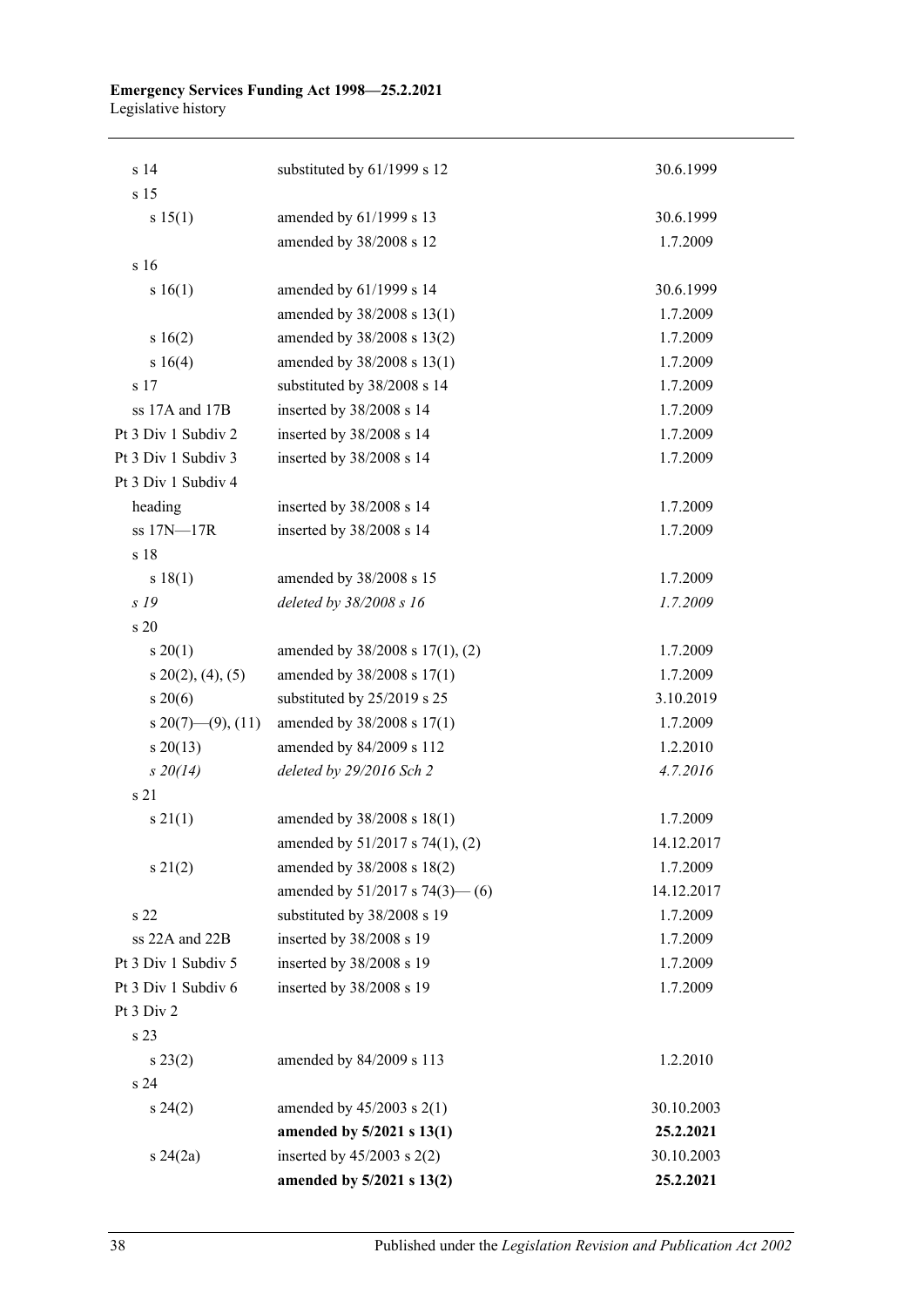#### **Emergency Services Funding Act 1998—25.2.2021** Legislative history

| s 14                        | substituted by 61/1999 s 12          | 30.6.1999  |
|-----------------------------|--------------------------------------|------------|
| s <sub>15</sub>             |                                      |            |
| s 15(1)                     | amended by 61/1999 s 13              | 30.6.1999  |
|                             | amended by 38/2008 s 12              | 1.7.2009   |
| s16                         |                                      |            |
| s 16(1)                     | amended by 61/1999 s 14              | 30.6.1999  |
|                             | amended by 38/2008 s 13(1)           | 1.7.2009   |
| s 16(2)                     | amended by 38/2008 s 13(2)           | 1.7.2009   |
| s 16(4)                     | amended by 38/2008 s 13(1)           | 1.7.2009   |
| s 17                        | substituted by 38/2008 s 14          | 1.7.2009   |
| ss 17A and 17B              | inserted by 38/2008 s 14             | 1.7.2009   |
| Pt 3 Div 1 Subdiv 2         | inserted by 38/2008 s 14             | 1.7.2009   |
| Pt 3 Div 1 Subdiv 3         | inserted by 38/2008 s 14             | 1.7.2009   |
| Pt 3 Div 1 Subdiv 4         |                                      |            |
| heading                     | inserted by 38/2008 s 14             | 1.7.2009   |
| ss 17N-17R                  | inserted by 38/2008 s 14             | 1.7.2009   |
| s 18                        |                                      |            |
| s 18(1)                     | amended by 38/2008 s 15              | 1.7.2009   |
| s 19                        | deleted by 38/2008 s 16              | 1.7.2009   |
| s 20                        |                                      |            |
| $s \ 20(1)$                 | amended by 38/2008 s 17(1), (2)      | 1.7.2009   |
| $s\ 20(2), (4), (5)$        | amended by 38/2008 s 17(1)           | 1.7.2009   |
| $s\,20(6)$                  | substituted by 25/2019 s 25          | 3.10.2019  |
| $s\ 20(7)$ — $(9)$ , $(11)$ | amended by 38/2008 s 17(1)           | 1.7.2009   |
| $s \ 20(13)$                | amended by 84/2009 s 112             | 1.2.2010   |
| $s\,20(14)$                 | deleted by 29/2016 Sch 2             | 4.7.2016   |
| s 21                        |                                      |            |
| $s \, 21(1)$                | amended by 38/2008 s 18(1)           | 1.7.2009   |
|                             | amended by $51/2017$ s $74(1)$ , (2) | 14.12.2017 |
| $s\ 21(2)$                  | amended by 38/2008 s 18(2)           | 1.7.2009   |
|                             | amended by $51/2017$ s $74(3)$ —(6)  | 14.12.2017 |
| s 22                        | substituted by 38/2008 s 19          | 1.7.2009   |
| ss 22A and 22B              | inserted by 38/2008 s 19             | 1.7.2009   |
| Pt 3 Div 1 Subdiv 5         | inserted by 38/2008 s 19             | 1.7.2009   |
| Pt 3 Div 1 Subdiv 6         | inserted by 38/2008 s 19             | 1.7.2009   |
| Pt 3 Div 2                  |                                      |            |
| s 23                        |                                      |            |
| $s\,23(2)$                  | amended by 84/2009 s 113             | 1.2.2010   |
| s 24                        |                                      |            |
| $s\,24(2)$                  | amended by $45/2003$ s $2(1)$        | 30.10.2003 |
|                             | amended by 5/2021 s 13(1)            | 25.2.2021  |
| $s\,24(2a)$                 | inserted by $45/2003$ s $2(2)$       | 30.10.2003 |
|                             | amended by 5/2021 s 13(2)            | 25.2.2021  |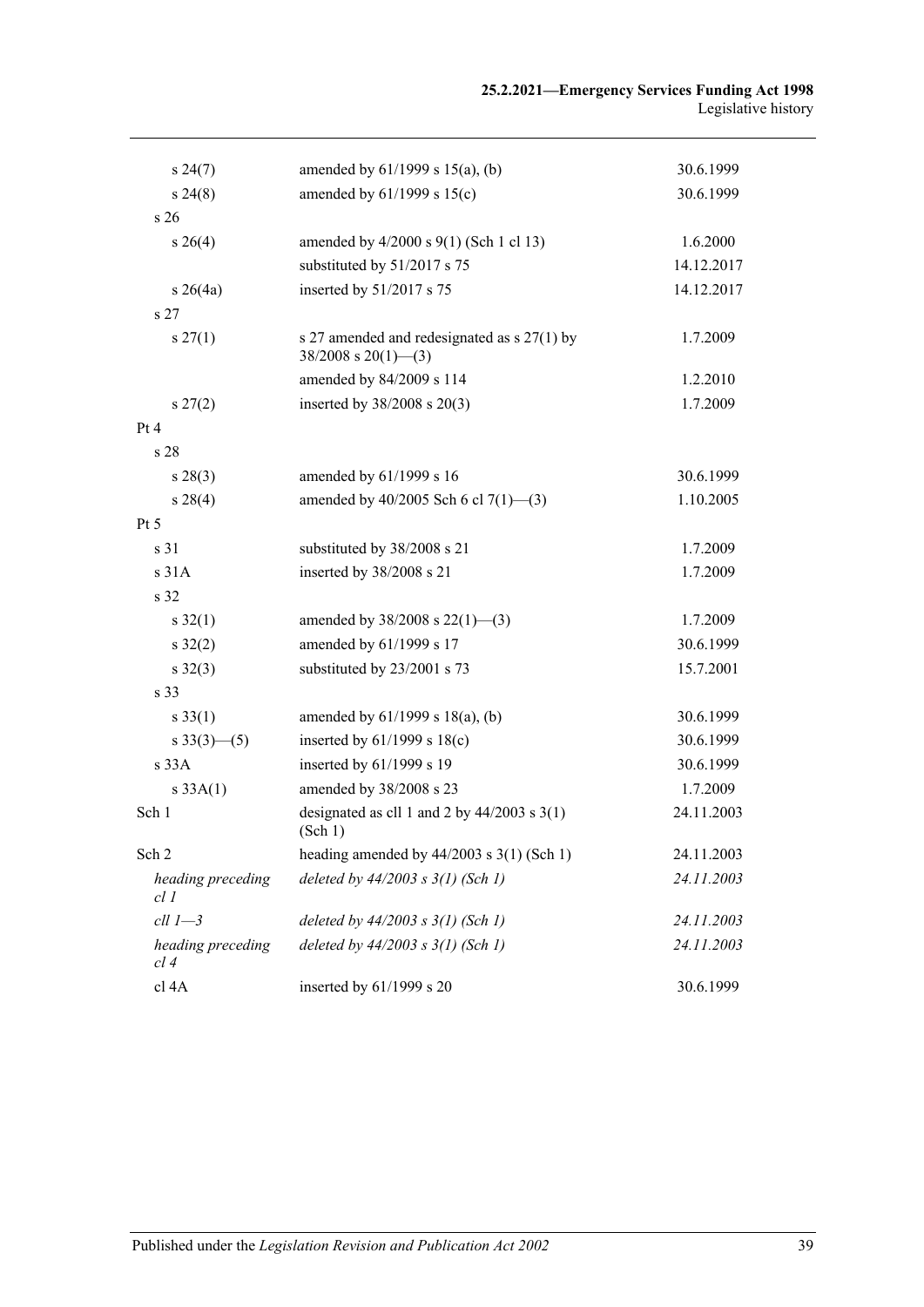| $s\,24(7)$                | amended by $61/1999$ s $15(a)$ , (b)                                       | 30.6.1999  |
|---------------------------|----------------------------------------------------------------------------|------------|
| $s\,24(8)$                | amended by 61/1999 s 15(c)                                                 | 30.6.1999  |
| s <sub>26</sub>           |                                                                            |            |
| $s \; 26(4)$              | amended by 4/2000 s 9(1) (Sch 1 cl 13)                                     | 1.6.2000   |
|                           | substituted by 51/2017 s 75                                                | 14.12.2017 |
| $s \; 26(4a)$             | inserted by 51/2017 s 75                                                   | 14.12.2017 |
| s <sub>27</sub>           |                                                                            |            |
| $s \, 27(1)$              | s 27 amended and redesignated as $s$ 27(1) by<br>$38/2008$ s $20(1)$ - (3) | 1.7.2009   |
|                           | amended by 84/2009 s 114                                                   | 1.2.2010   |
| $s\,27(2)$                | inserted by $38/2008$ s $20(3)$                                            | 1.7.2009   |
| Pt 4                      |                                                                            |            |
| s <sub>28</sub>           |                                                                            |            |
| $s\,28(3)$                | amended by 61/1999 s 16                                                    | 30.6.1999  |
| $s\,28(4)$                | amended by $40/2005$ Sch 6 cl $7(1)$ —(3)                                  | 1.10.2005  |
| Pt 5                      |                                                                            |            |
| s <sub>31</sub>           | substituted by 38/2008 s 21                                                | 1.7.2009   |
| s31A                      | inserted by 38/2008 s 21                                                   | 1.7.2009   |
| s 32                      |                                                                            |            |
| $s \, 32(1)$              | amended by $38/2008$ s $22(1)$ —(3)                                        | 1.7.2009   |
| $s \, 32(2)$              | amended by 61/1999 s 17                                                    | 30.6.1999  |
| $s \, 32(3)$              | substituted by 23/2001 s 73                                                | 15.7.2001  |
| s 33                      |                                                                            |            |
| $s \, 33(1)$              | amended by $61/1999$ s $18(a)$ , (b)                                       | 30.6.1999  |
| $s \frac{33(3)-(5)}{2}$   | inserted by $61/1999$ s $18(c)$                                            | 30.6.1999  |
| s33A                      | inserted by 61/1999 s 19                                                   | 30.6.1999  |
| s 33A(1)                  | amended by 38/2008 s 23                                                    | 1.7.2009   |
| Sch 1                     | designated as cll 1 and 2 by $44/2003$ s 3(1)<br>(Sch 1)                   | 24.11.2003 |
| Sch 2                     | heading amended by $44/2003$ s $3(1)$ (Sch 1)                              | 24.11.2003 |
| heading preceding<br>cl 1 | deleted by $44/2003$ s $3(1)$ (Sch 1)                                      | 24.11.2003 |
| $ell 1 - 3$               | deleted by $44/2003$ s $3(1)$ (Sch 1)                                      | 24.11.2003 |
| heading preceding<br>cl 4 | deleted by $44/2003$ s $3(1)$ (Sch 1)                                      | 24.11.2003 |
| cl 4A                     | inserted by 61/1999 s 20                                                   | 30.6.1999  |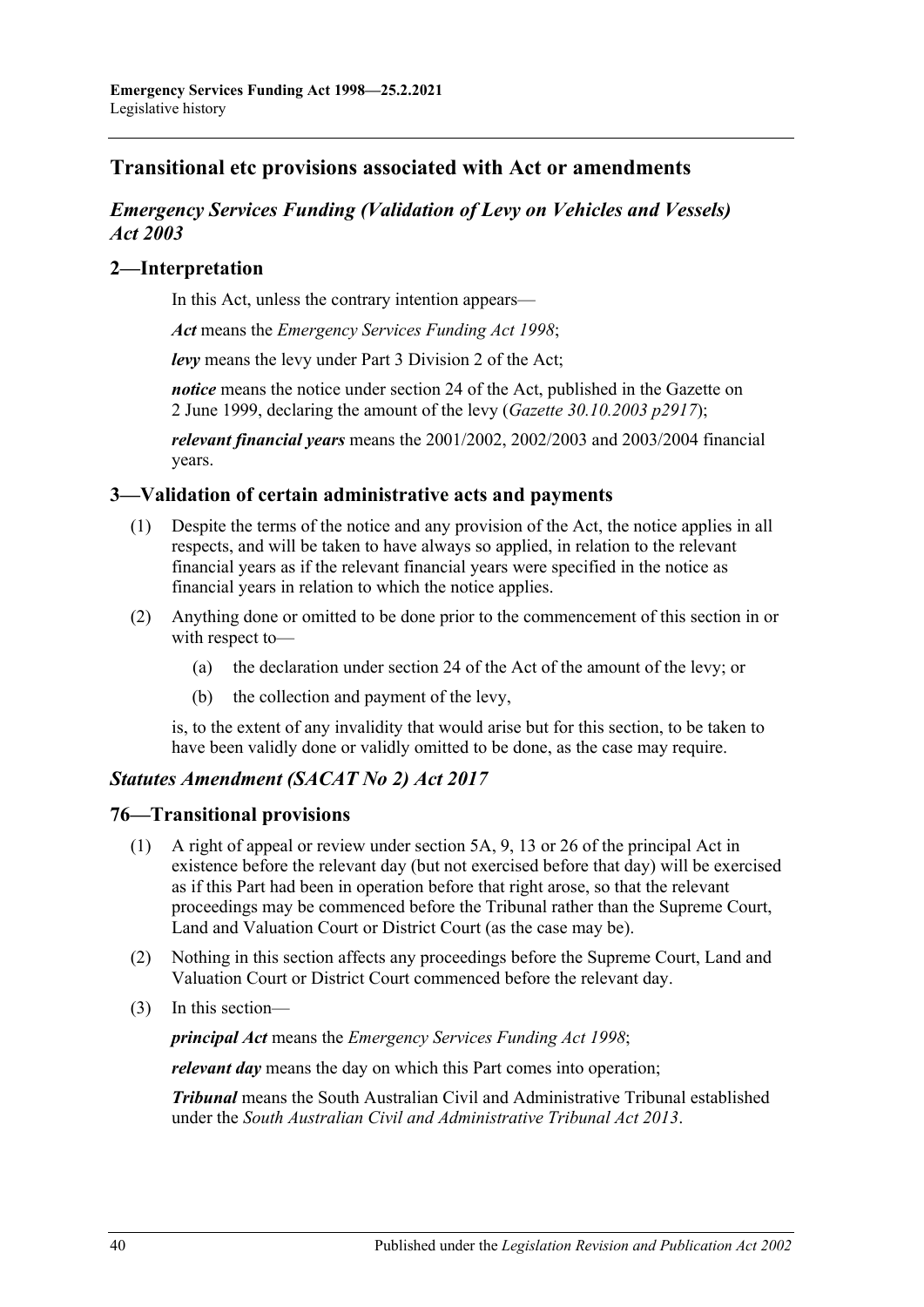# **Transitional etc provisions associated with Act or amendments**

# *Emergency Services Funding (Validation of Levy on Vehicles and Vessels) Act 2003*

# **2—Interpretation**

In this Act, unless the contrary intention appears—

*Act* means the *[Emergency Services Funding Act](http://www.legislation.sa.gov.au/index.aspx?action=legref&type=act&legtitle=Emergency%20Services%20Funding%20Act%201998) 1998*;

*levy* means the levy under Part 3 Division 2 of the Act;

*notice* means the notice under section 24 of the Act, published in the Gazette on 2 June 1999, declaring the amount of the levy (*Gazette 30.10.2003 p2917*);

*relevant financial years* means the 2001/2002, 2002/2003 and 2003/2004 financial years.

# **3—Validation of certain administrative acts and payments**

- (1) Despite the terms of the notice and any provision of the Act, the notice applies in all respects, and will be taken to have always so applied, in relation to the relevant financial years as if the relevant financial years were specified in the notice as financial years in relation to which the notice applies.
- (2) Anything done or omitted to be done prior to the commencement of this section in or with respect to—
	- (a) the declaration under section 24 of the Act of the amount of the levy; or
	- (b) the collection and payment of the levy,

is, to the extent of any invalidity that would arise but for this section, to be taken to have been validly done or validly omitted to be done, as the case may require.

# *Statutes Amendment (SACAT No 2) Act 2017*

## **76—Transitional provisions**

- (1) A right of appeal or review under section 5A, 9, 13 or 26 of the principal Act in existence before the relevant day (but not exercised before that day) will be exercised as if this Part had been in operation before that right arose, so that the relevant proceedings may be commenced before the Tribunal rather than the Supreme Court, Land and Valuation Court or District Court (as the case may be).
- (2) Nothing in this section affects any proceedings before the Supreme Court, Land and Valuation Court or District Court commenced before the relevant day.
- (3) In this section—

*principal Act* means the *[Emergency Services Funding Act](http://www.legislation.sa.gov.au/index.aspx?action=legref&type=act&legtitle=Emergency%20Services%20Funding%20Act%201998) 1998*;

*relevant day* means the day on which this Part comes into operation;

*Tribunal* means the South Australian Civil and Administrative Tribunal established under the *[South Australian Civil and Administrative Tribunal Act](http://www.legislation.sa.gov.au/index.aspx?action=legref&type=act&legtitle=South%20Australian%20Civil%20and%20Administrative%20Tribunal%20Act%202013) 2013*.